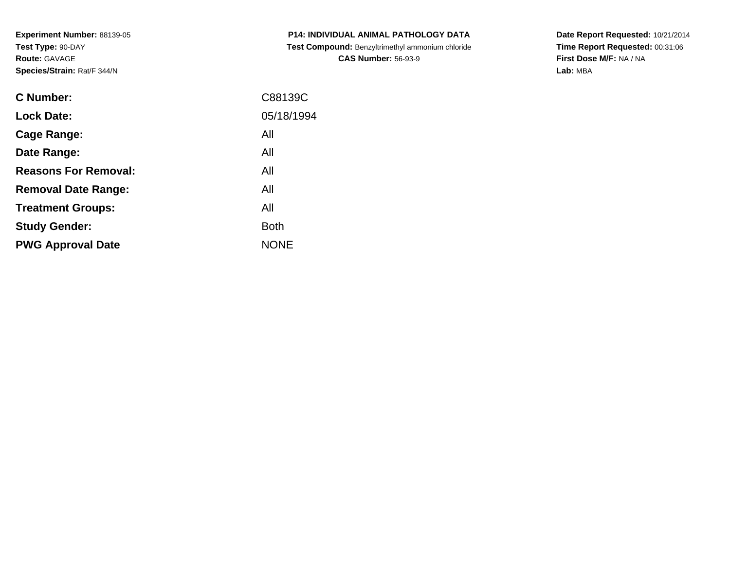**Experiment Number:** 88139-05**Test Type:** 90-DAY**Route:** GAVAGE**Species/Strain:** Rat/F 344/N

| <b>C Number:</b>            | C88139C     |
|-----------------------------|-------------|
| <b>Lock Date:</b>           | 05/18/1994  |
| <b>Cage Range:</b>          | All         |
| Date Range:                 | All         |
| <b>Reasons For Removal:</b> | All         |
| <b>Removal Date Range:</b>  | All         |
| <b>Treatment Groups:</b>    | All         |
| <b>Study Gender:</b>        | <b>Both</b> |
| <b>PWG Approval Date</b>    | <b>NONE</b> |
|                             |             |

**P14: INDIVIDUAL ANIMAL PATHOLOGY DATA Test Compound:** Benzyltrimethyl ammonium chloride**CAS Number:** 56-93-9

**Date Report Requested:** 10/21/2014 **Time Report Requested:** 00:31:06**First Dose M/F:** NA / NA**Lab:** MBA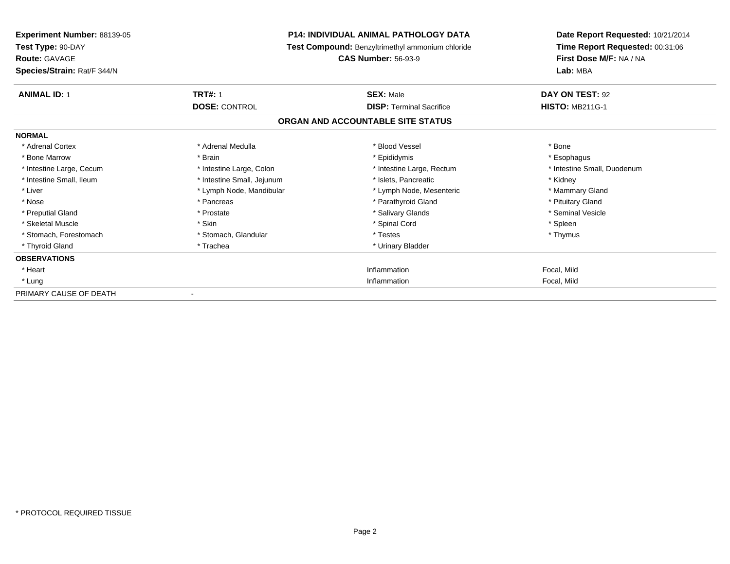| <b>Experiment Number: 88139-05</b><br>Test Type: 90-DAY<br><b>Route: GAVAGE</b><br>Species/Strain: Rat/F 344/N |                            | <b>P14: INDIVIDUAL ANIMAL PATHOLOGY DATA</b><br>Test Compound: Benzyltrimethyl ammonium chloride<br><b>CAS Number: 56-93-9</b> | Date Report Requested: 10/21/2014<br>Time Report Requested: 00:31:06<br>First Dose M/F: NA / NA<br>Lab: MBA |
|----------------------------------------------------------------------------------------------------------------|----------------------------|--------------------------------------------------------------------------------------------------------------------------------|-------------------------------------------------------------------------------------------------------------|
| <b>ANIMAL ID: 1</b>                                                                                            | <b>TRT#: 1</b>             | <b>SEX: Male</b>                                                                                                               | DAY ON TEST: 92                                                                                             |
|                                                                                                                | <b>DOSE: CONTROL</b>       | <b>DISP: Terminal Sacrifice</b><br>ORGAN AND ACCOUNTABLE SITE STATUS                                                           | <b>HISTO: MB211G-1</b>                                                                                      |
| <b>NORMAL</b>                                                                                                  |                            |                                                                                                                                |                                                                                                             |
| * Adrenal Cortex                                                                                               | * Adrenal Medulla          | * Blood Vessel                                                                                                                 | * Bone                                                                                                      |
| * Bone Marrow                                                                                                  | * Brain                    | * Epididymis                                                                                                                   | * Esophagus                                                                                                 |
| * Intestine Large, Cecum                                                                                       | * Intestine Large, Colon   | * Intestine Large, Rectum                                                                                                      | * Intestine Small, Duodenum                                                                                 |
| * Intestine Small, Ileum                                                                                       | * Intestine Small, Jejunum | * Islets, Pancreatic                                                                                                           | * Kidney                                                                                                    |
| * Liver                                                                                                        | * Lymph Node, Mandibular   | * Lymph Node, Mesenteric                                                                                                       | * Mammary Gland                                                                                             |
| * Nose                                                                                                         | * Pancreas                 | * Parathyroid Gland                                                                                                            | * Pituitary Gland                                                                                           |
| * Preputial Gland                                                                                              | * Prostate                 | * Salivary Glands                                                                                                              | * Seminal Vesicle                                                                                           |
| * Skeletal Muscle                                                                                              | * Skin                     | * Spinal Cord                                                                                                                  | * Spleen                                                                                                    |
| * Stomach, Forestomach                                                                                         | * Stomach, Glandular       | * Testes                                                                                                                       | * Thymus                                                                                                    |
| * Thyroid Gland                                                                                                | * Trachea                  | * Urinary Bladder                                                                                                              |                                                                                                             |
| <b>OBSERVATIONS</b>                                                                                            |                            |                                                                                                                                |                                                                                                             |
| * Heart                                                                                                        |                            | Inflammation                                                                                                                   | Focal, Mild                                                                                                 |
| * Lung                                                                                                         |                            | Inflammation                                                                                                                   | Focal, Mild                                                                                                 |
| PRIMARY CAUSE OF DEATH                                                                                         |                            |                                                                                                                                |                                                                                                             |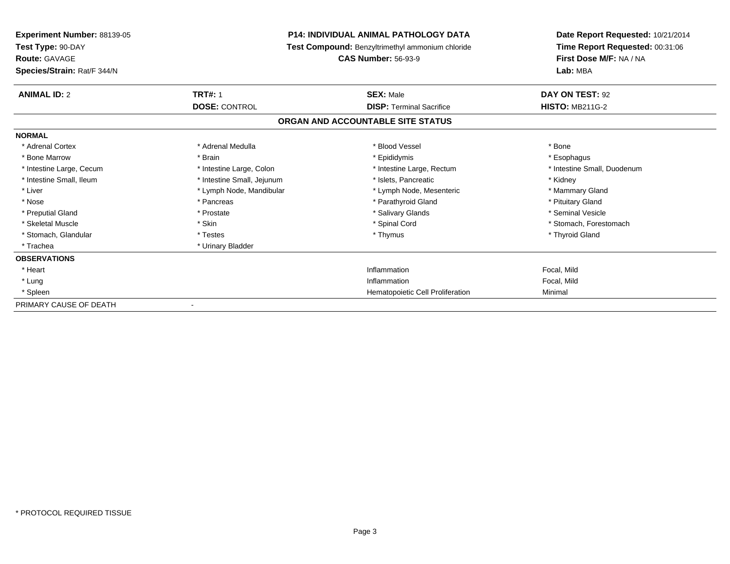| <b>P14: INDIVIDUAL ANIMAL PATHOLOGY DATA</b><br><b>Experiment Number: 88139-05</b><br>Test Type: 90-DAY<br>Test Compound: Benzyltrimethyl ammonium chloride |                            | Date Report Requested: 10/21/2014 |                                 |
|-------------------------------------------------------------------------------------------------------------------------------------------------------------|----------------------------|-----------------------------------|---------------------------------|
|                                                                                                                                                             |                            |                                   | Time Report Requested: 00:31:06 |
| <b>Route: GAVAGE</b>                                                                                                                                        |                            | <b>CAS Number: 56-93-9</b>        |                                 |
| Species/Strain: Rat/F 344/N                                                                                                                                 |                            |                                   | Lab: MBA                        |
| <b>ANIMAL ID: 2</b>                                                                                                                                         | <b>TRT#: 1</b>             | <b>SEX: Male</b>                  | DAY ON TEST: 92                 |
|                                                                                                                                                             | <b>DOSE: CONTROL</b>       | <b>DISP: Terminal Sacrifice</b>   | <b>HISTO: MB211G-2</b>          |
|                                                                                                                                                             |                            | ORGAN AND ACCOUNTABLE SITE STATUS |                                 |
| <b>NORMAL</b>                                                                                                                                               |                            |                                   |                                 |
| * Adrenal Cortex                                                                                                                                            | * Adrenal Medulla          | * Blood Vessel                    | * Bone                          |
| * Bone Marrow                                                                                                                                               | * Brain                    | * Epididymis                      | * Esophagus                     |
| * Intestine Large, Cecum                                                                                                                                    | * Intestine Large, Colon   | * Intestine Large, Rectum         | * Intestine Small, Duodenum     |
| * Intestine Small, Ileum                                                                                                                                    | * Intestine Small, Jejunum | * Islets, Pancreatic              | * Kidney                        |
| * Liver                                                                                                                                                     | * Lymph Node, Mandibular   | * Lymph Node, Mesenteric          | * Mammary Gland                 |
| * Nose                                                                                                                                                      | * Pancreas                 | * Parathyroid Gland               | * Pituitary Gland               |
| * Preputial Gland                                                                                                                                           | * Prostate                 | * Salivary Glands                 | * Seminal Vesicle               |
| * Skeletal Muscle                                                                                                                                           | * Skin                     | * Spinal Cord                     | * Stomach, Forestomach          |
| * Stomach, Glandular                                                                                                                                        | * Testes                   | * Thymus                          | * Thyroid Gland                 |
| * Trachea                                                                                                                                                   | * Urinary Bladder          |                                   |                                 |
| <b>OBSERVATIONS</b>                                                                                                                                         |                            |                                   |                                 |
| * Heart                                                                                                                                                     |                            | Inflammation                      | Focal, Mild                     |
| * Lung                                                                                                                                                      |                            | Inflammation                      | Focal, Mild                     |
| * Spleen                                                                                                                                                    |                            | Hematopoietic Cell Proliferation  | Minimal                         |
| PRIMARY CAUSE OF DEATH                                                                                                                                      |                            |                                   |                                 |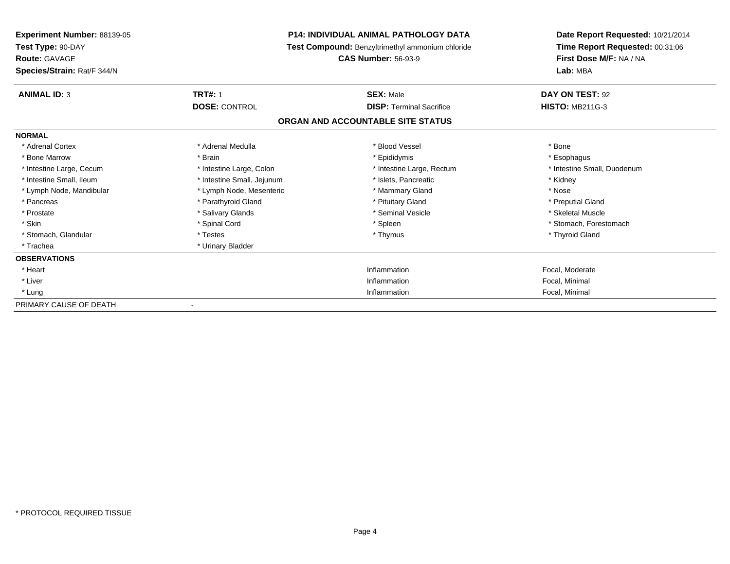| <b>P14: INDIVIDUAL ANIMAL PATHOLOGY DATA</b><br><b>Experiment Number: 88139-05</b> |                                                  | Date Report Requested: 10/21/2014 |                                 |
|------------------------------------------------------------------------------------|--------------------------------------------------|-----------------------------------|---------------------------------|
| Test Type: 90-DAY                                                                  | Test Compound: Benzyltrimethyl ammonium chloride |                                   | Time Report Requested: 00:31:06 |
| <b>Route: GAVAGE</b>                                                               |                                                  | <b>CAS Number: 56-93-9</b>        | First Dose M/F: NA / NA         |
| Species/Strain: Rat/F 344/N                                                        |                                                  |                                   | Lab: MBA                        |
| <b>ANIMAL ID: 3</b>                                                                | <b>TRT#: 1</b>                                   | <b>SEX: Male</b>                  | DAY ON TEST: 92                 |
|                                                                                    | <b>DOSE: CONTROL</b>                             | <b>DISP: Terminal Sacrifice</b>   | <b>HISTO: MB211G-3</b>          |
|                                                                                    |                                                  | ORGAN AND ACCOUNTABLE SITE STATUS |                                 |
| <b>NORMAL</b>                                                                      |                                                  |                                   |                                 |
| * Adrenal Cortex                                                                   | * Adrenal Medulla                                | * Blood Vessel                    | * Bone                          |
| * Bone Marrow                                                                      | * Brain                                          | * Epididymis                      | * Esophagus                     |
| * Intestine Large, Cecum                                                           | * Intestine Large, Colon                         | * Intestine Large, Rectum         | * Intestine Small, Duodenum     |
| * Intestine Small, Ileum                                                           | * Intestine Small, Jejunum                       | * Islets, Pancreatic              | * Kidney                        |
| * Lymph Node, Mandibular                                                           | * Lymph Node, Mesenteric                         | * Mammary Gland                   | * Nose                          |
| * Pancreas                                                                         | * Parathyroid Gland                              | * Pituitary Gland                 | * Preputial Gland               |
| * Prostate                                                                         | * Salivary Glands                                | * Seminal Vesicle                 | * Skeletal Muscle               |
| * Skin                                                                             | * Spinal Cord                                    | * Spleen                          | * Stomach, Forestomach          |
| * Stomach, Glandular                                                               | * Testes                                         | * Thymus                          | * Thyroid Gland                 |
| * Trachea                                                                          | * Urinary Bladder                                |                                   |                                 |
| <b>OBSERVATIONS</b>                                                                |                                                  |                                   |                                 |
| * Heart                                                                            |                                                  | Inflammation                      | Focal, Moderate                 |
| * Liver                                                                            |                                                  | Inflammation                      | Focal, Minimal                  |
| * Lung                                                                             |                                                  | Inflammation                      | Focal, Minimal                  |
| PRIMARY CAUSE OF DEATH                                                             |                                                  |                                   |                                 |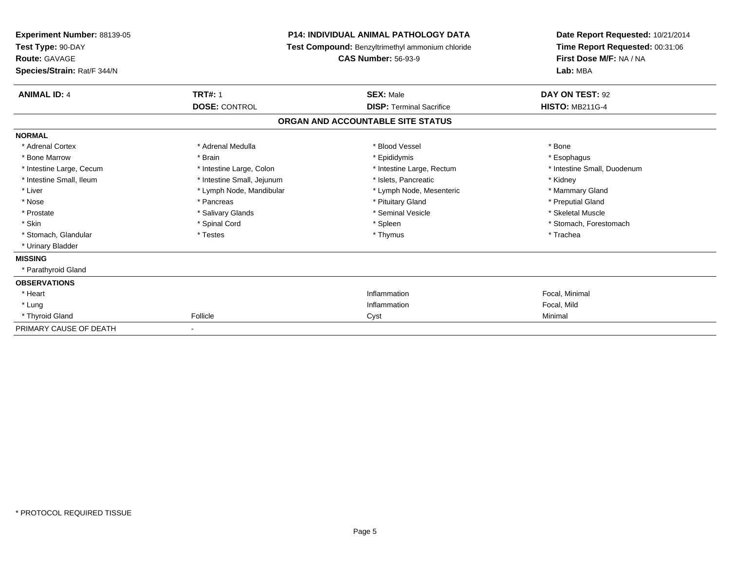| <b>Experiment Number: 88139-05</b><br>Test Type: 90-DAY<br><b>Route: GAVAGE</b><br>Species/Strain: Rat/F 344/N |                            | <b>P14: INDIVIDUAL ANIMAL PATHOLOGY DATA</b><br>Test Compound: Benzyltrimethyl ammonium chloride<br><b>CAS Number: 56-93-9</b> | Date Report Requested: 10/21/2014<br>Time Report Requested: 00:31:06<br>First Dose M/F: NA / NA<br>Lab: MBA |
|----------------------------------------------------------------------------------------------------------------|----------------------------|--------------------------------------------------------------------------------------------------------------------------------|-------------------------------------------------------------------------------------------------------------|
| <b>ANIMAL ID: 4</b>                                                                                            | <b>TRT#: 1</b>             | <b>SEX: Male</b>                                                                                                               | DAY ON TEST: 92                                                                                             |
|                                                                                                                | <b>DOSE: CONTROL</b>       | <b>DISP: Terminal Sacrifice</b>                                                                                                | <b>HISTO: MB211G-4</b>                                                                                      |
|                                                                                                                |                            | ORGAN AND ACCOUNTABLE SITE STATUS                                                                                              |                                                                                                             |
| <b>NORMAL</b>                                                                                                  |                            |                                                                                                                                |                                                                                                             |
| * Adrenal Cortex                                                                                               | * Adrenal Medulla          | * Blood Vessel                                                                                                                 | * Bone                                                                                                      |
| * Bone Marrow                                                                                                  | * Brain                    | * Epididymis                                                                                                                   | * Esophagus                                                                                                 |
| * Intestine Large, Cecum                                                                                       | * Intestine Large, Colon   | * Intestine Large, Rectum                                                                                                      | * Intestine Small, Duodenum                                                                                 |
| * Intestine Small, Ileum                                                                                       | * Intestine Small, Jejunum | * Islets, Pancreatic                                                                                                           | * Kidney                                                                                                    |
| * Liver                                                                                                        | * Lymph Node, Mandibular   | * Lymph Node, Mesenteric                                                                                                       | * Mammary Gland                                                                                             |
| * Nose                                                                                                         | * Pancreas                 | * Pituitary Gland                                                                                                              | * Preputial Gland                                                                                           |
| * Prostate                                                                                                     | * Salivary Glands          | * Seminal Vesicle                                                                                                              | * Skeletal Muscle                                                                                           |
| * Skin                                                                                                         | * Spinal Cord              | * Spleen                                                                                                                       | * Stomach, Forestomach                                                                                      |
| * Stomach, Glandular                                                                                           | * Testes                   | * Thymus                                                                                                                       | * Trachea                                                                                                   |
| * Urinary Bladder                                                                                              |                            |                                                                                                                                |                                                                                                             |
| <b>MISSING</b>                                                                                                 |                            |                                                                                                                                |                                                                                                             |
| * Parathyroid Gland                                                                                            |                            |                                                                                                                                |                                                                                                             |
| <b>OBSERVATIONS</b>                                                                                            |                            |                                                                                                                                |                                                                                                             |
| * Heart                                                                                                        |                            | Inflammation                                                                                                                   | Focal, Minimal                                                                                              |
| * Lung                                                                                                         |                            | Inflammation                                                                                                                   | Focal, Mild                                                                                                 |
| * Thyroid Gland                                                                                                | Follicle                   | Cyst                                                                                                                           | Minimal                                                                                                     |
| PRIMARY CAUSE OF DEATH                                                                                         |                            |                                                                                                                                |                                                                                                             |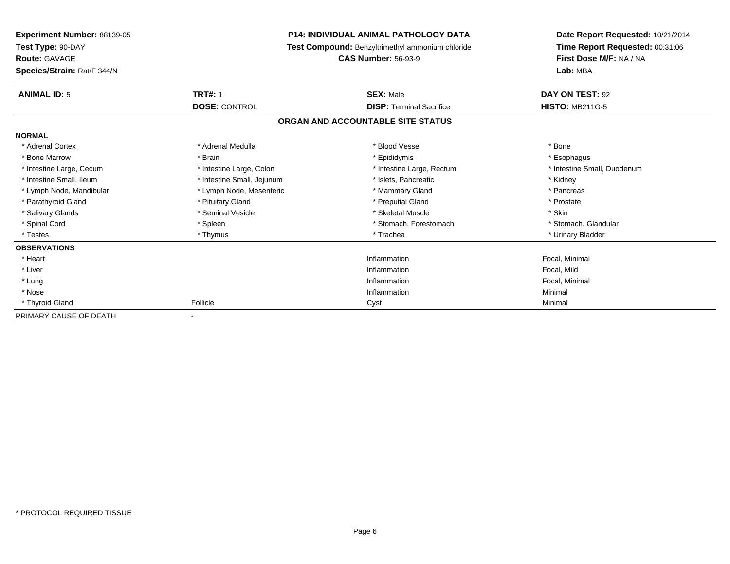| <b>P14: INDIVIDUAL ANIMAL PATHOLOGY DATA</b><br><b>Experiment Number: 88139-05</b><br>Test Type: 90-DAY<br>Test Compound: Benzyltrimethyl ammonium chloride<br><b>Route: GAVAGE</b><br><b>CAS Number: 56-93-9</b> |                            |                                   | Date Report Requested: 10/21/2014<br>Time Report Requested: 00:31:06 |  |
|-------------------------------------------------------------------------------------------------------------------------------------------------------------------------------------------------------------------|----------------------------|-----------------------------------|----------------------------------------------------------------------|--|
|                                                                                                                                                                                                                   |                            |                                   |                                                                      |  |
|                                                                                                                                                                                                                   |                            |                                   | First Dose M/F: NA / NA                                              |  |
| Species/Strain: Rat/F 344/N                                                                                                                                                                                       |                            |                                   | Lab: MBA                                                             |  |
| <b>ANIMAL ID: 5</b>                                                                                                                                                                                               | <b>TRT#: 1</b>             | <b>SEX: Male</b>                  | DAY ON TEST: 92                                                      |  |
|                                                                                                                                                                                                                   | <b>DOSE: CONTROL</b>       | <b>DISP: Terminal Sacrifice</b>   | <b>HISTO: MB211G-5</b>                                               |  |
|                                                                                                                                                                                                                   |                            | ORGAN AND ACCOUNTABLE SITE STATUS |                                                                      |  |
| <b>NORMAL</b>                                                                                                                                                                                                     |                            |                                   |                                                                      |  |
| * Adrenal Cortex                                                                                                                                                                                                  | * Adrenal Medulla          | * Blood Vessel                    | * Bone                                                               |  |
| * Bone Marrow                                                                                                                                                                                                     | * Brain                    | * Epididymis                      | * Esophagus                                                          |  |
| * Intestine Large, Cecum                                                                                                                                                                                          | * Intestine Large, Colon   | * Intestine Large, Rectum         | * Intestine Small, Duodenum                                          |  |
| * Intestine Small, Ileum                                                                                                                                                                                          | * Intestine Small, Jejunum | * Islets, Pancreatic              | * Kidney                                                             |  |
| * Lymph Node, Mandibular                                                                                                                                                                                          | * Lymph Node, Mesenteric   | * Mammary Gland                   | * Pancreas                                                           |  |
| * Parathyroid Gland                                                                                                                                                                                               | * Pituitary Gland          | * Preputial Gland                 | * Prostate                                                           |  |
| * Salivary Glands                                                                                                                                                                                                 | * Seminal Vesicle          | * Skeletal Muscle                 | * Skin                                                               |  |
| * Spinal Cord                                                                                                                                                                                                     | * Spleen                   | * Stomach, Forestomach            | * Stomach, Glandular                                                 |  |
| * Testes                                                                                                                                                                                                          | * Thymus                   | * Trachea                         | * Urinary Bladder                                                    |  |
| <b>OBSERVATIONS</b>                                                                                                                                                                                               |                            |                                   |                                                                      |  |
| * Heart                                                                                                                                                                                                           |                            | Inflammation                      | Focal, Minimal                                                       |  |
| * Liver                                                                                                                                                                                                           |                            | Inflammation                      | Focal, Mild                                                          |  |
| * Lung                                                                                                                                                                                                            |                            | Inflammation                      | Focal, Minimal                                                       |  |
| * Nose                                                                                                                                                                                                            |                            | Inflammation                      | Minimal                                                              |  |
| * Thyroid Gland                                                                                                                                                                                                   | Follicle                   | Cyst                              | Minimal                                                              |  |
| PRIMARY CAUSE OF DEATH                                                                                                                                                                                            |                            |                                   |                                                                      |  |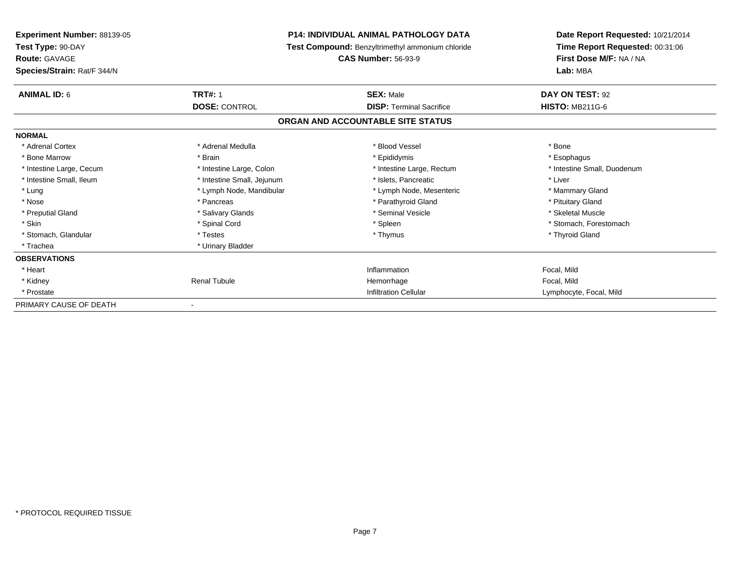| <b>Experiment Number: 88139-05</b> | <b>P14: INDIVIDUAL ANIMAL PATHOLOGY DATA</b><br>Test Compound: Benzyltrimethyl ammonium chloride<br><b>CAS Number: 56-93-9</b> |                                   | Date Report Requested: 10/21/2014 |  |
|------------------------------------|--------------------------------------------------------------------------------------------------------------------------------|-----------------------------------|-----------------------------------|--|
| Test Type: 90-DAY                  |                                                                                                                                |                                   | Time Report Requested: 00:31:06   |  |
| <b>Route: GAVAGE</b>               |                                                                                                                                |                                   | First Dose M/F: NA / NA           |  |
| Species/Strain: Rat/F 344/N        |                                                                                                                                |                                   | Lab: MBA                          |  |
| <b>ANIMAL ID: 6</b>                | <b>TRT#: 1</b>                                                                                                                 | <b>SEX: Male</b>                  | DAY ON TEST: 92                   |  |
|                                    | <b>DOSE: CONTROL</b>                                                                                                           | <b>DISP: Terminal Sacrifice</b>   | <b>HISTO: MB211G-6</b>            |  |
|                                    |                                                                                                                                | ORGAN AND ACCOUNTABLE SITE STATUS |                                   |  |
| <b>NORMAL</b>                      |                                                                                                                                |                                   |                                   |  |
| * Adrenal Cortex                   | * Adrenal Medulla                                                                                                              | * Blood Vessel                    | * Bone                            |  |
| * Bone Marrow                      | * Brain                                                                                                                        | * Epididymis                      | * Esophagus                       |  |
| * Intestine Large, Cecum           | * Intestine Large, Colon                                                                                                       | * Intestine Large, Rectum         | * Intestine Small, Duodenum       |  |
| * Intestine Small, Ileum           | * Intestine Small, Jejunum                                                                                                     | * Islets, Pancreatic              | * Liver                           |  |
| * Lung                             | * Lymph Node, Mandibular                                                                                                       | * Lymph Node, Mesenteric          | * Mammary Gland                   |  |
| * Nose                             | * Pancreas                                                                                                                     | * Parathyroid Gland               | * Pituitary Gland                 |  |
| * Preputial Gland                  | * Salivary Glands                                                                                                              | * Seminal Vesicle                 | * Skeletal Muscle                 |  |
| * Skin                             | * Spinal Cord                                                                                                                  | * Spleen                          | * Stomach, Forestomach            |  |
| * Stomach, Glandular               | * Testes                                                                                                                       | * Thymus                          | * Thyroid Gland                   |  |
| * Trachea                          | * Urinary Bladder                                                                                                              |                                   |                                   |  |
| <b>OBSERVATIONS</b>                |                                                                                                                                |                                   |                                   |  |
| * Heart                            |                                                                                                                                | Inflammation                      | Focal, Mild                       |  |
| * Kidney                           | <b>Renal Tubule</b>                                                                                                            | Hemorrhage                        | Focal, Mild                       |  |
| * Prostate                         |                                                                                                                                | <b>Infiltration Cellular</b>      | Lymphocyte, Focal, Mild           |  |
| PRIMARY CAUSE OF DEATH             |                                                                                                                                |                                   |                                   |  |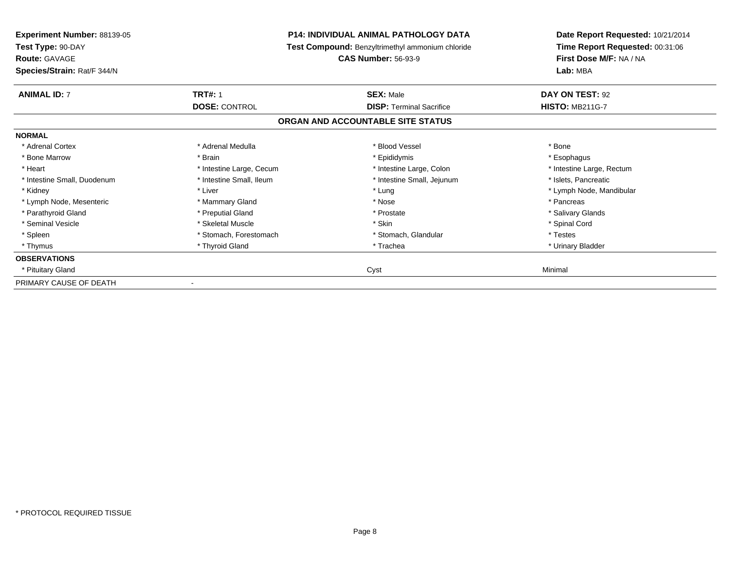| Experiment Number: 88139-05<br>Test Type: 90-DAY    | <b>P14: INDIVIDUAL ANIMAL PATHOLOGY DATA</b><br>Test Compound: Benzyltrimethyl ammonium chloride |                                   | Date Report Requested: 10/21/2014<br>Time Report Requested: 00:31:06 |  |
|-----------------------------------------------------|--------------------------------------------------------------------------------------------------|-----------------------------------|----------------------------------------------------------------------|--|
| <b>Route: GAVAGE</b><br>Species/Strain: Rat/F 344/N |                                                                                                  | <b>CAS Number: 56-93-9</b>        | First Dose M/F: NA / NA<br>Lab: MBA                                  |  |
| <b>ANIMAL ID: 7</b>                                 | <b>TRT#: 1</b>                                                                                   | <b>SEX: Male</b>                  | DAY ON TEST: 92                                                      |  |
|                                                     | <b>DOSE: CONTROL</b>                                                                             | <b>DISP: Terminal Sacrifice</b>   | <b>HISTO: MB211G-7</b>                                               |  |
|                                                     |                                                                                                  | ORGAN AND ACCOUNTABLE SITE STATUS |                                                                      |  |
| <b>NORMAL</b>                                       |                                                                                                  |                                   |                                                                      |  |
| * Adrenal Cortex                                    | * Adrenal Medulla                                                                                | * Blood Vessel                    | * Bone                                                               |  |
| * Bone Marrow                                       | * Brain                                                                                          | * Epididymis                      | * Esophagus                                                          |  |
| * Heart                                             | * Intestine Large, Cecum                                                                         | * Intestine Large, Colon          | * Intestine Large, Rectum                                            |  |
| * Intestine Small, Duodenum                         | * Intestine Small, Ileum                                                                         | * Intestine Small, Jejunum        | * Islets, Pancreatic                                                 |  |
| * Kidney                                            | * Liver                                                                                          | * Lung                            | * Lymph Node, Mandibular                                             |  |
| * Lymph Node, Mesenteric                            | * Mammary Gland                                                                                  | * Nose                            | * Pancreas                                                           |  |
| * Parathyroid Gland                                 | * Preputial Gland                                                                                | * Prostate                        | * Salivary Glands                                                    |  |
| * Seminal Vesicle                                   | * Skeletal Muscle                                                                                | * Skin                            | * Spinal Cord                                                        |  |
| * Spleen                                            | * Stomach, Forestomach                                                                           | * Stomach, Glandular              | * Testes                                                             |  |
| * Thymus                                            | * Thyroid Gland                                                                                  | * Trachea                         | * Urinary Bladder                                                    |  |
| <b>OBSERVATIONS</b>                                 |                                                                                                  |                                   |                                                                      |  |
| * Pituitary Gland                                   |                                                                                                  | Cyst                              | Minimal                                                              |  |
| PRIMARY CAUSE OF DEATH                              |                                                                                                  |                                   |                                                                      |  |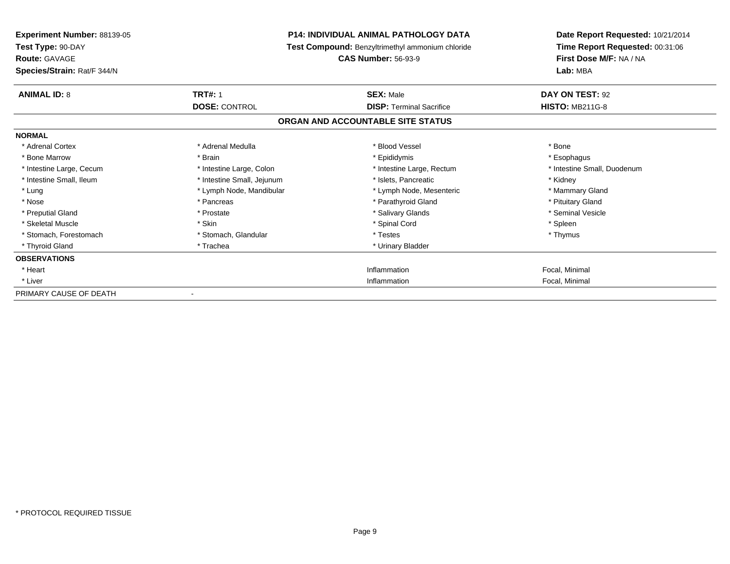| <b>Experiment Number: 88139-05</b><br>Test Type: 90-DAY<br><b>Route: GAVAGE</b><br>Species/Strain: Rat/F 344/N | <b>P14: INDIVIDUAL ANIMAL PATHOLOGY DATA</b><br>Test Compound: Benzyltrimethyl ammonium chloride<br><b>CAS Number: 56-93-9</b> |                                                     | Date Report Requested: 10/21/2014<br>Time Report Requested: 00:31:06<br>First Dose M/F: NA / NA<br>Lab: MBA |  |
|----------------------------------------------------------------------------------------------------------------|--------------------------------------------------------------------------------------------------------------------------------|-----------------------------------------------------|-------------------------------------------------------------------------------------------------------------|--|
| <b>ANIMAL ID: 8</b>                                                                                            | <b>TRT#: 1</b><br><b>DOSE: CONTROL</b>                                                                                         | <b>SEX: Male</b><br><b>DISP: Terminal Sacrifice</b> | DAY ON TEST: 92<br><b>HISTO: MB211G-8</b>                                                                   |  |
|                                                                                                                |                                                                                                                                | ORGAN AND ACCOUNTABLE SITE STATUS                   |                                                                                                             |  |
| <b>NORMAL</b>                                                                                                  |                                                                                                                                |                                                     |                                                                                                             |  |
| * Adrenal Cortex                                                                                               | * Adrenal Medulla                                                                                                              | * Blood Vessel                                      | * Bone                                                                                                      |  |
| * Bone Marrow                                                                                                  | * Brain                                                                                                                        | * Epididymis                                        | * Esophagus                                                                                                 |  |
| * Intestine Large, Cecum                                                                                       | * Intestine Large, Colon                                                                                                       | * Intestine Large, Rectum                           | * Intestine Small, Duodenum                                                                                 |  |
| * Intestine Small. Ileum                                                                                       | * Intestine Small, Jejunum                                                                                                     | * Islets. Pancreatic                                | * Kidney                                                                                                    |  |
| * Lung                                                                                                         | * Lymph Node, Mandibular                                                                                                       | * Lymph Node, Mesenteric                            | * Mammary Gland                                                                                             |  |
| * Nose                                                                                                         | * Pancreas                                                                                                                     | * Parathyroid Gland                                 | * Pituitary Gland                                                                                           |  |
| * Preputial Gland                                                                                              | * Prostate                                                                                                                     | * Salivary Glands                                   | * Seminal Vesicle                                                                                           |  |
| * Skeletal Muscle                                                                                              | * Skin                                                                                                                         | * Spinal Cord                                       | * Spleen                                                                                                    |  |
| * Stomach, Forestomach                                                                                         | * Stomach, Glandular                                                                                                           | * Testes                                            | * Thymus                                                                                                    |  |
| * Thyroid Gland                                                                                                | * Trachea                                                                                                                      | * Urinary Bladder                                   |                                                                                                             |  |
| <b>OBSERVATIONS</b>                                                                                            |                                                                                                                                |                                                     |                                                                                                             |  |
| * Heart                                                                                                        |                                                                                                                                | Inflammation                                        | Focal, Minimal                                                                                              |  |
| * Liver                                                                                                        |                                                                                                                                | Inflammation                                        | Focal, Minimal                                                                                              |  |
| PRIMARY CAUSE OF DEATH                                                                                         |                                                                                                                                |                                                     |                                                                                                             |  |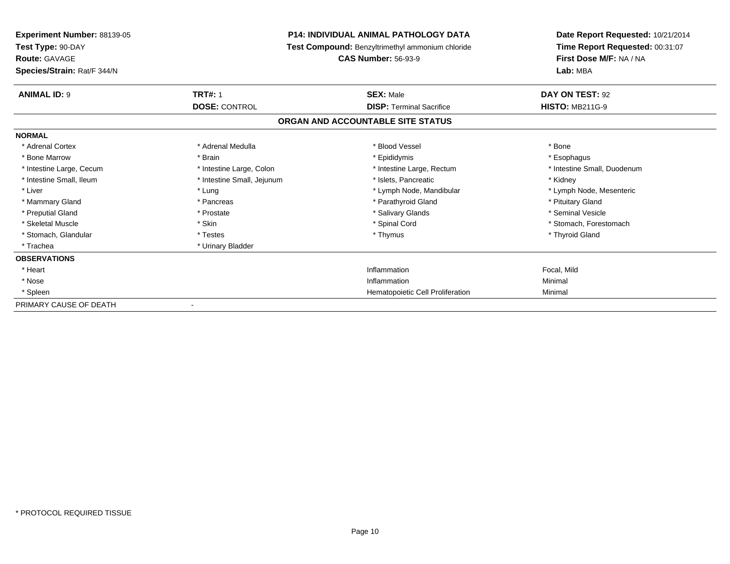| Experiment Number: 88139-05 |                                                  | <b>P14: INDIVIDUAL ANIMAL PATHOLOGY DATA</b> | Date Report Requested: 10/21/2014<br>Time Report Requested: 00:31:07 |
|-----------------------------|--------------------------------------------------|----------------------------------------------|----------------------------------------------------------------------|
| Test Type: 90-DAY           | Test Compound: Benzyltrimethyl ammonium chloride |                                              |                                                                      |
| <b>Route: GAVAGE</b>        |                                                  | <b>CAS Number: 56-93-9</b>                   | First Dose M/F: NA / NA                                              |
| Species/Strain: Rat/F 344/N |                                                  |                                              | Lab: MBA                                                             |
| <b>ANIMAL ID: 9</b>         | <b>TRT#: 1</b>                                   | <b>SEX: Male</b>                             | DAY ON TEST: 92                                                      |
|                             | <b>DOSE: CONTROL</b>                             | <b>DISP: Terminal Sacrifice</b>              | <b>HISTO: MB211G-9</b>                                               |
|                             |                                                  | ORGAN AND ACCOUNTABLE SITE STATUS            |                                                                      |
| <b>NORMAL</b>               |                                                  |                                              |                                                                      |
| * Adrenal Cortex            | * Adrenal Medulla                                | * Blood Vessel                               | * Bone                                                               |
| * Bone Marrow               | * Brain                                          | * Epididymis                                 | * Esophagus                                                          |
| * Intestine Large, Cecum    | * Intestine Large, Colon                         | * Intestine Large, Rectum                    | * Intestine Small, Duodenum                                          |
| * Intestine Small, Ileum    | * Intestine Small, Jejunum                       | * Islets. Pancreatic                         | * Kidney                                                             |
| * Liver                     | * Lung                                           | * Lymph Node, Mandibular                     | * Lymph Node, Mesenteric                                             |
| * Mammary Gland             | * Pancreas                                       | * Parathyroid Gland                          | * Pituitary Gland                                                    |
| * Preputial Gland           | * Prostate                                       | * Salivary Glands                            | * Seminal Vesicle                                                    |
| * Skeletal Muscle           | * Skin                                           | * Spinal Cord                                | * Stomach, Forestomach                                               |
| * Stomach, Glandular        | * Testes                                         | * Thymus                                     | * Thyroid Gland                                                      |
| * Trachea                   | * Urinary Bladder                                |                                              |                                                                      |
| <b>OBSERVATIONS</b>         |                                                  |                                              |                                                                      |
| * Heart                     |                                                  | Inflammation                                 | Focal, Mild                                                          |
| * Nose                      |                                                  | Inflammation                                 | Minimal                                                              |
| * Spleen                    |                                                  | Hematopoietic Cell Proliferation             | Minimal                                                              |
| PRIMARY CAUSE OF DEATH      |                                                  |                                              |                                                                      |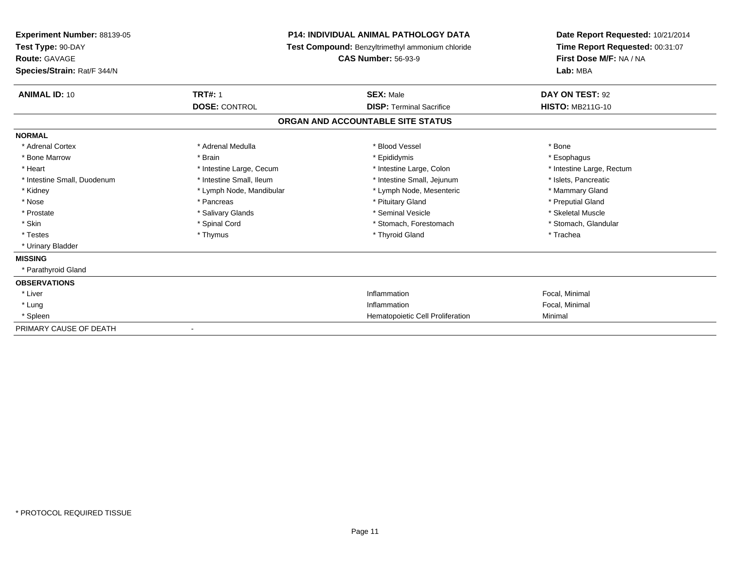| Experiment Number: 88139-05<br>Test Type: 90-DAY |                          | <b>P14: INDIVIDUAL ANIMAL PATHOLOGY DATA</b><br>Test Compound: Benzyltrimethyl ammonium chloride | Date Report Requested: 10/21/2014<br>Time Report Requested: 00:31:07 |  |
|--------------------------------------------------|--------------------------|--------------------------------------------------------------------------------------------------|----------------------------------------------------------------------|--|
| Route: GAVAGE                                    |                          | <b>CAS Number: 56-93-9</b>                                                                       | First Dose M/F: NA / NA                                              |  |
| Species/Strain: Rat/F 344/N                      |                          |                                                                                                  | Lab: MBA                                                             |  |
| <b>ANIMAL ID: 10</b>                             | <b>TRT#: 1</b>           | <b>SEX: Male</b>                                                                                 | DAY ON TEST: 92                                                      |  |
|                                                  | <b>DOSE: CONTROL</b>     | <b>DISP: Terminal Sacrifice</b>                                                                  | <b>HISTO: MB211G-10</b>                                              |  |
|                                                  |                          | ORGAN AND ACCOUNTABLE SITE STATUS                                                                |                                                                      |  |
| <b>NORMAL</b>                                    |                          |                                                                                                  |                                                                      |  |
| * Adrenal Cortex                                 | * Adrenal Medulla        | * Blood Vessel                                                                                   | * Bone                                                               |  |
| * Bone Marrow                                    | * Brain                  | * Epididymis                                                                                     | * Esophagus                                                          |  |
| * Heart                                          | * Intestine Large, Cecum | * Intestine Large, Colon                                                                         | * Intestine Large, Rectum                                            |  |
| * Intestine Small, Duodenum                      | * Intestine Small, Ileum | * Intestine Small, Jejunum                                                                       | * Islets, Pancreatic                                                 |  |
| * Kidney                                         | * Lymph Node, Mandibular | * Lymph Node, Mesenteric                                                                         | * Mammary Gland                                                      |  |
| * Nose                                           | * Pancreas               | * Pituitary Gland                                                                                | * Preputial Gland                                                    |  |
| * Prostate                                       | * Salivary Glands        | * Seminal Vesicle                                                                                | * Skeletal Muscle                                                    |  |
| * Skin                                           | * Spinal Cord            | * Stomach, Forestomach                                                                           | * Stomach, Glandular                                                 |  |
| * Testes                                         | * Thymus                 | * Thyroid Gland                                                                                  | * Trachea                                                            |  |
| * Urinary Bladder                                |                          |                                                                                                  |                                                                      |  |
| <b>MISSING</b>                                   |                          |                                                                                                  |                                                                      |  |
| * Parathyroid Gland                              |                          |                                                                                                  |                                                                      |  |
| <b>OBSERVATIONS</b>                              |                          |                                                                                                  |                                                                      |  |
| * Liver                                          |                          | Inflammation                                                                                     | Focal, Minimal                                                       |  |
| * Lung                                           |                          | Inflammation                                                                                     | Focal, Minimal                                                       |  |
| * Spleen                                         |                          | Hematopoietic Cell Proliferation                                                                 | Minimal                                                              |  |
| PRIMARY CAUSE OF DEATH                           |                          |                                                                                                  |                                                                      |  |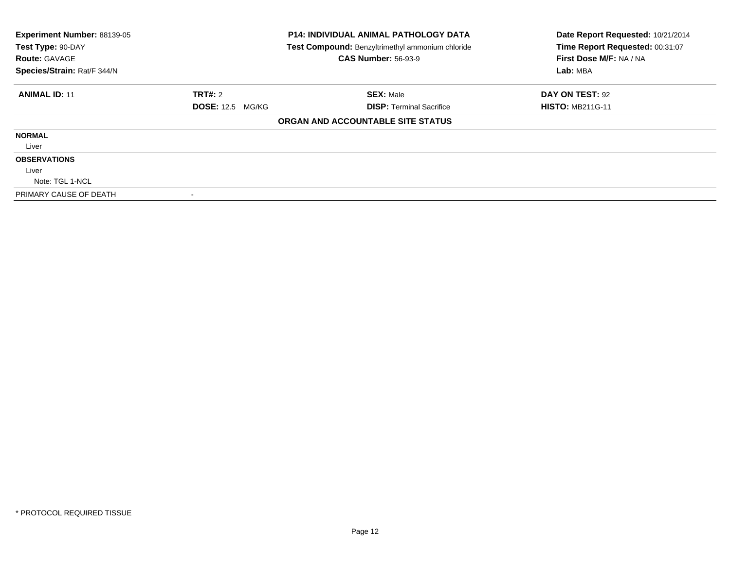| Experiment Number: 88139-05<br>Test Type: 90-DAY<br><b>Route: GAVAGE</b> | <b>P14: INDIVIDUAL ANIMAL PATHOLOGY DATA</b><br>Test Compound: Benzyltrimethyl ammonium chloride<br><b>CAS Number: 56-93-9</b> |                                   | Date Report Requested: 10/21/2014<br>Time Report Requested: 00:31:07<br>First Dose M/F: NA / NA |
|--------------------------------------------------------------------------|--------------------------------------------------------------------------------------------------------------------------------|-----------------------------------|-------------------------------------------------------------------------------------------------|
| Species/Strain: Rat/F 344/N                                              |                                                                                                                                |                                   | Lab: MBA                                                                                        |
| <b>ANIMAL ID: 11</b>                                                     | TRT#: 2                                                                                                                        | <b>SEX: Male</b>                  | DAY ON TEST: 92                                                                                 |
|                                                                          | <b>DOSE: 12.5 MG/KG</b>                                                                                                        | <b>DISP: Terminal Sacrifice</b>   | <b>HISTO: MB211G-11</b>                                                                         |
|                                                                          |                                                                                                                                | ORGAN AND ACCOUNTABLE SITE STATUS |                                                                                                 |
| <b>NORMAL</b>                                                            |                                                                                                                                |                                   |                                                                                                 |
| Liver                                                                    |                                                                                                                                |                                   |                                                                                                 |
| <b>OBSERVATIONS</b>                                                      |                                                                                                                                |                                   |                                                                                                 |
| Liver                                                                    |                                                                                                                                |                                   |                                                                                                 |
| Note: TGL 1-NCL                                                          |                                                                                                                                |                                   |                                                                                                 |
| PRIMARY CAUSE OF DEATH                                                   |                                                                                                                                |                                   |                                                                                                 |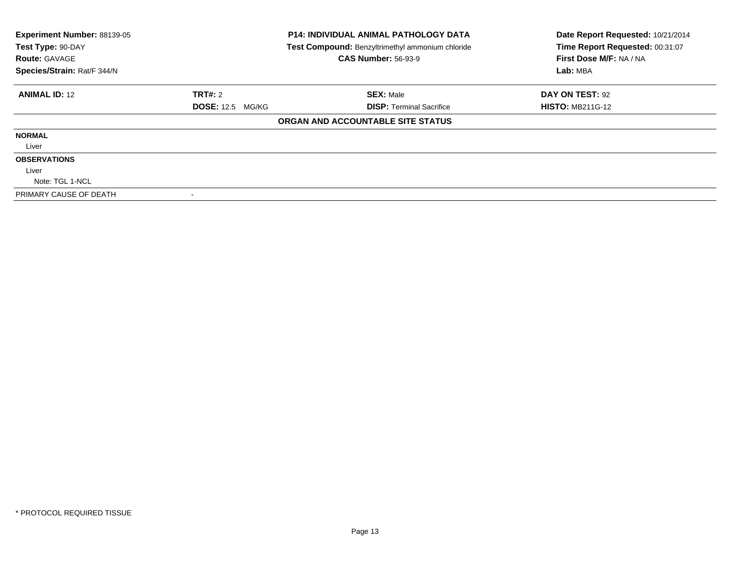| Experiment Number: 88139-05<br>Test Type: 90-DAY<br><b>Route: GAVAGE</b> |                         | <b>P14: INDIVIDUAL ANIMAL PATHOLOGY DATA</b><br>Test Compound: Benzyltrimethyl ammonium chloride<br><b>CAS Number: 56-93-9</b> | Date Report Requested: 10/21/2014<br>Time Report Requested: 00:31:07<br>First Dose M/F: NA / NA |
|--------------------------------------------------------------------------|-------------------------|--------------------------------------------------------------------------------------------------------------------------------|-------------------------------------------------------------------------------------------------|
| Species/Strain: Rat/F 344/N                                              |                         |                                                                                                                                | Lab: MBA                                                                                        |
| <b>ANIMAL ID: 12</b>                                                     | <b>TRT#: 2</b>          | <b>SEX: Male</b>                                                                                                               | DAY ON TEST: 92                                                                                 |
|                                                                          | <b>DOSE: 12.5 MG/KG</b> | <b>DISP: Terminal Sacrifice</b>                                                                                                | <b>HISTO: MB211G-12</b>                                                                         |
|                                                                          |                         | ORGAN AND ACCOUNTABLE SITE STATUS                                                                                              |                                                                                                 |
| <b>NORMAL</b>                                                            |                         |                                                                                                                                |                                                                                                 |
| Liver                                                                    |                         |                                                                                                                                |                                                                                                 |
| <b>OBSERVATIONS</b>                                                      |                         |                                                                                                                                |                                                                                                 |
| Liver                                                                    |                         |                                                                                                                                |                                                                                                 |
| Note: TGL 1-NCL                                                          |                         |                                                                                                                                |                                                                                                 |
| PRIMARY CAUSE OF DEATH                                                   |                         |                                                                                                                                |                                                                                                 |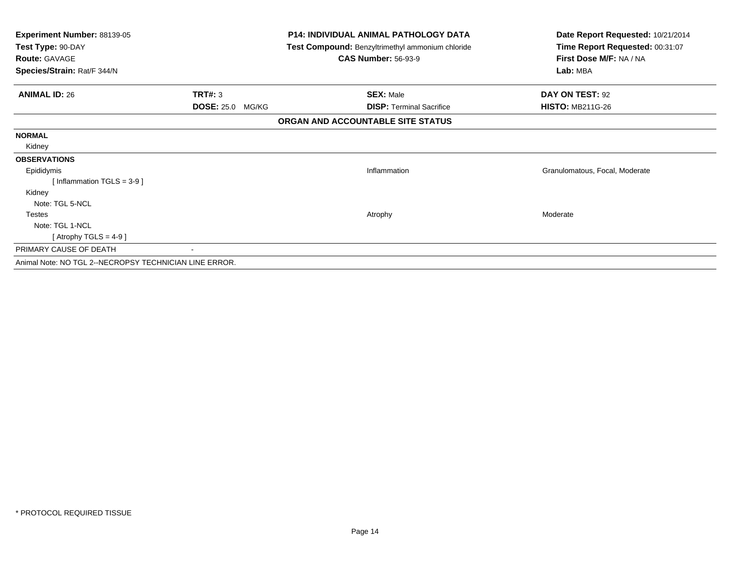| Experiment Number: 88139-05<br>Test Type: 90-DAY       |                         | <b>P14: INDIVIDUAL ANIMAL PATHOLOGY DATA</b>     | Date Report Requested: 10/21/2014 |
|--------------------------------------------------------|-------------------------|--------------------------------------------------|-----------------------------------|
|                                                        |                         | Test Compound: Benzyltrimethyl ammonium chloride | Time Report Requested: 00:31:07   |
| <b>Route: GAVAGE</b>                                   |                         | <b>CAS Number: 56-93-9</b>                       | First Dose M/F: NA / NA           |
| Species/Strain: Rat/F 344/N                            |                         |                                                  | Lab: MBA                          |
| <b>ANIMAL ID: 26</b>                                   | <b>TRT#: 3</b>          | <b>SEX: Male</b>                                 | DAY ON TEST: 92                   |
|                                                        | <b>DOSE: 25.0 MG/KG</b> | <b>DISP:</b> Terminal Sacrifice                  | <b>HISTO: MB211G-26</b>           |
|                                                        |                         | ORGAN AND ACCOUNTABLE SITE STATUS                |                                   |
| <b>NORMAL</b>                                          |                         |                                                  |                                   |
| Kidney                                                 |                         |                                                  |                                   |
| <b>OBSERVATIONS</b>                                    |                         |                                                  |                                   |
| Epididymis                                             |                         | Inflammation                                     | Granulomatous, Focal, Moderate    |
| [Inflammation TGLS = $3-9$ ]                           |                         |                                                  |                                   |
| Kidney                                                 |                         |                                                  |                                   |
| Note: TGL 5-NCL                                        |                         |                                                  |                                   |
| <b>Testes</b>                                          |                         | Atrophy                                          | Moderate                          |
| Note: TGL 1-NCL                                        |                         |                                                  |                                   |
| [Atrophy TGLS = $4-9$ ]                                |                         |                                                  |                                   |
| PRIMARY CAUSE OF DEATH                                 |                         |                                                  |                                   |
| Animal Note: NO TGL 2--NECROPSY TECHNICIAN LINE ERROR. |                         |                                                  |                                   |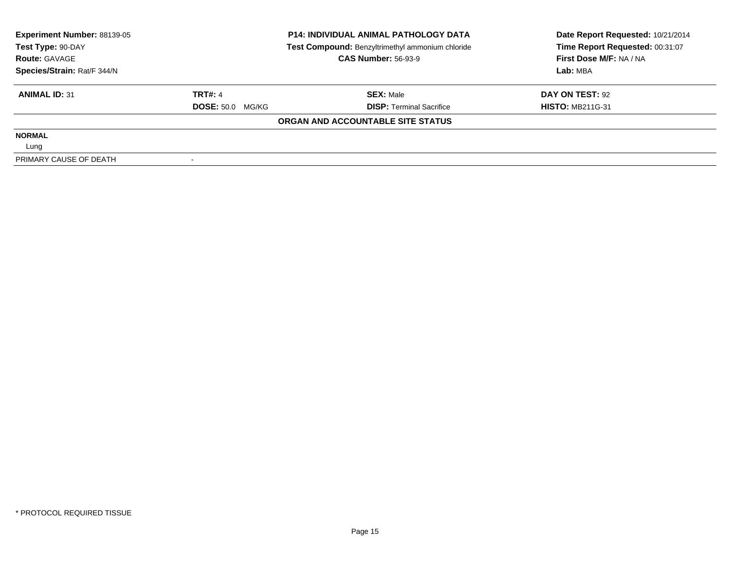| <b>Experiment Number: 88139-05</b> |                         | <b>P14: INDIVIDUAL ANIMAL PATHOLOGY DATA</b>     | Date Report Requested: 10/21/2014 |  |
|------------------------------------|-------------------------|--------------------------------------------------|-----------------------------------|--|
| Test Type: 90-DAY                  |                         | Test Compound: Benzyltrimethyl ammonium chloride | Time Report Requested: 00:31:07   |  |
| <b>Route: GAVAGE</b>               |                         | <b>CAS Number: 56-93-9</b>                       | First Dose M/F: NA / NA           |  |
| Species/Strain: Rat/F 344/N        |                         |                                                  | Lab: MBA                          |  |
| <b>ANIMAL ID: 31</b>               | <b>TRT#: 4</b>          | <b>SEX: Male</b>                                 | DAY ON TEST: 92                   |  |
|                                    | <b>DOSE: 50.0 MG/KG</b> | <b>DISP: Terminal Sacrifice</b>                  | <b>HISTO: MB211G-31</b>           |  |
|                                    |                         | ORGAN AND ACCOUNTABLE SITE STATUS                |                                   |  |
| <b>NORMAL</b>                      |                         |                                                  |                                   |  |
| Lung                               |                         |                                                  |                                   |  |
| PRIMARY CAUSE OF DEATH             |                         |                                                  |                                   |  |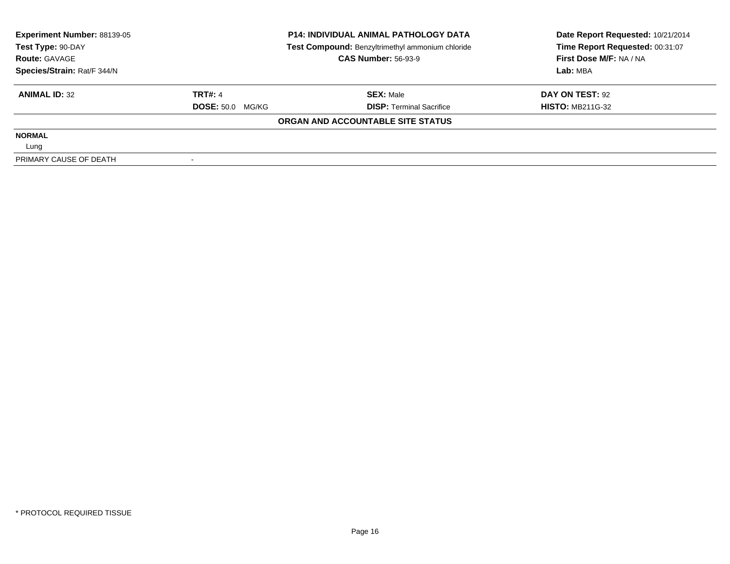| Experiment Number: 88139-05<br>Test Type: 90-DAY |                         | <b>P14: INDIVIDUAL ANIMAL PATHOLOGY DATA</b>     | Date Report Requested: 10/21/2014 |
|--------------------------------------------------|-------------------------|--------------------------------------------------|-----------------------------------|
|                                                  |                         | Test Compound: Benzyltrimethyl ammonium chloride | Time Report Requested: 00:31:07   |
| <b>Route: GAVAGE</b>                             |                         | <b>CAS Number: 56-93-9</b>                       | First Dose M/F: NA / NA           |
| Species/Strain: Rat/F 344/N                      |                         |                                                  | Lab: MBA                          |
| <b>ANIMAL ID: 32</b>                             | <b>TRT#: 4</b>          | <b>SEX: Male</b>                                 | DAY ON TEST: 92                   |
|                                                  | <b>DOSE: 50.0 MG/KG</b> | <b>DISP: Terminal Sacrifice</b>                  | <b>HISTO: MB211G-32</b>           |
|                                                  |                         | ORGAN AND ACCOUNTABLE SITE STATUS                |                                   |
| <b>NORMAL</b>                                    |                         |                                                  |                                   |
| Lung                                             |                         |                                                  |                                   |
| PRIMARY CAUSE OF DEATH                           |                         |                                                  |                                   |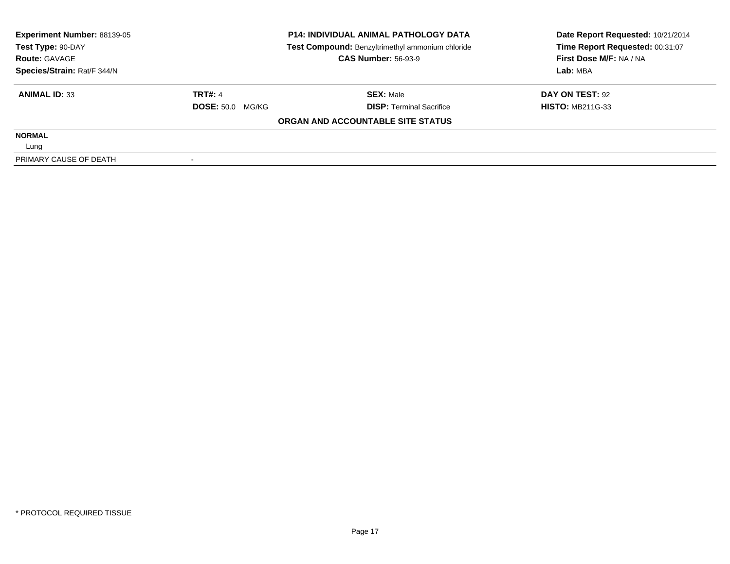| Experiment Number: 88139-05<br>Test Type: 90-DAY |                         | <b>P14: INDIVIDUAL ANIMAL PATHOLOGY DATA</b>     | Date Report Requested: 10/21/2014 |  |
|--------------------------------------------------|-------------------------|--------------------------------------------------|-----------------------------------|--|
|                                                  |                         | Test Compound: Benzyltrimethyl ammonium chloride | Time Report Requested: 00:31:07   |  |
| <b>Route: GAVAGE</b>                             |                         | <b>CAS Number: 56-93-9</b>                       | First Dose M/F: NA / NA           |  |
| Species/Strain: Rat/F 344/N                      |                         |                                                  | Lab: MBA                          |  |
| <b>ANIMAL ID: 33</b>                             | <b>TRT#: 4</b>          | <b>SEX: Male</b>                                 | DAY ON TEST: 92                   |  |
|                                                  | <b>DOSE: 50.0 MG/KG</b> | <b>DISP: Terminal Sacrifice</b>                  | <b>HISTO: MB211G-33</b>           |  |
|                                                  |                         | ORGAN AND ACCOUNTABLE SITE STATUS                |                                   |  |
| <b>NORMAL</b>                                    |                         |                                                  |                                   |  |
| Lung                                             |                         |                                                  |                                   |  |
| PRIMARY CAUSE OF DEATH                           |                         |                                                  |                                   |  |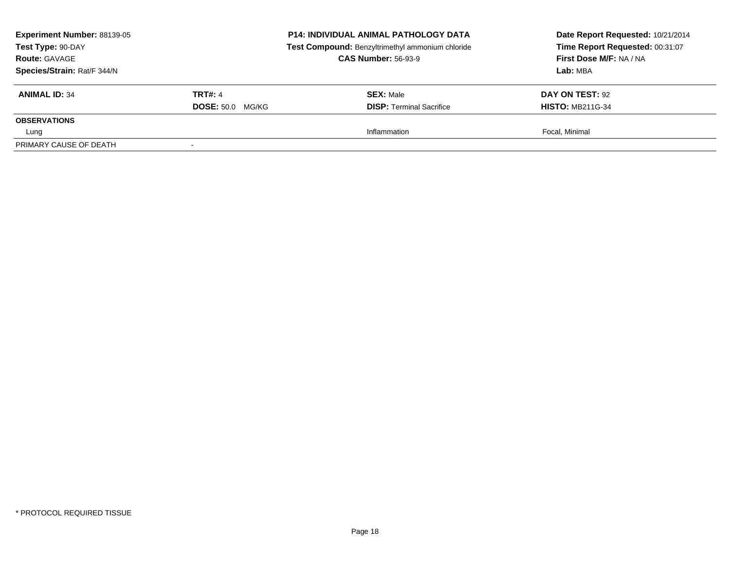| Experiment Number: 88139-05<br>Test Type: 90-DAY<br><b>Route: GAVAGE</b><br>Species/Strain: Rat/F 344/N |                         | <b>P14: INDIVIDUAL ANIMAL PATHOLOGY DATA</b><br>Test Compound: Benzyltrimethyl ammonium chloride<br><b>CAS Number: 56-93-9</b> | Date Report Requested: 10/21/2014<br>Time Report Requested: 00:31:07<br>First Dose M/F: NA / NA<br>Lab: MBA |
|---------------------------------------------------------------------------------------------------------|-------------------------|--------------------------------------------------------------------------------------------------------------------------------|-------------------------------------------------------------------------------------------------------------|
| <b>ANIMAL ID: 34</b>                                                                                    | <b>TRT#: 4</b>          | <b>SEX: Male</b>                                                                                                               | DAY ON TEST: 92                                                                                             |
|                                                                                                         | <b>DOSE: 50.0 MG/KG</b> | <b>DISP: Terminal Sacrifice</b>                                                                                                | <b>HISTO: MB211G-34</b>                                                                                     |
| <b>OBSERVATIONS</b>                                                                                     |                         |                                                                                                                                |                                                                                                             |
| Lung                                                                                                    |                         | Inflammation                                                                                                                   | Focal, Minimal                                                                                              |
| PRIMARY CAUSE OF DEATH                                                                                  | $\sim$                  |                                                                                                                                |                                                                                                             |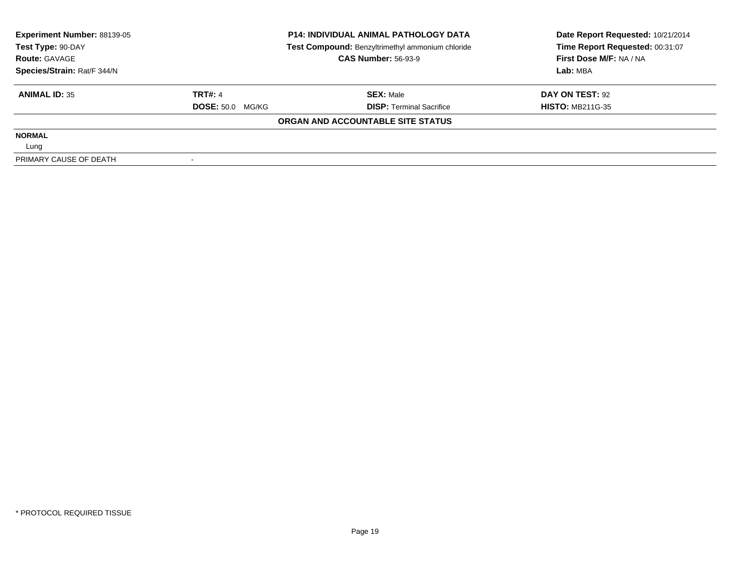| <b>Experiment Number: 88139-05</b> |                         | <b>P14: INDIVIDUAL ANIMAL PATHOLOGY DATA</b>     | Date Report Requested: 10/21/2014 |  |
|------------------------------------|-------------------------|--------------------------------------------------|-----------------------------------|--|
| Test Type: 90-DAY                  |                         | Test Compound: Benzyltrimethyl ammonium chloride | Time Report Requested: 00:31:07   |  |
| <b>Route: GAVAGE</b>               |                         | <b>CAS Number: 56-93-9</b>                       | First Dose M/F: NA / NA           |  |
| Species/Strain: Rat/F 344/N        |                         |                                                  | Lab: MBA                          |  |
| <b>ANIMAL ID: 35</b>               | <b>TRT#: 4</b>          | <b>SEX: Male</b>                                 | DAY ON TEST: 92                   |  |
|                                    | <b>DOSE: 50.0 MG/KG</b> | <b>DISP: Terminal Sacrifice</b>                  | <b>HISTO: MB211G-35</b>           |  |
|                                    |                         | ORGAN AND ACCOUNTABLE SITE STATUS                |                                   |  |
| <b>NORMAL</b>                      |                         |                                                  |                                   |  |
| Lung                               |                         |                                                  |                                   |  |
| PRIMARY CAUSE OF DEATH             |                         |                                                  |                                   |  |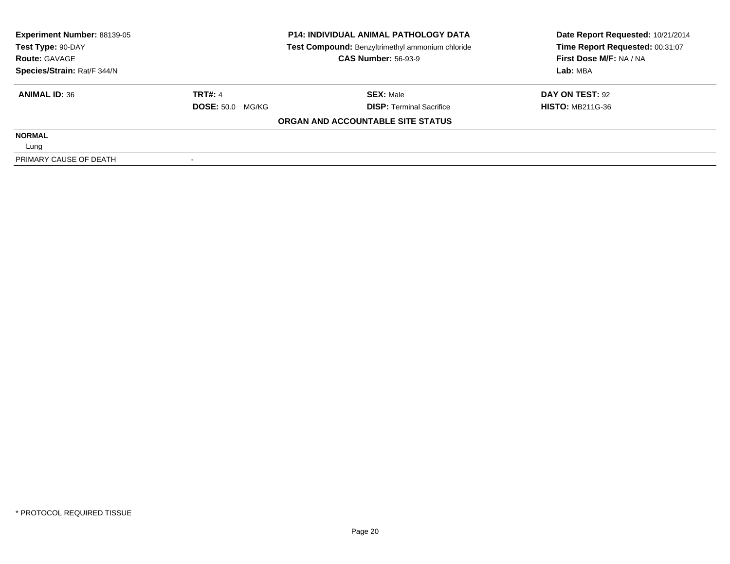| Experiment Number: 88139-05<br>Test Type: 90-DAY |                         | <b>P14: INDIVIDUAL ANIMAL PATHOLOGY DATA</b>     | Date Report Requested: 10/21/2014 |  |
|--------------------------------------------------|-------------------------|--------------------------------------------------|-----------------------------------|--|
|                                                  |                         | Test Compound: Benzyltrimethyl ammonium chloride | Time Report Requested: 00:31:07   |  |
| <b>Route: GAVAGE</b>                             |                         | <b>CAS Number: 56-93-9</b>                       | First Dose M/F: NA / NA           |  |
| Species/Strain: Rat/F 344/N                      |                         |                                                  | Lab: MBA                          |  |
| <b>ANIMAL ID: 36</b>                             | <b>TRT#: 4</b>          | <b>SEX: Male</b>                                 | DAY ON TEST: 92                   |  |
|                                                  | <b>DOSE: 50.0 MG/KG</b> | <b>DISP: Terminal Sacrifice</b>                  | <b>HISTO: MB211G-36</b>           |  |
|                                                  |                         | ORGAN AND ACCOUNTABLE SITE STATUS                |                                   |  |
| <b>NORMAL</b>                                    |                         |                                                  |                                   |  |
| Lung                                             |                         |                                                  |                                   |  |
| PRIMARY CAUSE OF DEATH                           |                         |                                                  |                                   |  |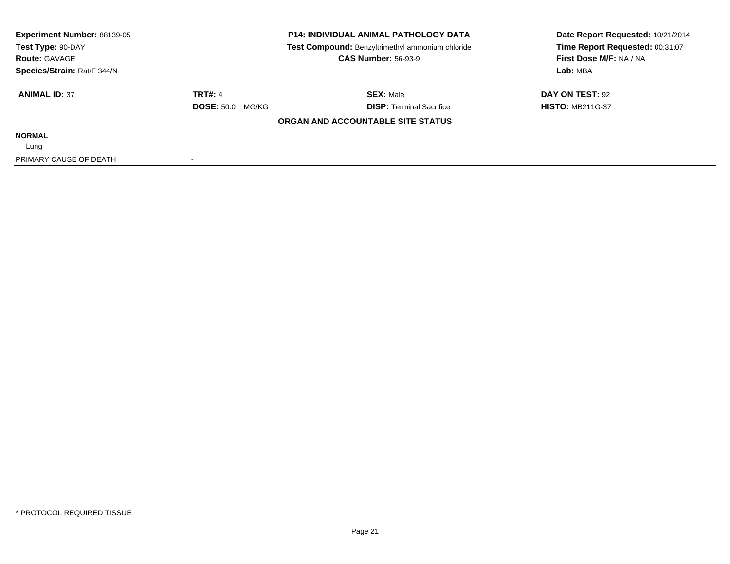| Experiment Number: 88139-05<br>Test Type: 90-DAY |                         | <b>P14: INDIVIDUAL ANIMAL PATHOLOGY DATA</b>     | Date Report Requested: 10/21/2014 |
|--------------------------------------------------|-------------------------|--------------------------------------------------|-----------------------------------|
|                                                  |                         | Test Compound: Benzyltrimethyl ammonium chloride | Time Report Requested: 00:31:07   |
| <b>Route: GAVAGE</b>                             |                         | <b>CAS Number: 56-93-9</b>                       | First Dose M/F: NA / NA           |
| Species/Strain: Rat/F 344/N                      |                         |                                                  | Lab: MBA                          |
| <b>ANIMAL ID: 37</b>                             | <b>TRT#: 4</b>          | <b>SEX: Male</b>                                 | DAY ON TEST: 92                   |
|                                                  | <b>DOSE: 50.0 MG/KG</b> | <b>DISP: Terminal Sacrifice</b>                  | <b>HISTO: MB211G-37</b>           |
|                                                  |                         | ORGAN AND ACCOUNTABLE SITE STATUS                |                                   |
| <b>NORMAL</b>                                    |                         |                                                  |                                   |
| Lung                                             |                         |                                                  |                                   |
| PRIMARY CAUSE OF DEATH                           |                         |                                                  |                                   |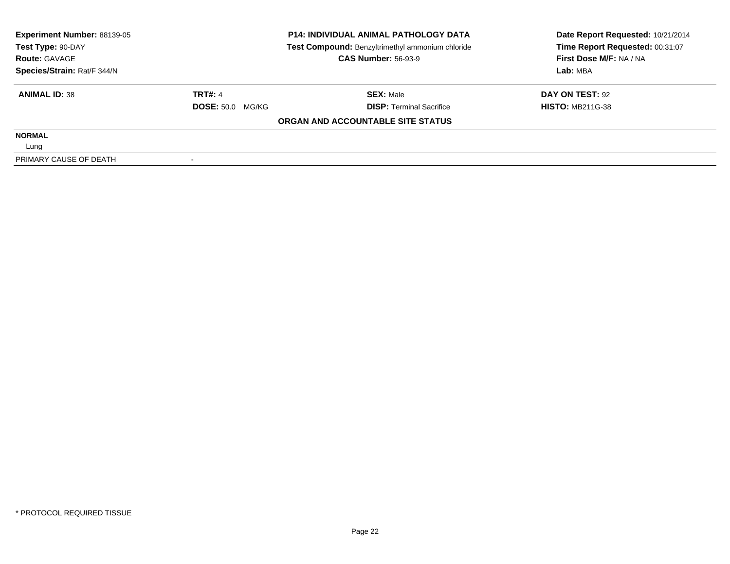| <b>Experiment Number: 88139-05</b> |                         | <b>P14: INDIVIDUAL ANIMAL PATHOLOGY DATA</b>     | Date Report Requested: 10/21/2014 |  |
|------------------------------------|-------------------------|--------------------------------------------------|-----------------------------------|--|
| Test Type: 90-DAY                  |                         | Test Compound: Benzyltrimethyl ammonium chloride | Time Report Requested: 00:31:07   |  |
| <b>Route: GAVAGE</b>               |                         | <b>CAS Number: 56-93-9</b>                       | First Dose M/F: NA / NA           |  |
| Species/Strain: Rat/F 344/N        |                         |                                                  | Lab: MBA                          |  |
| <b>ANIMAL ID: 38</b>               | <b>TRT#: 4</b>          | <b>SEX: Male</b>                                 | DAY ON TEST: 92                   |  |
|                                    | <b>DOSE: 50.0 MG/KG</b> | <b>DISP: Terminal Sacrifice</b>                  | <b>HISTO: MB211G-38</b>           |  |
|                                    |                         | ORGAN AND ACCOUNTABLE SITE STATUS                |                                   |  |
| <b>NORMAL</b>                      |                         |                                                  |                                   |  |
| Lung                               |                         |                                                  |                                   |  |
| PRIMARY CAUSE OF DEATH             |                         |                                                  |                                   |  |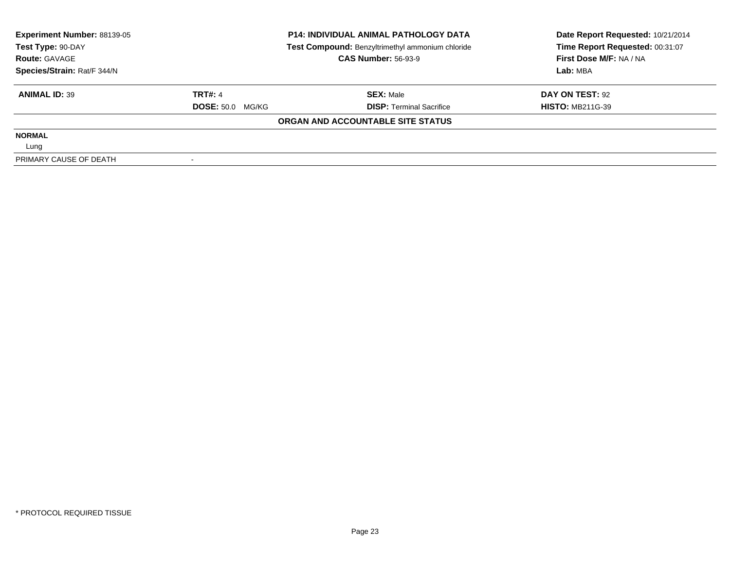| Experiment Number: 88139-05<br>Test Type: 90-DAY |                         | <b>P14: INDIVIDUAL ANIMAL PATHOLOGY DATA</b>     | Date Report Requested: 10/21/2014 |
|--------------------------------------------------|-------------------------|--------------------------------------------------|-----------------------------------|
|                                                  |                         | Test Compound: Benzyltrimethyl ammonium chloride | Time Report Requested: 00:31:07   |
| <b>Route: GAVAGE</b>                             |                         | <b>CAS Number: 56-93-9</b>                       | First Dose M/F: NA / NA           |
| Species/Strain: Rat/F 344/N                      |                         |                                                  | Lab: MBA                          |
| <b>ANIMAL ID: 39</b>                             | <b>TRT#: 4</b>          | <b>SEX: Male</b>                                 | DAY ON TEST: 92                   |
|                                                  | <b>DOSE: 50.0 MG/KG</b> | <b>DISP: Terminal Sacrifice</b>                  | <b>HISTO: MB211G-39</b>           |
|                                                  |                         | ORGAN AND ACCOUNTABLE SITE STATUS                |                                   |
| <b>NORMAL</b>                                    |                         |                                                  |                                   |
| Lung                                             |                         |                                                  |                                   |
| PRIMARY CAUSE OF DEATH                           |                         |                                                  |                                   |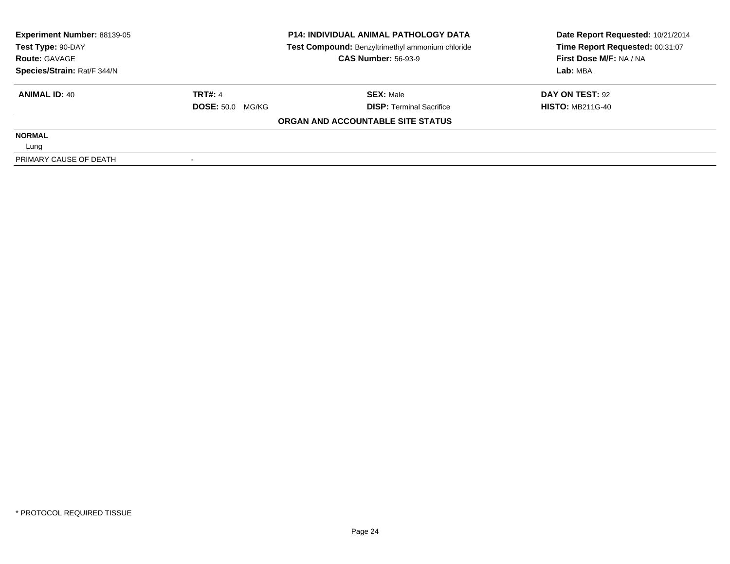| Experiment Number: 88139-05<br>Test Type: 90-DAY |                         | <b>P14: INDIVIDUAL ANIMAL PATHOLOGY DATA</b>     | Date Report Requested: 10/21/2014 |
|--------------------------------------------------|-------------------------|--------------------------------------------------|-----------------------------------|
|                                                  |                         | Test Compound: Benzyltrimethyl ammonium chloride | Time Report Requested: 00:31:07   |
| <b>Route: GAVAGE</b>                             |                         | <b>CAS Number: 56-93-9</b>                       | First Dose M/F: NA / NA           |
| Species/Strain: Rat/F 344/N                      |                         |                                                  | Lab: MBA                          |
| <b>ANIMAL ID: 40</b>                             | <b>TRT#: 4</b>          | <b>SEX: Male</b>                                 | DAY ON TEST: 92                   |
|                                                  | <b>DOSE: 50.0 MG/KG</b> | <b>DISP: Terminal Sacrifice</b>                  | <b>HISTO: MB211G-40</b>           |
|                                                  |                         | ORGAN AND ACCOUNTABLE SITE STATUS                |                                   |
| <b>NORMAL</b>                                    |                         |                                                  |                                   |
| Lung                                             |                         |                                                  |                                   |
| PRIMARY CAUSE OF DEATH                           |                         |                                                  |                                   |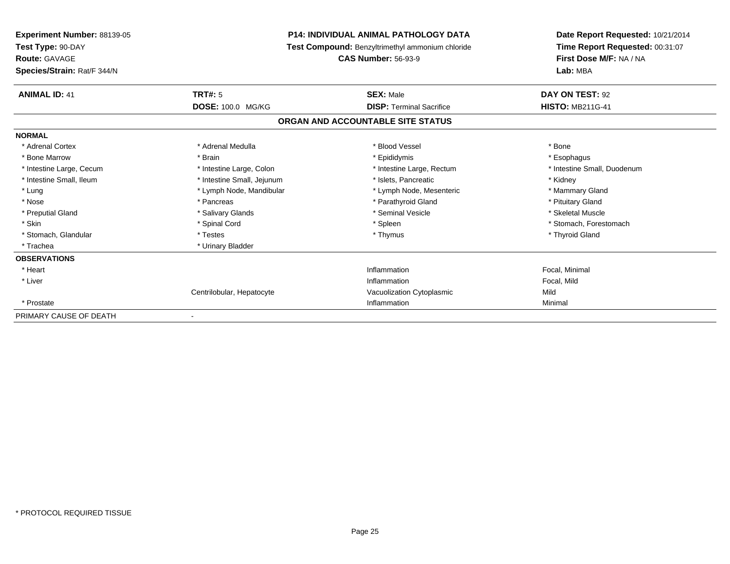| <b>Experiment Number: 88139-05</b> |                            | <b>P14: INDIVIDUAL ANIMAL PATHOLOGY DATA</b>     | Date Report Requested: 10/21/2014 |
|------------------------------------|----------------------------|--------------------------------------------------|-----------------------------------|
| Test Type: 90-DAY                  |                            | Test Compound: Benzyltrimethyl ammonium chloride | Time Report Requested: 00:31:07   |
| <b>Route: GAVAGE</b>               |                            | <b>CAS Number: 56-93-9</b>                       | First Dose M/F: NA / NA           |
| Species/Strain: Rat/F 344/N        |                            |                                                  | Lab: MBA                          |
| <b>ANIMAL ID: 41</b>               | TRT#: 5                    | <b>SEX: Male</b>                                 | DAY ON TEST: 92                   |
|                                    | DOSE: 100.0 MG/KG          | <b>DISP: Terminal Sacrifice</b>                  | <b>HISTO: MB211G-41</b>           |
|                                    |                            | ORGAN AND ACCOUNTABLE SITE STATUS                |                                   |
| <b>NORMAL</b>                      |                            |                                                  |                                   |
| * Adrenal Cortex                   | * Adrenal Medulla          | * Blood Vessel                                   | * Bone                            |
| * Bone Marrow                      | * Brain                    | * Epididymis                                     | * Esophagus                       |
| * Intestine Large, Cecum           | * Intestine Large, Colon   | * Intestine Large, Rectum                        | * Intestine Small, Duodenum       |
| * Intestine Small, Ileum           | * Intestine Small, Jejunum | * Islets. Pancreatic                             | * Kidney                          |
| * Lung                             | * Lymph Node, Mandibular   | * Lymph Node, Mesenteric                         | * Mammary Gland                   |
| * Nose                             | * Pancreas                 | * Parathyroid Gland                              | * Pituitary Gland                 |
| * Preputial Gland                  | * Salivary Glands          | * Seminal Vesicle                                | * Skeletal Muscle                 |
| * Skin                             | * Spinal Cord              | * Spleen                                         | * Stomach, Forestomach            |
| * Stomach, Glandular               | * Testes                   | * Thymus                                         | * Thyroid Gland                   |
| * Trachea                          | * Urinary Bladder          |                                                  |                                   |
| <b>OBSERVATIONS</b>                |                            |                                                  |                                   |
| * Heart                            |                            | Inflammation                                     | Focal, Minimal                    |
| * Liver                            |                            | Inflammation                                     | Focal, Mild                       |
|                                    | Centrilobular, Hepatocyte  | Vacuolization Cytoplasmic                        | Mild                              |
| * Prostate                         |                            | Inflammation                                     | Minimal                           |
| PRIMARY CAUSE OF DEATH             |                            |                                                  |                                   |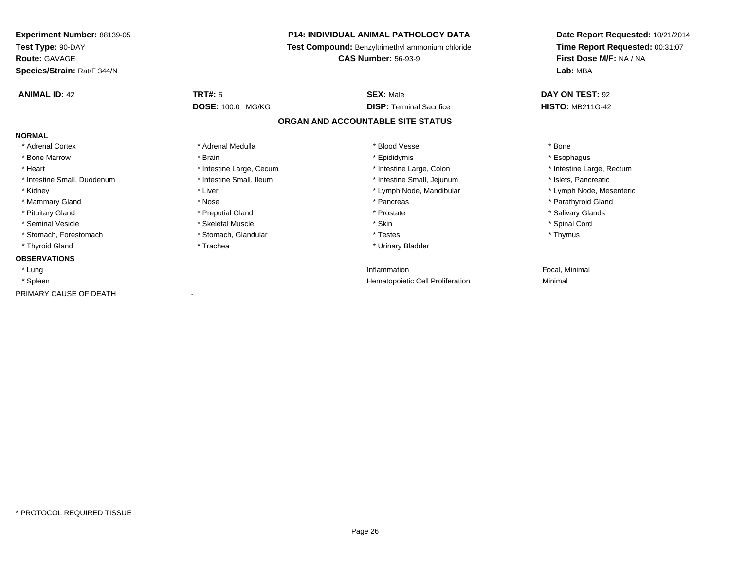| <b>Experiment Number: 88139-05</b><br>Test Type: 90-DAY<br><b>Route: GAVAGE</b><br>Species/Strain: Rat/F 344/N |                          | <b>P14: INDIVIDUAL ANIMAL PATHOLOGY DATA</b><br>Test Compound: Benzyltrimethyl ammonium chloride<br><b>CAS Number: 56-93-9</b> | Date Report Requested: 10/21/2014<br>Time Report Requested: 00:31:07<br>First Dose M/F: NA / NA<br>Lab: MBA |
|----------------------------------------------------------------------------------------------------------------|--------------------------|--------------------------------------------------------------------------------------------------------------------------------|-------------------------------------------------------------------------------------------------------------|
| <b>ANIMAL ID: 42</b>                                                                                           | TRT#: 5                  | <b>SEX: Male</b>                                                                                                               | DAY ON TEST: 92                                                                                             |
|                                                                                                                | <b>DOSE: 100.0 MG/KG</b> | <b>DISP: Terminal Sacrifice</b>                                                                                                | <b>HISTO: MB211G-42</b>                                                                                     |
|                                                                                                                |                          | ORGAN AND ACCOUNTABLE SITE STATUS                                                                                              |                                                                                                             |
| <b>NORMAL</b>                                                                                                  |                          |                                                                                                                                |                                                                                                             |
| * Adrenal Cortex                                                                                               | * Adrenal Medulla        | * Blood Vessel                                                                                                                 | * Bone                                                                                                      |
| * Bone Marrow                                                                                                  | * Brain                  | * Epididymis                                                                                                                   | * Esophagus                                                                                                 |
| * Heart                                                                                                        | * Intestine Large, Cecum | * Intestine Large, Colon                                                                                                       | * Intestine Large, Rectum                                                                                   |
| * Intestine Small, Duodenum                                                                                    | * Intestine Small, Ileum | * Intestine Small, Jejunum                                                                                                     | * Islets, Pancreatic                                                                                        |
| * Kidney                                                                                                       | * Liver                  | * Lymph Node, Mandibular                                                                                                       | * Lymph Node, Mesenteric                                                                                    |
| * Mammary Gland                                                                                                | * Nose                   | * Pancreas                                                                                                                     | * Parathyroid Gland                                                                                         |
| * Pituitary Gland                                                                                              | * Preputial Gland        | * Prostate                                                                                                                     | * Salivary Glands                                                                                           |
| * Seminal Vesicle                                                                                              | * Skeletal Muscle        | * Skin                                                                                                                         | * Spinal Cord                                                                                               |
| * Stomach, Forestomach                                                                                         | * Stomach, Glandular     | * Testes                                                                                                                       | * Thymus                                                                                                    |
| * Thyroid Gland                                                                                                | * Trachea                | * Urinary Bladder                                                                                                              |                                                                                                             |
| <b>OBSERVATIONS</b>                                                                                            |                          |                                                                                                                                |                                                                                                             |
| * Lung                                                                                                         |                          | Inflammation                                                                                                                   | Focal, Minimal                                                                                              |
| * Spleen                                                                                                       |                          | <b>Hematopoietic Cell Proliferation</b>                                                                                        | Minimal                                                                                                     |
| PRIMARY CAUSE OF DEATH                                                                                         |                          |                                                                                                                                |                                                                                                             |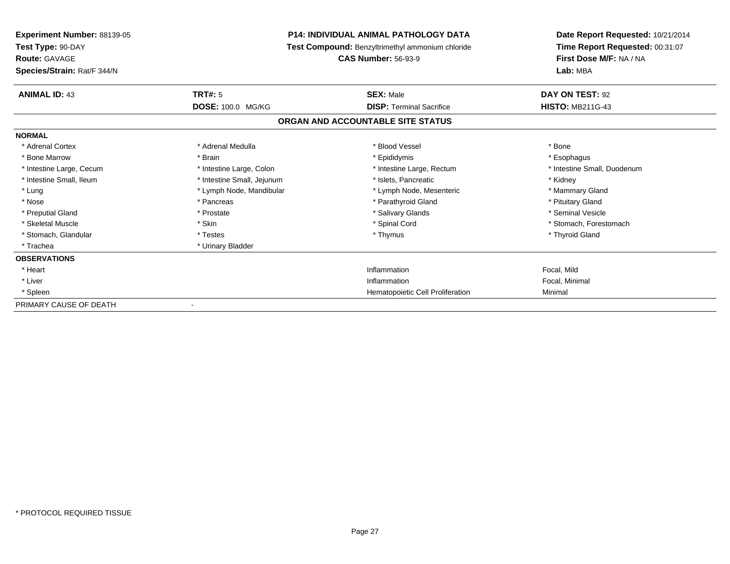| <b>Experiment Number: 88139-05</b> |                            | <b>P14: INDIVIDUAL ANIMAL PATHOLOGY DATA</b>     | Date Report Requested: 10/21/2014 |
|------------------------------------|----------------------------|--------------------------------------------------|-----------------------------------|
| Test Type: 90-DAY                  |                            | Test Compound: Benzyltrimethyl ammonium chloride | Time Report Requested: 00:31:07   |
| <b>Route: GAVAGE</b>               |                            | <b>CAS Number: 56-93-9</b>                       | First Dose M/F: NA / NA           |
| Species/Strain: Rat/F 344/N        |                            |                                                  | Lab: MBA                          |
| <b>ANIMAL ID: 43</b>               | <b>TRT#: 5</b>             | <b>SEX: Male</b>                                 | DAY ON TEST: 92                   |
|                                    | DOSE: 100.0 MG/KG          | <b>DISP: Terminal Sacrifice</b>                  | <b>HISTO: MB211G-43</b>           |
|                                    |                            | ORGAN AND ACCOUNTABLE SITE STATUS                |                                   |
| <b>NORMAL</b>                      |                            |                                                  |                                   |
| * Adrenal Cortex                   | * Adrenal Medulla          | * Blood Vessel                                   | * Bone                            |
| * Bone Marrow                      | * Brain                    | * Epididymis                                     | * Esophagus                       |
| * Intestine Large, Cecum           | * Intestine Large, Colon   | * Intestine Large, Rectum                        | * Intestine Small, Duodenum       |
| * Intestine Small, Ileum           | * Intestine Small, Jejunum | * Islets, Pancreatic                             | * Kidney                          |
| * Lung                             | * Lymph Node, Mandibular   | * Lymph Node, Mesenteric                         | * Mammary Gland                   |
| * Nose                             | * Pancreas                 | * Parathyroid Gland                              | * Pituitary Gland                 |
| * Preputial Gland                  | * Prostate                 | * Salivary Glands                                | * Seminal Vesicle                 |
| * Skeletal Muscle                  | * Skin                     | * Spinal Cord                                    | * Stomach, Forestomach            |
| * Stomach, Glandular               | * Testes                   | * Thymus                                         | * Thyroid Gland                   |
| * Trachea                          | * Urinary Bladder          |                                                  |                                   |
| <b>OBSERVATIONS</b>                |                            |                                                  |                                   |
| * Heart                            |                            | Inflammation                                     | Focal, Mild                       |
| * Liver                            |                            | Inflammation                                     | Focal, Minimal                    |
| * Spleen                           |                            | Hematopoietic Cell Proliferation                 | Minimal                           |
| PRIMARY CAUSE OF DEATH             |                            |                                                  |                                   |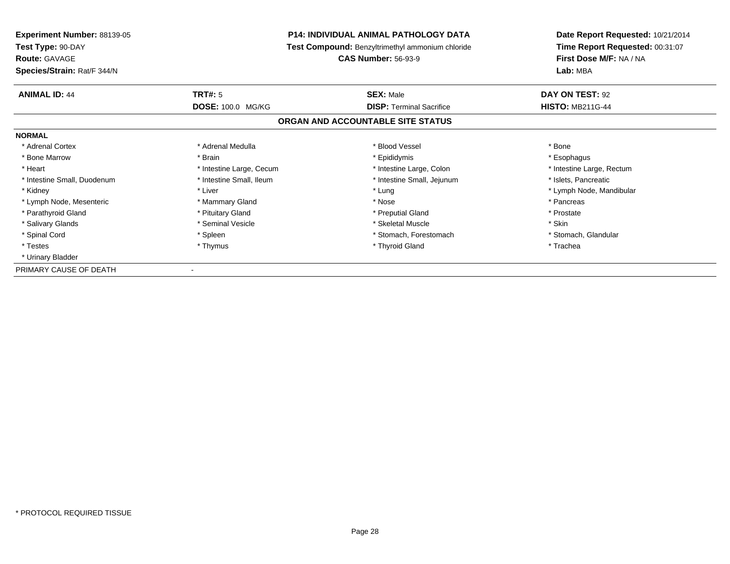| Experiment Number: 88139-05 |                                                  | <b>P14: INDIVIDUAL ANIMAL PATHOLOGY DATA</b> | Date Report Requested: 10/21/2014 |  |
|-----------------------------|--------------------------------------------------|----------------------------------------------|-----------------------------------|--|
| Test Type: 90-DAY           | Test Compound: Benzyltrimethyl ammonium chloride |                                              | Time Report Requested: 00:31:07   |  |
| <b>Route: GAVAGE</b>        |                                                  | <b>CAS Number: 56-93-9</b>                   | First Dose M/F: NA / NA           |  |
| Species/Strain: Rat/F 344/N |                                                  |                                              | Lab: MBA                          |  |
| <b>ANIMAL ID: 44</b>        | <b>TRT#: 5</b>                                   | <b>SEX: Male</b>                             | DAY ON TEST: 92                   |  |
|                             | <b>DOSE: 100.0 MG/KG</b>                         | <b>DISP:</b> Terminal Sacrifice              | <b>HISTO: MB211G-44</b>           |  |
|                             |                                                  | ORGAN AND ACCOUNTABLE SITE STATUS            |                                   |  |
| <b>NORMAL</b>               |                                                  |                                              |                                   |  |
| * Adrenal Cortex            | * Adrenal Medulla                                | * Blood Vessel                               | * Bone                            |  |
| * Bone Marrow               | * Brain                                          | * Epididymis                                 | * Esophagus                       |  |
| * Heart                     | * Intestine Large, Cecum                         | * Intestine Large, Colon                     | * Intestine Large, Rectum         |  |
| * Intestine Small, Duodenum | * Intestine Small, Ileum                         | * Intestine Small, Jejunum                   | * Islets, Pancreatic              |  |
| * Kidney                    | * Liver                                          | * Lung                                       | * Lymph Node, Mandibular          |  |
| * Lymph Node, Mesenteric    | * Mammary Gland                                  | * Nose                                       | * Pancreas                        |  |
| * Parathyroid Gland         | * Pituitary Gland                                | * Preputial Gland                            | * Prostate                        |  |
| * Salivary Glands           | * Seminal Vesicle                                | * Skeletal Muscle                            | * Skin                            |  |
| * Spinal Cord               | * Spleen                                         | * Stomach, Forestomach                       | * Stomach, Glandular              |  |
| * Testes                    | * Thymus                                         | * Thyroid Gland                              | * Trachea                         |  |
| * Urinary Bladder           |                                                  |                                              |                                   |  |
| PRIMARY CAUSE OF DEATH      |                                                  |                                              |                                   |  |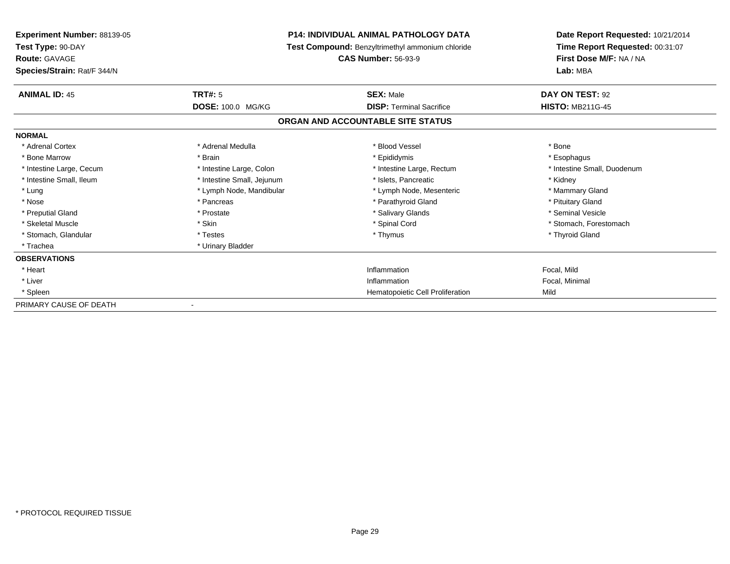| Experiment Number: 88139-05<br>Test Type: 90-DAY |                            | <b>P14: INDIVIDUAL ANIMAL PATHOLOGY DATA</b>     | Date Report Requested: 10/21/2014<br>Time Report Requested: 00:31:07 |  |
|--------------------------------------------------|----------------------------|--------------------------------------------------|----------------------------------------------------------------------|--|
|                                                  |                            | Test Compound: Benzyltrimethyl ammonium chloride |                                                                      |  |
| <b>Route: GAVAGE</b>                             |                            | <b>CAS Number: 56-93-9</b>                       | First Dose M/F: NA / NA                                              |  |
| Species/Strain: Rat/F 344/N                      |                            |                                                  | Lab: MBA                                                             |  |
| <b>ANIMAL ID: 45</b>                             | <b>TRT#: 5</b>             | <b>SEX: Male</b>                                 | DAY ON TEST: 92                                                      |  |
|                                                  | DOSE: 100.0 MG/KG          | <b>DISP: Terminal Sacrifice</b>                  | <b>HISTO: MB211G-45</b>                                              |  |
|                                                  |                            | ORGAN AND ACCOUNTABLE SITE STATUS                |                                                                      |  |
| <b>NORMAL</b>                                    |                            |                                                  |                                                                      |  |
| * Adrenal Cortex                                 | * Adrenal Medulla          | * Blood Vessel                                   | * Bone                                                               |  |
| * Bone Marrow                                    | * Brain                    | * Epididymis                                     | * Esophagus                                                          |  |
| * Intestine Large, Cecum                         | * Intestine Large, Colon   | * Intestine Large, Rectum                        | * Intestine Small, Duodenum                                          |  |
| * Intestine Small, Ileum                         | * Intestine Small, Jejunum | * Islets. Pancreatic                             | * Kidney                                                             |  |
| * Lung                                           | * Lymph Node, Mandibular   | * Lymph Node, Mesenteric                         | * Mammary Gland                                                      |  |
| * Nose                                           | * Pancreas                 | * Parathyroid Gland                              | * Pituitary Gland                                                    |  |
| * Preputial Gland                                | * Prostate                 | * Salivary Glands                                | * Seminal Vesicle                                                    |  |
| * Skeletal Muscle                                | * Skin                     | * Spinal Cord                                    | * Stomach, Forestomach                                               |  |
| * Stomach, Glandular                             | * Testes                   | * Thymus                                         | * Thyroid Gland                                                      |  |
| * Trachea                                        | * Urinary Bladder          |                                                  |                                                                      |  |
| <b>OBSERVATIONS</b>                              |                            |                                                  |                                                                      |  |
| * Heart                                          |                            | Inflammation                                     | Focal, Mild                                                          |  |
| * Liver                                          |                            | Inflammation                                     | Focal, Minimal                                                       |  |
| * Spleen                                         |                            | Hematopoietic Cell Proliferation                 | Mild                                                                 |  |
| PRIMARY CAUSE OF DEATH                           |                            |                                                  |                                                                      |  |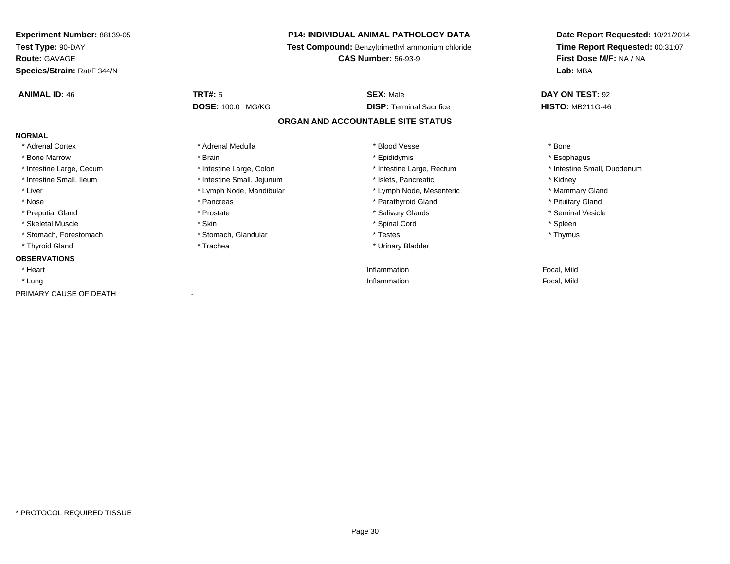| <b>Experiment Number: 88139-05</b><br>Test Type: 90-DAY<br><b>Route: GAVAGE</b><br>Species/Strain: Rat/F 344/N |                            | <b>P14: INDIVIDUAL ANIMAL PATHOLOGY DATA</b><br>Test Compound: Benzyltrimethyl ammonium chloride<br><b>CAS Number: 56-93-9</b> | Date Report Requested: 10/21/2014<br>Time Report Requested: 00:31:07<br>First Dose M/F: NA / NA<br>Lab: MBA |
|----------------------------------------------------------------------------------------------------------------|----------------------------|--------------------------------------------------------------------------------------------------------------------------------|-------------------------------------------------------------------------------------------------------------|
| <b>ANIMAL ID: 46</b>                                                                                           | TRT#: 5                    | <b>SEX: Male</b>                                                                                                               | DAY ON TEST: 92                                                                                             |
|                                                                                                                | DOSE: 100.0 MG/KG          | <b>DISP: Terminal Sacrifice</b>                                                                                                | <b>HISTO: MB211G-46</b>                                                                                     |
|                                                                                                                |                            | ORGAN AND ACCOUNTABLE SITE STATUS                                                                                              |                                                                                                             |
| <b>NORMAL</b>                                                                                                  |                            |                                                                                                                                |                                                                                                             |
| * Adrenal Cortex                                                                                               | * Adrenal Medulla          | * Blood Vessel                                                                                                                 | * Bone                                                                                                      |
| * Bone Marrow                                                                                                  | * Brain                    | * Epididymis                                                                                                                   | * Esophagus                                                                                                 |
| * Intestine Large, Cecum                                                                                       | * Intestine Large, Colon   | * Intestine Large, Rectum                                                                                                      | * Intestine Small, Duodenum                                                                                 |
| * Intestine Small, Ileum                                                                                       | * Intestine Small, Jejunum | * Islets, Pancreatic                                                                                                           | * Kidney                                                                                                    |
| * Liver                                                                                                        | * Lymph Node, Mandibular   | * Lymph Node, Mesenteric                                                                                                       | * Mammary Gland                                                                                             |
| * Nose                                                                                                         | * Pancreas                 | * Parathyroid Gland                                                                                                            | * Pituitary Gland                                                                                           |
| * Preputial Gland                                                                                              | * Prostate                 | * Salivary Glands                                                                                                              | * Seminal Vesicle                                                                                           |
| * Skeletal Muscle                                                                                              | * Skin                     | * Spinal Cord                                                                                                                  | * Spleen                                                                                                    |
| * Stomach, Forestomach                                                                                         | * Stomach, Glandular       | * Testes                                                                                                                       | * Thymus                                                                                                    |
| * Thyroid Gland                                                                                                | * Trachea                  | * Urinary Bladder                                                                                                              |                                                                                                             |
| <b>OBSERVATIONS</b>                                                                                            |                            |                                                                                                                                |                                                                                                             |
| * Heart                                                                                                        |                            | Inflammation                                                                                                                   | Focal, Mild                                                                                                 |
| * Lung                                                                                                         |                            | Inflammation                                                                                                                   | Focal, Mild                                                                                                 |
| PRIMARY CAUSE OF DEATH                                                                                         |                            |                                                                                                                                |                                                                                                             |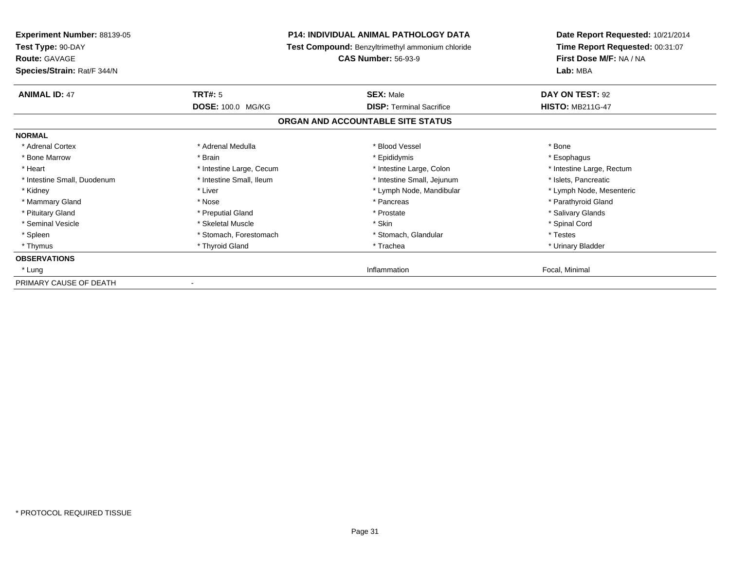| <b>Experiment Number: 88139-05</b> | P14: INDIVIDUAL ANIMAL PATHOLOGY DATA<br>Test Compound: Benzyltrimethyl ammonium chloride |                                   | Date Report Requested: 10/21/2014<br>Time Report Requested: 00:31:07 |  |
|------------------------------------|-------------------------------------------------------------------------------------------|-----------------------------------|----------------------------------------------------------------------|--|
| Test Type: 90-DAY                  |                                                                                           |                                   |                                                                      |  |
| <b>Route: GAVAGE</b>               |                                                                                           | <b>CAS Number: 56-93-9</b>        | First Dose M/F: NA / NA                                              |  |
| Species/Strain: Rat/F 344/N        |                                                                                           |                                   | Lab: MBA                                                             |  |
| <b>ANIMAL ID: 47</b>               | <b>TRT#: 5</b>                                                                            | <b>SEX: Male</b>                  | DAY ON TEST: 92                                                      |  |
|                                    | <b>DOSE: 100.0 MG/KG</b>                                                                  | <b>DISP: Terminal Sacrifice</b>   | <b>HISTO: MB211G-47</b>                                              |  |
|                                    |                                                                                           | ORGAN AND ACCOUNTABLE SITE STATUS |                                                                      |  |
| <b>NORMAL</b>                      |                                                                                           |                                   |                                                                      |  |
| * Adrenal Cortex                   | * Adrenal Medulla                                                                         | * Blood Vessel                    | * Bone                                                               |  |
| * Bone Marrow                      | * Brain                                                                                   | * Epididymis                      | * Esophagus                                                          |  |
| * Heart                            | * Intestine Large, Cecum                                                                  | * Intestine Large, Colon          | * Intestine Large, Rectum                                            |  |
| * Intestine Small, Duodenum        | * Intestine Small, Ileum                                                                  | * Intestine Small, Jejunum        | * Islets, Pancreatic                                                 |  |
| * Kidney                           | * Liver                                                                                   | * Lymph Node, Mandibular          | * Lymph Node, Mesenteric                                             |  |
| * Mammary Gland                    | * Nose                                                                                    | * Pancreas                        | * Parathyroid Gland                                                  |  |
| * Pituitary Gland                  | * Preputial Gland                                                                         | * Prostate                        | * Salivary Glands                                                    |  |
| * Seminal Vesicle                  | * Skeletal Muscle                                                                         | * Skin                            | * Spinal Cord                                                        |  |
| * Spleen                           | * Stomach, Forestomach                                                                    | * Stomach, Glandular              | * Testes                                                             |  |
| * Thymus                           | * Thyroid Gland                                                                           | * Trachea                         | * Urinary Bladder                                                    |  |
| <b>OBSERVATIONS</b>                |                                                                                           |                                   |                                                                      |  |
| * Lung                             |                                                                                           | Inflammation                      | Focal, Minimal                                                       |  |
| PRIMARY CAUSE OF DEATH             |                                                                                           |                                   |                                                                      |  |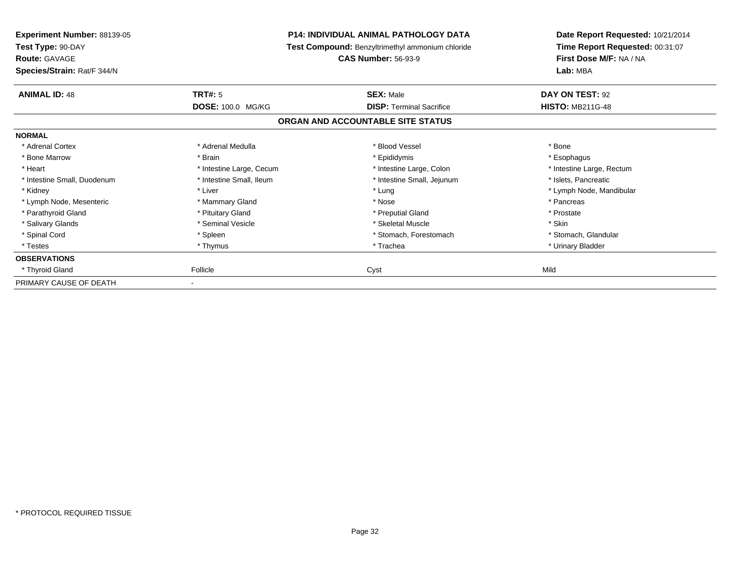| <b>Experiment Number: 88139-05</b>                                       |                          | <b>P14: INDIVIDUAL ANIMAL PATHOLOGY DATA</b>                                   | Date Report Requested: 10/21/2014                                      |
|--------------------------------------------------------------------------|--------------------------|--------------------------------------------------------------------------------|------------------------------------------------------------------------|
| Test Type: 90-DAY<br><b>Route: GAVAGE</b><br>Species/Strain: Rat/F 344/N |                          | Test Compound: Benzyltrimethyl ammonium chloride<br><b>CAS Number: 56-93-9</b> | Time Report Requested: 00:31:07<br>First Dose M/F: NA / NA<br>Lab: MBA |
|                                                                          |                          |                                                                                |                                                                        |
| <b>ANIMAL ID: 48</b>                                                     | <b>TRT#: 5</b>           | <b>SEX: Male</b>                                                               | DAY ON TEST: 92                                                        |
|                                                                          | <b>DOSE: 100.0 MG/KG</b> | <b>DISP: Terminal Sacrifice</b>                                                | <b>HISTO: MB211G-48</b>                                                |
|                                                                          |                          | ORGAN AND ACCOUNTABLE SITE STATUS                                              |                                                                        |
| <b>NORMAL</b>                                                            |                          |                                                                                |                                                                        |
| * Adrenal Cortex                                                         | * Adrenal Medulla        | * Blood Vessel                                                                 | * Bone                                                                 |
| * Bone Marrow                                                            | * Brain                  | * Epididymis                                                                   | * Esophagus                                                            |
| * Heart                                                                  | * Intestine Large, Cecum | * Intestine Large, Colon                                                       | * Intestine Large, Rectum                                              |
| * Intestine Small, Duodenum                                              | * Intestine Small, Ileum | * Intestine Small, Jejunum                                                     | * Islets, Pancreatic                                                   |
| * Kidney                                                                 | * Liver                  | * Lung                                                                         | * Lymph Node, Mandibular                                               |
| * Lymph Node, Mesenteric                                                 | * Mammary Gland          | * Nose                                                                         | * Pancreas                                                             |
| * Parathyroid Gland                                                      | * Pituitary Gland        | * Preputial Gland                                                              | * Prostate                                                             |
| * Salivary Glands                                                        | * Seminal Vesicle        | * Skeletal Muscle                                                              | * Skin                                                                 |
| * Spinal Cord                                                            | * Spleen                 | * Stomach, Forestomach                                                         | * Stomach, Glandular                                                   |
| * Testes                                                                 | * Thymus                 | * Trachea                                                                      | * Urinary Bladder                                                      |
| <b>OBSERVATIONS</b>                                                      |                          |                                                                                |                                                                        |
| * Thyroid Gland                                                          | Follicle                 | Cyst                                                                           | Mild                                                                   |
| PRIMARY CAUSE OF DEATH                                                   |                          |                                                                                |                                                                        |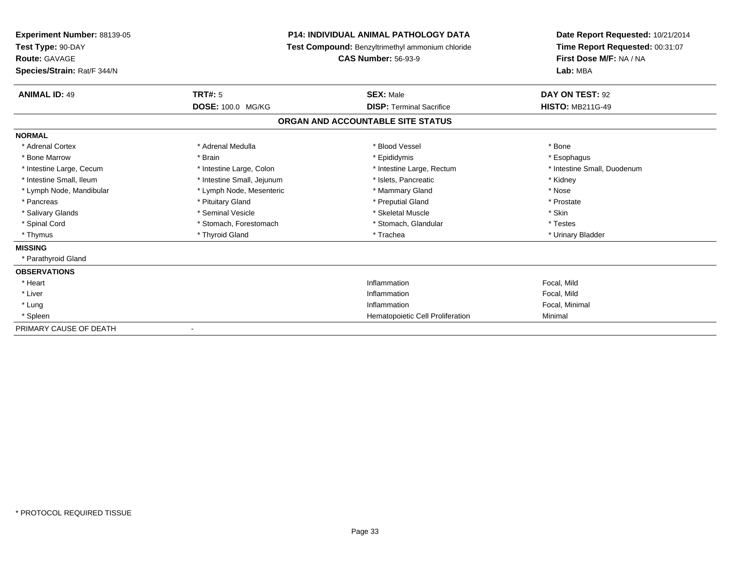| Experiment Number: 88139-05<br>Test Type: 90-DAY<br><b>Route: GAVAGE</b> |                            | <b>P14: INDIVIDUAL ANIMAL PATHOLOGY DATA</b>     | Date Report Requested: 10/21/2014<br>Time Report Requested: 00:31:07<br>First Dose M/F: NA / NA |
|--------------------------------------------------------------------------|----------------------------|--------------------------------------------------|-------------------------------------------------------------------------------------------------|
|                                                                          |                            | Test Compound: Benzyltrimethyl ammonium chloride |                                                                                                 |
|                                                                          |                            | <b>CAS Number: 56-93-9</b>                       |                                                                                                 |
| Species/Strain: Rat/F 344/N                                              |                            |                                                  | Lab: MBA                                                                                        |
| <b>ANIMAL ID: 49</b>                                                     | TRT#: 5                    | <b>SEX: Male</b>                                 | DAY ON TEST: 92                                                                                 |
|                                                                          | <b>DOSE: 100.0 MG/KG</b>   | <b>DISP: Terminal Sacrifice</b>                  | <b>HISTO: MB211G-49</b>                                                                         |
|                                                                          |                            | ORGAN AND ACCOUNTABLE SITE STATUS                |                                                                                                 |
| <b>NORMAL</b>                                                            |                            |                                                  |                                                                                                 |
| * Adrenal Cortex                                                         | * Adrenal Medulla          | * Blood Vessel                                   | * Bone                                                                                          |
| * Bone Marrow                                                            | * Brain                    | * Epididymis                                     | * Esophagus                                                                                     |
| * Intestine Large, Cecum                                                 | * Intestine Large, Colon   | * Intestine Large, Rectum                        | * Intestine Small, Duodenum                                                                     |
| * Intestine Small, Ileum                                                 | * Intestine Small, Jejunum | * Islets, Pancreatic                             | * Kidney                                                                                        |
| * Lymph Node, Mandibular                                                 | * Lymph Node, Mesenteric   | * Mammary Gland                                  | * Nose                                                                                          |
| * Pancreas                                                               | * Pituitary Gland          | * Preputial Gland                                | * Prostate                                                                                      |
| * Salivary Glands                                                        | * Seminal Vesicle          | * Skeletal Muscle                                | * Skin                                                                                          |
| * Spinal Cord                                                            | * Stomach, Forestomach     | * Stomach, Glandular                             | * Testes                                                                                        |
| * Thymus                                                                 | * Thyroid Gland            | * Trachea                                        | * Urinary Bladder                                                                               |
| <b>MISSING</b>                                                           |                            |                                                  |                                                                                                 |
| * Parathyroid Gland                                                      |                            |                                                  |                                                                                                 |
| <b>OBSERVATIONS</b>                                                      |                            |                                                  |                                                                                                 |
| * Heart                                                                  |                            | Inflammation                                     | Focal, Mild                                                                                     |
| * Liver                                                                  |                            | Inflammation                                     | Focal, Mild                                                                                     |
| * Lung                                                                   |                            | Inflammation                                     | Focal, Minimal                                                                                  |
| * Spleen                                                                 |                            | Hematopoietic Cell Proliferation                 | Minimal                                                                                         |
| PRIMARY CAUSE OF DEATH                                                   |                            |                                                  |                                                                                                 |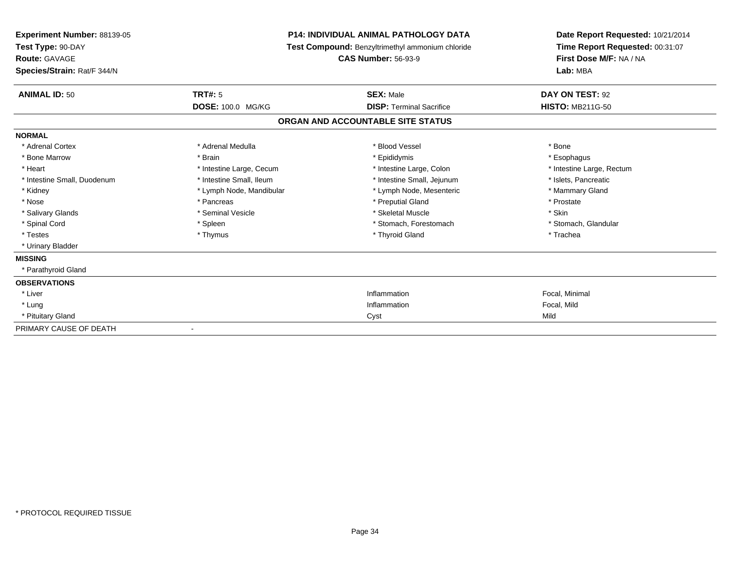| Experiment Number: 88139-05<br>Test Type: 90-DAY<br>Route: GAVAGE |                          | <b>P14: INDIVIDUAL ANIMAL PATHOLOGY DATA</b><br>Test Compound: Benzyltrimethyl ammonium chloride | Date Report Requested: 10/21/2014<br>Time Report Requested: 00:31:07<br>First Dose M/F: NA / NA |
|-------------------------------------------------------------------|--------------------------|--------------------------------------------------------------------------------------------------|-------------------------------------------------------------------------------------------------|
|                                                                   |                          | <b>CAS Number: 56-93-9</b>                                                                       |                                                                                                 |
| Species/Strain: Rat/F 344/N                                       |                          |                                                                                                  | Lab: MBA                                                                                        |
| <b>ANIMAL ID: 50</b>                                              | TRT#: 5                  | <b>SEX: Male</b>                                                                                 | DAY ON TEST: 92                                                                                 |
|                                                                   | <b>DOSE: 100.0 MG/KG</b> | <b>DISP: Terminal Sacrifice</b>                                                                  | <b>HISTO: MB211G-50</b>                                                                         |
|                                                                   |                          | ORGAN AND ACCOUNTABLE SITE STATUS                                                                |                                                                                                 |
| <b>NORMAL</b>                                                     |                          |                                                                                                  |                                                                                                 |
| * Adrenal Cortex                                                  | * Adrenal Medulla        | * Blood Vessel                                                                                   | * Bone                                                                                          |
| * Bone Marrow                                                     | * Brain                  | * Epididymis                                                                                     | * Esophagus                                                                                     |
| * Heart                                                           | * Intestine Large, Cecum | * Intestine Large, Colon                                                                         | * Intestine Large, Rectum                                                                       |
| * Intestine Small, Duodenum                                       | * Intestine Small, Ileum | * Intestine Small, Jejunum                                                                       | * Islets, Pancreatic                                                                            |
| * Kidney                                                          | * Lymph Node, Mandibular | * Lymph Node, Mesenteric                                                                         | * Mammary Gland                                                                                 |
| * Nose                                                            | * Pancreas               | * Preputial Gland                                                                                | * Prostate                                                                                      |
| * Salivary Glands                                                 | * Seminal Vesicle        | * Skeletal Muscle                                                                                | * Skin                                                                                          |
| * Spinal Cord                                                     | * Spleen                 | * Stomach, Forestomach                                                                           | * Stomach, Glandular                                                                            |
| * Testes                                                          | * Thymus                 | * Thyroid Gland                                                                                  | * Trachea                                                                                       |
| * Urinary Bladder                                                 |                          |                                                                                                  |                                                                                                 |
| <b>MISSING</b>                                                    |                          |                                                                                                  |                                                                                                 |
| * Parathyroid Gland                                               |                          |                                                                                                  |                                                                                                 |
| <b>OBSERVATIONS</b>                                               |                          |                                                                                                  |                                                                                                 |
| * Liver                                                           |                          | Inflammation                                                                                     | Focal, Minimal                                                                                  |
| * Lung                                                            |                          | Inflammation                                                                                     | Focal, Mild                                                                                     |
| * Pituitary Gland                                                 |                          | Cyst                                                                                             | Mild                                                                                            |
| PRIMARY CAUSE OF DEATH                                            |                          |                                                                                                  |                                                                                                 |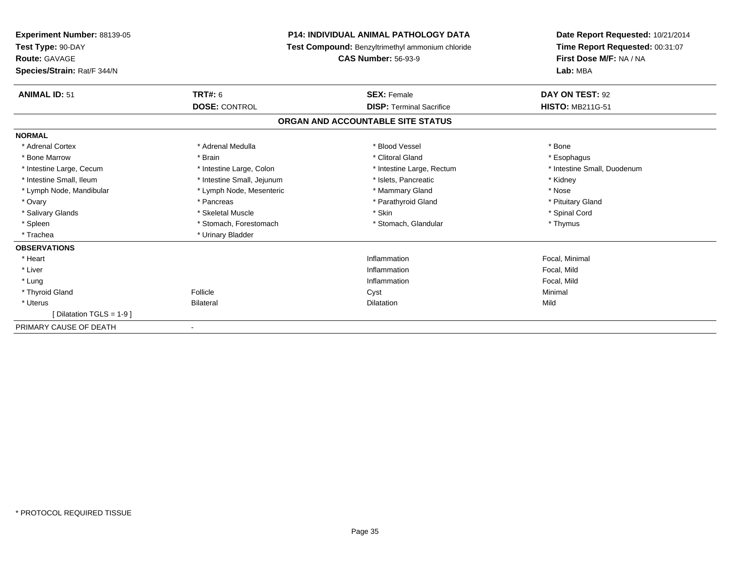| <b>Experiment Number: 88139-05</b><br>Test Type: 90-DAY<br>Route: GAVAGE<br>Species/Strain: Rat/F 344/N |                            | <b>P14: INDIVIDUAL ANIMAL PATHOLOGY DATA</b><br>Test Compound: Benzyltrimethyl ammonium chloride<br><b>CAS Number: 56-93-9</b> | Date Report Requested: 10/21/2014<br>Time Report Requested: 00:31:07<br>First Dose M/F: NA / NA<br>Lab: MBA |
|---------------------------------------------------------------------------------------------------------|----------------------------|--------------------------------------------------------------------------------------------------------------------------------|-------------------------------------------------------------------------------------------------------------|
| <b>ANIMAL ID: 51</b>                                                                                    | <b>TRT#: 6</b>             | <b>SEX: Female</b>                                                                                                             | DAY ON TEST: 92                                                                                             |
|                                                                                                         | <b>DOSE: CONTROL</b>       | <b>DISP: Terminal Sacrifice</b>                                                                                                | <b>HISTO: MB211G-51</b>                                                                                     |
|                                                                                                         |                            | ORGAN AND ACCOUNTABLE SITE STATUS                                                                                              |                                                                                                             |
| <b>NORMAL</b>                                                                                           |                            |                                                                                                                                |                                                                                                             |
| * Adrenal Cortex                                                                                        | * Adrenal Medulla          | * Blood Vessel                                                                                                                 | * Bone                                                                                                      |
| * Bone Marrow                                                                                           | * Brain                    | * Clitoral Gland                                                                                                               | * Esophagus                                                                                                 |
| * Intestine Large, Cecum                                                                                | * Intestine Large, Colon   | * Intestine Large, Rectum                                                                                                      | * Intestine Small, Duodenum                                                                                 |
| * Intestine Small, Ileum                                                                                | * Intestine Small, Jejunum | * Islets, Pancreatic                                                                                                           | * Kidney                                                                                                    |
| * Lymph Node, Mandibular                                                                                | * Lymph Node, Mesenteric   | * Mammary Gland                                                                                                                | * Nose                                                                                                      |
| * Ovary                                                                                                 | * Pancreas                 | * Parathyroid Gland                                                                                                            | * Pituitary Gland                                                                                           |
| * Salivary Glands                                                                                       | * Skeletal Muscle          | * Skin                                                                                                                         | * Spinal Cord                                                                                               |
| * Spleen                                                                                                | * Stomach, Forestomach     | * Stomach, Glandular                                                                                                           | * Thymus                                                                                                    |
| * Trachea                                                                                               | * Urinary Bladder          |                                                                                                                                |                                                                                                             |
| <b>OBSERVATIONS</b>                                                                                     |                            |                                                                                                                                |                                                                                                             |
| * Heart                                                                                                 |                            | Inflammation                                                                                                                   | Focal, Minimal                                                                                              |
| * Liver                                                                                                 |                            | Inflammation                                                                                                                   | Focal, Mild                                                                                                 |
| * Lung                                                                                                  |                            | Inflammation                                                                                                                   | Focal, Mild                                                                                                 |
| * Thyroid Gland                                                                                         | Follicle                   | Cyst                                                                                                                           | Minimal                                                                                                     |
| * Uterus                                                                                                | <b>Bilateral</b>           | Dilatation                                                                                                                     | Mild                                                                                                        |
| [Dilatation TGLS = 1-9 ]                                                                                |                            |                                                                                                                                |                                                                                                             |
| PRIMARY CAUSE OF DEATH                                                                                  |                            |                                                                                                                                |                                                                                                             |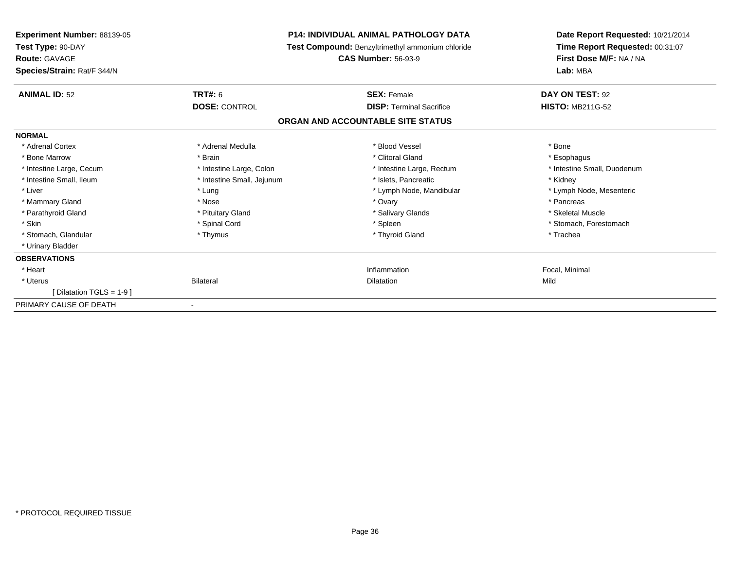| <b>Experiment Number: 88139-05</b> |                            | <b>P14: INDIVIDUAL ANIMAL PATHOLOGY DATA</b>     | Date Report Requested: 10/21/2014 |
|------------------------------------|----------------------------|--------------------------------------------------|-----------------------------------|
| Test Type: 90-DAY                  |                            | Test Compound: Benzyltrimethyl ammonium chloride | Time Report Requested: 00:31:07   |
| <b>Route: GAVAGE</b>               |                            | <b>CAS Number: 56-93-9</b>                       | First Dose M/F: NA / NA           |
| Species/Strain: Rat/F 344/N        |                            |                                                  | Lab: MBA                          |
| <b>ANIMAL ID: 52</b>               | <b>TRT#: 6</b>             | <b>SEX: Female</b>                               | DAY ON TEST: 92                   |
|                                    | <b>DOSE: CONTROL</b>       | <b>DISP: Terminal Sacrifice</b>                  | <b>HISTO: MB211G-52</b>           |
|                                    |                            | ORGAN AND ACCOUNTABLE SITE STATUS                |                                   |
| <b>NORMAL</b>                      |                            |                                                  |                                   |
| * Adrenal Cortex                   | * Adrenal Medulla          | * Blood Vessel                                   | * Bone                            |
| * Bone Marrow                      | * Brain                    | * Clitoral Gland                                 | * Esophagus                       |
| * Intestine Large, Cecum           | * Intestine Large, Colon   | * Intestine Large, Rectum                        | * Intestine Small, Duodenum       |
| * Intestine Small. Ileum           | * Intestine Small, Jejunum | * Islets. Pancreatic                             | * Kidney                          |
| * Liver                            | * Lung                     | * Lymph Node, Mandibular                         | * Lymph Node, Mesenteric          |
| * Mammary Gland                    | * Nose                     | * Ovary                                          | * Pancreas                        |
| * Parathyroid Gland                | * Pituitary Gland          | * Salivary Glands                                | * Skeletal Muscle                 |
| * Skin                             | * Spinal Cord              | * Spleen                                         | * Stomach, Forestomach            |
| * Stomach, Glandular               | * Thymus                   | * Thyroid Gland                                  | * Trachea                         |
| * Urinary Bladder                  |                            |                                                  |                                   |
| <b>OBSERVATIONS</b>                |                            |                                                  |                                   |
| * Heart                            |                            | Inflammation                                     | Focal, Minimal                    |
| * Uterus                           | Bilateral                  | <b>Dilatation</b>                                | Mild                              |
| [Dilatation TGLS = 1-9 ]           |                            |                                                  |                                   |
| PRIMARY CAUSE OF DEATH             |                            |                                                  |                                   |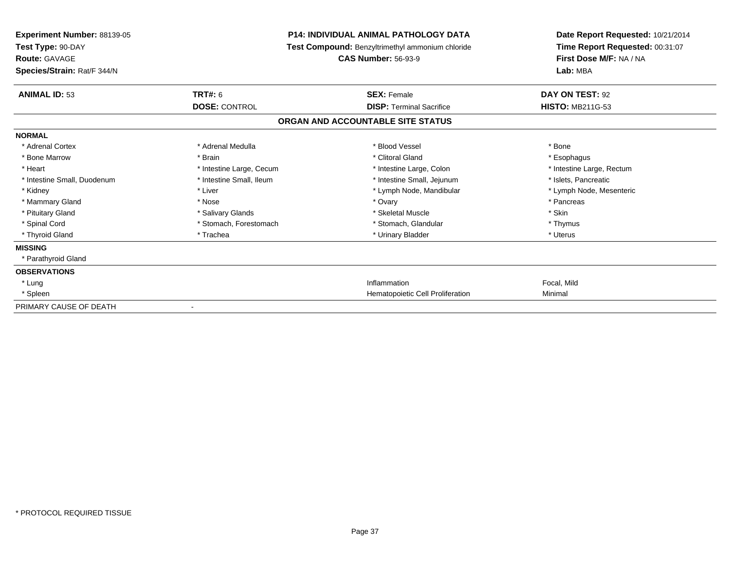| Experiment Number: 88139-05<br>Test Type: 90-DAY<br>Route: GAVAGE |                          | <b>P14: INDIVIDUAL ANIMAL PATHOLOGY DATA</b><br>Test Compound: Benzyltrimethyl ammonium chloride<br><b>CAS Number: 56-93-9</b> | Date Report Requested: 10/21/2014<br>Time Report Requested: 00:31:07<br>First Dose M/F: NA / NA |
|-------------------------------------------------------------------|--------------------------|--------------------------------------------------------------------------------------------------------------------------------|-------------------------------------------------------------------------------------------------|
| Species/Strain: Rat/F 344/N                                       |                          |                                                                                                                                | Lab: MBA                                                                                        |
| <b>ANIMAL ID: 53</b>                                              | <b>TRT#: 6</b>           | <b>SEX: Female</b>                                                                                                             | DAY ON TEST: 92                                                                                 |
|                                                                   | <b>DOSE: CONTROL</b>     | <b>DISP:</b> Terminal Sacrifice                                                                                                | <b>HISTO: MB211G-53</b>                                                                         |
|                                                                   |                          | ORGAN AND ACCOUNTABLE SITE STATUS                                                                                              |                                                                                                 |
| <b>NORMAL</b>                                                     |                          |                                                                                                                                |                                                                                                 |
| * Adrenal Cortex                                                  | * Adrenal Medulla        | * Blood Vessel                                                                                                                 | * Bone                                                                                          |
| * Bone Marrow                                                     | * Brain                  | * Clitoral Gland                                                                                                               | * Esophagus                                                                                     |
| * Heart                                                           | * Intestine Large, Cecum | * Intestine Large, Colon                                                                                                       | * Intestine Large, Rectum                                                                       |
| * Intestine Small, Duodenum                                       | * Intestine Small, Ileum | * Intestine Small, Jejunum                                                                                                     | * Islets, Pancreatic                                                                            |
| * Kidney                                                          | * Liver                  | * Lymph Node, Mandibular                                                                                                       | * Lymph Node, Mesenteric                                                                        |
| * Mammary Gland                                                   | * Nose                   | * Ovary                                                                                                                        | * Pancreas                                                                                      |
| * Pituitary Gland                                                 | * Salivary Glands        | * Skeletal Muscle                                                                                                              | * Skin                                                                                          |
| * Spinal Cord                                                     | * Stomach, Forestomach   | * Stomach, Glandular                                                                                                           | * Thymus                                                                                        |
| * Thyroid Gland                                                   | * Trachea                | * Urinary Bladder                                                                                                              | * Uterus                                                                                        |
| <b>MISSING</b>                                                    |                          |                                                                                                                                |                                                                                                 |
| * Parathyroid Gland                                               |                          |                                                                                                                                |                                                                                                 |
| <b>OBSERVATIONS</b>                                               |                          |                                                                                                                                |                                                                                                 |
| * Lung                                                            |                          | Inflammation                                                                                                                   | Focal, Mild                                                                                     |
| * Spleen                                                          |                          | Hematopoietic Cell Proliferation                                                                                               | Minimal                                                                                         |
| PRIMARY CAUSE OF DEATH                                            |                          |                                                                                                                                |                                                                                                 |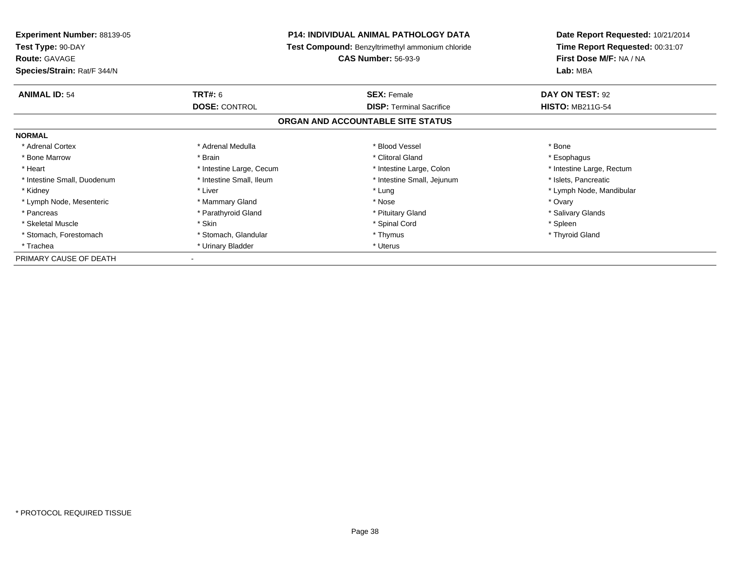| <b>Experiment Number: 88139-05</b> | <b>P14: INDIVIDUAL ANIMAL PATHOLOGY DATA</b> |                                                  | Date Report Requested: 10/21/2014 |
|------------------------------------|----------------------------------------------|--------------------------------------------------|-----------------------------------|
| Test Type: 90-DAY                  |                                              | Test Compound: Benzyltrimethyl ammonium chloride | Time Report Requested: 00:31:07   |
| <b>Route: GAVAGE</b>               |                                              | <b>CAS Number: 56-93-9</b>                       | First Dose M/F: NA / NA           |
| Species/Strain: Rat/F 344/N        |                                              |                                                  | Lab: MBA                          |
| <b>ANIMAL ID: 54</b>               | <b>TRT#: 6</b>                               | <b>SEX: Female</b>                               | DAY ON TEST: 92                   |
|                                    | <b>DOSE: CONTROL</b>                         | <b>DISP:</b> Terminal Sacrifice                  | <b>HISTO: MB211G-54</b>           |
|                                    |                                              | ORGAN AND ACCOUNTABLE SITE STATUS                |                                   |
| <b>NORMAL</b>                      |                                              |                                                  |                                   |
| * Adrenal Cortex                   | * Adrenal Medulla                            | * Blood Vessel                                   | * Bone                            |
| * Bone Marrow                      | * Brain                                      | * Clitoral Gland                                 | * Esophagus                       |
| * Heart                            | * Intestine Large, Cecum                     | * Intestine Large, Colon                         | * Intestine Large, Rectum         |
| * Intestine Small, Duodenum        | * Intestine Small, Ileum                     | * Intestine Small, Jejunum                       | * Islets, Pancreatic              |
| * Kidney                           | * Liver                                      | * Lung                                           | * Lymph Node, Mandibular          |
| * Lymph Node, Mesenteric           | * Mammary Gland                              | * Nose                                           | * Ovary                           |
| * Pancreas                         | * Parathyroid Gland                          | * Pituitary Gland                                | * Salivary Glands                 |
| * Skeletal Muscle                  | * Skin                                       | * Spinal Cord                                    | * Spleen                          |
| * Stomach, Forestomach             | * Stomach, Glandular                         | * Thymus                                         | * Thyroid Gland                   |
| * Trachea                          | * Urinary Bladder                            | * Uterus                                         |                                   |
| PRIMARY CAUSE OF DEATH             |                                              |                                                  |                                   |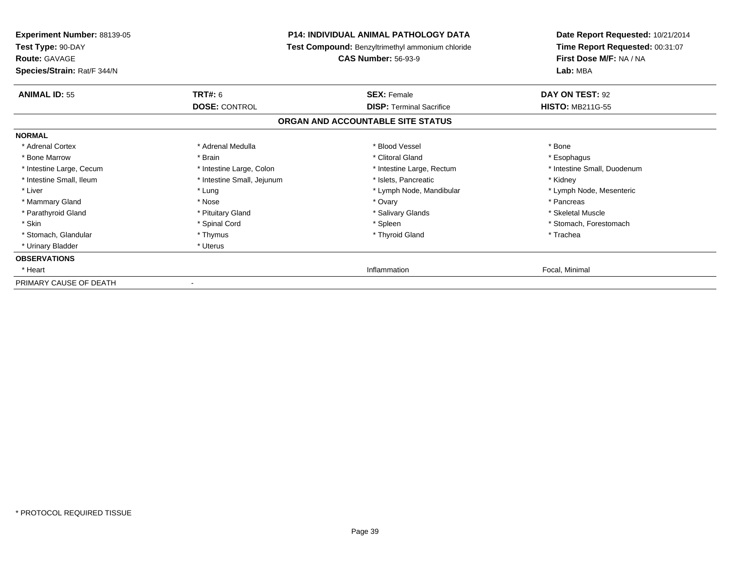| Experiment Number: 88139-05<br>Test Type: 90-DAY<br><b>Route: GAVAGE</b><br>Species/Strain: Rat/F 344/N | <b>P14: INDIVIDUAL ANIMAL PATHOLOGY DATA</b><br>Test Compound: Benzyltrimethyl ammonium chloride<br><b>CAS Number: 56-93-9</b> |                                   | Date Report Requested: 10/21/2014<br>Time Report Requested: 00:31:07<br>First Dose M/F: NA / NA<br>Lab: MBA |  |
|---------------------------------------------------------------------------------------------------------|--------------------------------------------------------------------------------------------------------------------------------|-----------------------------------|-------------------------------------------------------------------------------------------------------------|--|
| <b>ANIMAL ID: 55</b>                                                                                    | <b>TRT#: 6</b>                                                                                                                 | <b>SEX: Female</b>                | DAY ON TEST: 92                                                                                             |  |
|                                                                                                         | <b>DOSE: CONTROL</b>                                                                                                           | <b>DISP:</b> Terminal Sacrifice   | <b>HISTO: MB211G-55</b>                                                                                     |  |
|                                                                                                         |                                                                                                                                | ORGAN AND ACCOUNTABLE SITE STATUS |                                                                                                             |  |
| <b>NORMAL</b>                                                                                           |                                                                                                                                |                                   |                                                                                                             |  |
| * Adrenal Cortex                                                                                        | * Adrenal Medulla                                                                                                              | * Blood Vessel                    | * Bone                                                                                                      |  |
| * Bone Marrow                                                                                           | * Brain                                                                                                                        | * Clitoral Gland                  | * Esophagus                                                                                                 |  |
| * Intestine Large, Cecum                                                                                | * Intestine Large, Colon                                                                                                       | * Intestine Large, Rectum         | * Intestine Small, Duodenum                                                                                 |  |
| * Intestine Small, Ileum                                                                                | * Intestine Small, Jejunum                                                                                                     | * Islets, Pancreatic              | * Kidney                                                                                                    |  |
| * Liver                                                                                                 | * Lung                                                                                                                         | * Lymph Node, Mandibular          | * Lymph Node, Mesenteric                                                                                    |  |
| * Mammary Gland                                                                                         | * Nose                                                                                                                         | * Ovary                           | * Pancreas                                                                                                  |  |
| * Parathyroid Gland                                                                                     | * Pituitary Gland                                                                                                              | * Salivary Glands                 | * Skeletal Muscle                                                                                           |  |
| * Skin                                                                                                  | * Spinal Cord                                                                                                                  | * Spleen                          | * Stomach. Forestomach                                                                                      |  |
| * Stomach, Glandular                                                                                    | * Thymus                                                                                                                       | * Thyroid Gland                   | * Trachea                                                                                                   |  |
| * Urinary Bladder                                                                                       | * Uterus                                                                                                                       |                                   |                                                                                                             |  |
| <b>OBSERVATIONS</b>                                                                                     |                                                                                                                                |                                   |                                                                                                             |  |
| * Heart                                                                                                 |                                                                                                                                | Inflammation                      | Focal, Minimal                                                                                              |  |
| PRIMARY CAUSE OF DEATH                                                                                  |                                                                                                                                |                                   |                                                                                                             |  |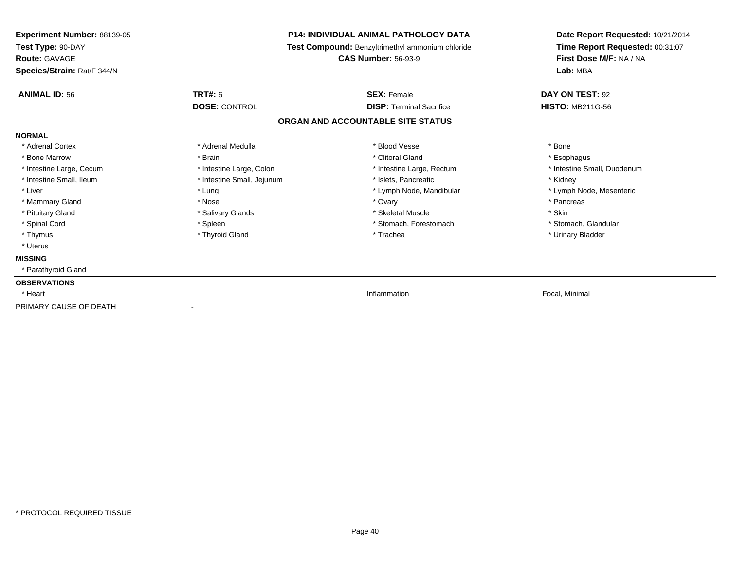| Experiment Number: 88139-05<br>Test Type: 90-DAY<br><b>Route: GAVAGE</b><br>Species/Strain: Rat/F 344/N | <b>P14: INDIVIDUAL ANIMAL PATHOLOGY DATA</b><br>Test Compound: Benzyltrimethyl ammonium chloride<br><b>CAS Number: 56-93-9</b> |                                   | Date Report Requested: 10/21/2014<br>Time Report Requested: 00:31:07<br>First Dose M/F: NA / NA<br>Lab: MBA |  |
|---------------------------------------------------------------------------------------------------------|--------------------------------------------------------------------------------------------------------------------------------|-----------------------------------|-------------------------------------------------------------------------------------------------------------|--|
| <b>ANIMAL ID: 56</b>                                                                                    | <b>TRT#: 6</b>                                                                                                                 | <b>SEX: Female</b>                | DAY ON TEST: 92                                                                                             |  |
|                                                                                                         | <b>DOSE: CONTROL</b>                                                                                                           | <b>DISP: Terminal Sacrifice</b>   | <b>HISTO: MB211G-56</b>                                                                                     |  |
|                                                                                                         |                                                                                                                                | ORGAN AND ACCOUNTABLE SITE STATUS |                                                                                                             |  |
| <b>NORMAL</b>                                                                                           |                                                                                                                                |                                   |                                                                                                             |  |
| * Adrenal Cortex                                                                                        | * Adrenal Medulla                                                                                                              | * Blood Vessel                    | * Bone                                                                                                      |  |
| * Bone Marrow                                                                                           | * Brain                                                                                                                        | * Clitoral Gland                  | * Esophagus                                                                                                 |  |
| * Intestine Large, Cecum                                                                                | * Intestine Large, Colon                                                                                                       | * Intestine Large, Rectum         | * Intestine Small, Duodenum                                                                                 |  |
| * Intestine Small, Ileum                                                                                | * Intestine Small, Jejunum                                                                                                     | * Islets, Pancreatic              | * Kidney                                                                                                    |  |
| * Liver                                                                                                 | * Lung                                                                                                                         | * Lymph Node, Mandibular          | * Lymph Node, Mesenteric                                                                                    |  |
| * Mammary Gland                                                                                         | * Nose                                                                                                                         | * Ovary                           | * Pancreas                                                                                                  |  |
| * Pituitary Gland                                                                                       | * Salivary Glands                                                                                                              | * Skeletal Muscle                 | * Skin                                                                                                      |  |
| * Spinal Cord                                                                                           | * Spleen                                                                                                                       | * Stomach, Forestomach            | * Stomach, Glandular                                                                                        |  |
| * Thymus                                                                                                | * Thyroid Gland                                                                                                                | * Trachea                         | * Urinary Bladder                                                                                           |  |
| * Uterus                                                                                                |                                                                                                                                |                                   |                                                                                                             |  |
| <b>MISSING</b>                                                                                          |                                                                                                                                |                                   |                                                                                                             |  |
| * Parathyroid Gland                                                                                     |                                                                                                                                |                                   |                                                                                                             |  |
| <b>OBSERVATIONS</b>                                                                                     |                                                                                                                                |                                   |                                                                                                             |  |
| * Heart                                                                                                 |                                                                                                                                | Inflammation                      | Focal, Minimal                                                                                              |  |
| PRIMARY CAUSE OF DEATH                                                                                  |                                                                                                                                |                                   |                                                                                                             |  |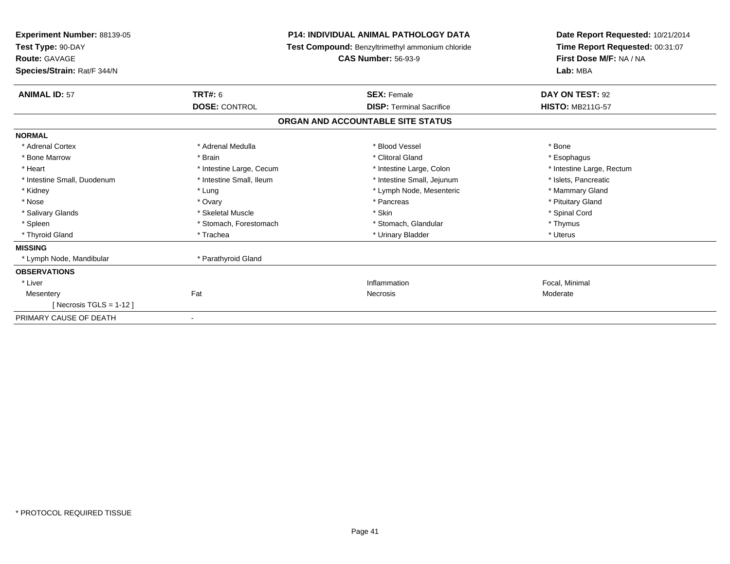| Experiment Number: 88139-05<br>Test Type: 90-DAY<br><b>Route: GAVAGE</b><br>Species/Strain: Rat/F 344/N |                          | <b>P14: INDIVIDUAL ANIMAL PATHOLOGY DATA</b><br><b>Test Compound: Benzyltrimethyl ammonium chloride</b><br><b>CAS Number: 56-93-9</b> |                                 | Date Report Requested: 10/21/2014<br>Time Report Requested: 00:31:07<br>First Dose M/F: NA / NA<br>Lab: MBA |  |
|---------------------------------------------------------------------------------------------------------|--------------------------|---------------------------------------------------------------------------------------------------------------------------------------|---------------------------------|-------------------------------------------------------------------------------------------------------------|--|
| <b>ANIMAL ID: 57</b>                                                                                    | <b>TRT#: 6</b>           |                                                                                                                                       | <b>SEX: Female</b>              | DAY ON TEST: 92                                                                                             |  |
|                                                                                                         | <b>DOSE: CONTROL</b>     |                                                                                                                                       | <b>DISP: Terminal Sacrifice</b> | <b>HISTO: MB211G-57</b>                                                                                     |  |
|                                                                                                         |                          | ORGAN AND ACCOUNTABLE SITE STATUS                                                                                                     |                                 |                                                                                                             |  |
| <b>NORMAL</b>                                                                                           |                          |                                                                                                                                       |                                 |                                                                                                             |  |
| * Adrenal Cortex                                                                                        | * Adrenal Medulla        |                                                                                                                                       | * Blood Vessel                  | * Bone                                                                                                      |  |
| * Bone Marrow                                                                                           | * Brain                  |                                                                                                                                       | * Clitoral Gland                | * Esophagus                                                                                                 |  |
| * Heart                                                                                                 | * Intestine Large, Cecum |                                                                                                                                       | * Intestine Large, Colon        | * Intestine Large, Rectum                                                                                   |  |
| * Intestine Small, Duodenum                                                                             | * Intestine Small, Ileum |                                                                                                                                       | * Intestine Small, Jejunum      | * Islets. Pancreatic                                                                                        |  |
| * Kidney                                                                                                | * Lung                   |                                                                                                                                       | * Lymph Node, Mesenteric        | * Mammary Gland                                                                                             |  |
| * Nose                                                                                                  | * Ovary                  |                                                                                                                                       | * Pancreas                      | * Pituitary Gland                                                                                           |  |
| * Salivary Glands                                                                                       | * Skeletal Muscle        |                                                                                                                                       | * Skin                          | * Spinal Cord                                                                                               |  |
| * Spleen                                                                                                | * Stomach, Forestomach   |                                                                                                                                       | * Stomach, Glandular            | * Thymus                                                                                                    |  |
| * Thyroid Gland                                                                                         | * Trachea                |                                                                                                                                       | * Urinary Bladder               | * Uterus                                                                                                    |  |
| <b>MISSING</b>                                                                                          |                          |                                                                                                                                       |                                 |                                                                                                             |  |
| * Lymph Node, Mandibular                                                                                | * Parathyroid Gland      |                                                                                                                                       |                                 |                                                                                                             |  |
| <b>OBSERVATIONS</b>                                                                                     |                          |                                                                                                                                       |                                 |                                                                                                             |  |
| * Liver                                                                                                 |                          |                                                                                                                                       | Inflammation                    | Focal, Minimal                                                                                              |  |
| Mesentery                                                                                               | Fat                      |                                                                                                                                       | Necrosis                        | Moderate                                                                                                    |  |
| [ Necrosis TGLS = $1-12$ ]                                                                              |                          |                                                                                                                                       |                                 |                                                                                                             |  |
| PRIMARY CAUSE OF DEATH                                                                                  | $\blacksquare$           |                                                                                                                                       |                                 |                                                                                                             |  |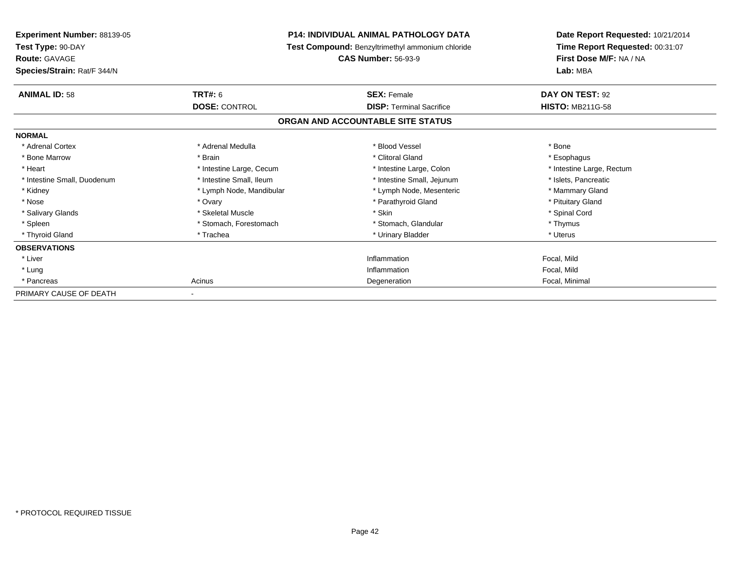| Experiment Number: 88139-05<br>Test Type: 90-DAY<br><b>Route: GAVAGE</b><br>Species/Strain: Rat/F 344/N | <b>P14: INDIVIDUAL ANIMAL PATHOLOGY DATA</b><br>Test Compound: Benzyltrimethyl ammonium chloride<br><b>CAS Number: 56-93-9</b> |                                   | Date Report Requested: 10/21/2014<br>Time Report Requested: 00:31:07<br>First Dose M/F: NA / NA<br>Lab: MBA |  |
|---------------------------------------------------------------------------------------------------------|--------------------------------------------------------------------------------------------------------------------------------|-----------------------------------|-------------------------------------------------------------------------------------------------------------|--|
|                                                                                                         |                                                                                                                                |                                   |                                                                                                             |  |
| <b>ANIMAL ID: 58</b>                                                                                    | <b>TRT#: 6</b>                                                                                                                 | <b>SEX: Female</b>                | DAY ON TEST: 92                                                                                             |  |
|                                                                                                         | <b>DOSE: CONTROL</b>                                                                                                           | <b>DISP: Terminal Sacrifice</b>   | <b>HISTO: MB211G-58</b>                                                                                     |  |
|                                                                                                         |                                                                                                                                | ORGAN AND ACCOUNTABLE SITE STATUS |                                                                                                             |  |
| <b>NORMAL</b>                                                                                           |                                                                                                                                |                                   |                                                                                                             |  |
| * Adrenal Cortex                                                                                        | * Adrenal Medulla                                                                                                              | * Blood Vessel                    | * Bone                                                                                                      |  |
| * Bone Marrow                                                                                           | * Brain                                                                                                                        | * Clitoral Gland                  | * Esophagus                                                                                                 |  |
| * Heart                                                                                                 | * Intestine Large, Cecum                                                                                                       | * Intestine Large, Colon          | * Intestine Large, Rectum                                                                                   |  |
| * Intestine Small, Duodenum                                                                             | * Intestine Small, Ileum                                                                                                       | * Intestine Small, Jejunum        | * Islets, Pancreatic                                                                                        |  |
| * Kidney                                                                                                | * Lymph Node, Mandibular                                                                                                       | * Lymph Node, Mesenteric          | * Mammary Gland                                                                                             |  |
| * Nose                                                                                                  | * Ovary                                                                                                                        | * Parathyroid Gland               | * Pituitary Gland                                                                                           |  |
| * Salivary Glands                                                                                       | * Skeletal Muscle                                                                                                              | * Skin                            | * Spinal Cord                                                                                               |  |
| * Spleen                                                                                                | * Stomach, Forestomach                                                                                                         | * Stomach, Glandular              | * Thymus                                                                                                    |  |
| * Thyroid Gland                                                                                         | * Trachea                                                                                                                      | * Urinary Bladder                 | * Uterus                                                                                                    |  |
| <b>OBSERVATIONS</b>                                                                                     |                                                                                                                                |                                   |                                                                                                             |  |
| * Liver                                                                                                 |                                                                                                                                | Inflammation                      | Focal, Mild                                                                                                 |  |
| * Lung                                                                                                  |                                                                                                                                | Inflammation                      | Focal, Mild                                                                                                 |  |
| * Pancreas                                                                                              | Acinus                                                                                                                         | Degeneration                      | Focal, Minimal                                                                                              |  |
| PRIMARY CAUSE OF DEATH                                                                                  |                                                                                                                                |                                   |                                                                                                             |  |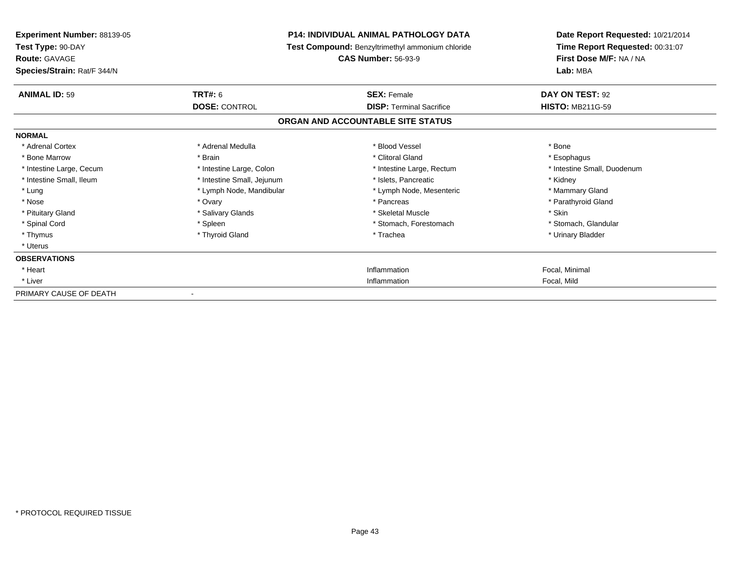| Experiment Number: 88139-05<br>Test Type: 90-DAY<br><b>Route: GAVAGE</b><br>Species/Strain: Rat/F 344/N | <b>P14: INDIVIDUAL ANIMAL PATHOLOGY DATA</b><br>Test Compound: Benzyltrimethyl ammonium chloride<br><b>CAS Number: 56-93-9</b> |                                   | Date Report Requested: 10/21/2014<br>Time Report Requested: 00:31:07<br>First Dose M/F: NA / NA<br>Lab: MBA |
|---------------------------------------------------------------------------------------------------------|--------------------------------------------------------------------------------------------------------------------------------|-----------------------------------|-------------------------------------------------------------------------------------------------------------|
| <b>ANIMAL ID: 59</b>                                                                                    | <b>TRT#: 6</b>                                                                                                                 | <b>SEX: Female</b>                | DAY ON TEST: 92                                                                                             |
|                                                                                                         | <b>DOSE: CONTROL</b>                                                                                                           | <b>DISP:</b> Terminal Sacrifice   | <b>HISTO: MB211G-59</b>                                                                                     |
|                                                                                                         |                                                                                                                                | ORGAN AND ACCOUNTABLE SITE STATUS |                                                                                                             |
| <b>NORMAL</b>                                                                                           |                                                                                                                                |                                   |                                                                                                             |
| * Adrenal Cortex                                                                                        | * Adrenal Medulla                                                                                                              | * Blood Vessel                    | * Bone                                                                                                      |
| * Bone Marrow                                                                                           | * Brain                                                                                                                        | * Clitoral Gland                  | * Esophagus                                                                                                 |
| * Intestine Large, Cecum                                                                                | * Intestine Large, Colon                                                                                                       | * Intestine Large, Rectum         | * Intestine Small, Duodenum                                                                                 |
| * Intestine Small, Ileum                                                                                | * Intestine Small, Jejunum                                                                                                     | * Islets. Pancreatic              | * Kidney                                                                                                    |
| * Lung                                                                                                  | * Lymph Node, Mandibular                                                                                                       | * Lymph Node, Mesenteric          | * Mammary Gland                                                                                             |
| * Nose                                                                                                  | * Ovary                                                                                                                        | * Pancreas                        | * Parathyroid Gland                                                                                         |
| * Pituitary Gland                                                                                       | * Salivary Glands                                                                                                              | * Skeletal Muscle                 | * Skin                                                                                                      |
| * Spinal Cord                                                                                           | * Spleen                                                                                                                       | * Stomach, Forestomach            | * Stomach, Glandular                                                                                        |
| * Thymus                                                                                                | * Thyroid Gland                                                                                                                | * Trachea                         | * Urinary Bladder                                                                                           |
| * Uterus                                                                                                |                                                                                                                                |                                   |                                                                                                             |
| <b>OBSERVATIONS</b>                                                                                     |                                                                                                                                |                                   |                                                                                                             |
| * Heart                                                                                                 |                                                                                                                                | Inflammation                      | Focal, Minimal                                                                                              |
| * Liver                                                                                                 |                                                                                                                                | Inflammation                      | Focal, Mild                                                                                                 |
| PRIMARY CAUSE OF DEATH                                                                                  |                                                                                                                                |                                   |                                                                                                             |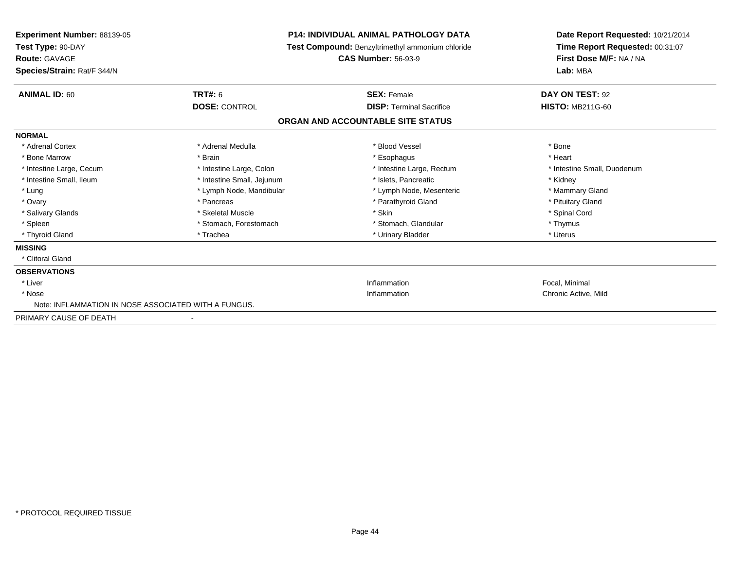| <b>Experiment Number: 88139-05</b><br>Test Type: 90-DAY<br><b>Route: GAVAGE</b><br>Species/Strain: Rat/F 344/N | <b>P14: INDIVIDUAL ANIMAL PATHOLOGY DATA</b><br><b>Test Compound: Benzyltrimethyl ammonium chloride</b><br><b>CAS Number: 56-93-9</b> |                                   | Date Report Requested: 10/21/2014<br>Time Report Requested: 00:31:07<br>First Dose M/F: NA / NA<br>Lab: MBA |  |
|----------------------------------------------------------------------------------------------------------------|---------------------------------------------------------------------------------------------------------------------------------------|-----------------------------------|-------------------------------------------------------------------------------------------------------------|--|
| <b>ANIMAL ID: 60</b>                                                                                           | TRT#: 6                                                                                                                               | <b>SEX: Female</b>                | DAY ON TEST: 92                                                                                             |  |
|                                                                                                                | <b>DOSE: CONTROL</b>                                                                                                                  | <b>DISP: Terminal Sacrifice</b>   | <b>HISTO: MB211G-60</b>                                                                                     |  |
|                                                                                                                |                                                                                                                                       | ORGAN AND ACCOUNTABLE SITE STATUS |                                                                                                             |  |
| <b>NORMAL</b>                                                                                                  |                                                                                                                                       |                                   |                                                                                                             |  |
| * Adrenal Cortex                                                                                               | * Adrenal Medulla                                                                                                                     | * Blood Vessel                    | * Bone                                                                                                      |  |
| * Bone Marrow                                                                                                  | * Brain                                                                                                                               | * Esophagus                       | * Heart                                                                                                     |  |
| * Intestine Large, Cecum                                                                                       | * Intestine Large, Colon                                                                                                              | * Intestine Large, Rectum         | * Intestine Small, Duodenum                                                                                 |  |
| * Intestine Small, Ileum                                                                                       | * Intestine Small, Jejunum                                                                                                            | * Islets, Pancreatic              | * Kidney                                                                                                    |  |
| * Lung                                                                                                         | * Lymph Node, Mandibular                                                                                                              | * Lymph Node, Mesenteric          | * Mammary Gland                                                                                             |  |
| * Ovary                                                                                                        | * Pancreas                                                                                                                            | * Parathyroid Gland               | * Pituitary Gland                                                                                           |  |
| * Salivary Glands                                                                                              | * Skeletal Muscle                                                                                                                     | * Skin                            | * Spinal Cord                                                                                               |  |
| * Spleen                                                                                                       | * Stomach, Forestomach                                                                                                                | * Stomach, Glandular              | * Thymus                                                                                                    |  |
| * Thyroid Gland                                                                                                | * Trachea                                                                                                                             | * Urinary Bladder                 | * Uterus                                                                                                    |  |
| <b>MISSING</b>                                                                                                 |                                                                                                                                       |                                   |                                                                                                             |  |
| * Clitoral Gland                                                                                               |                                                                                                                                       |                                   |                                                                                                             |  |
| <b>OBSERVATIONS</b>                                                                                            |                                                                                                                                       |                                   |                                                                                                             |  |
| * Liver                                                                                                        |                                                                                                                                       | Inflammation                      | Focal. Minimal                                                                                              |  |
| * Nose                                                                                                         |                                                                                                                                       | Inflammation                      | Chronic Active, Mild                                                                                        |  |
| Note: INFLAMMATION IN NOSE ASSOCIATED WITH A FUNGUS.                                                           |                                                                                                                                       |                                   |                                                                                                             |  |
| PRIMARY CAUSE OF DEATH                                                                                         |                                                                                                                                       |                                   |                                                                                                             |  |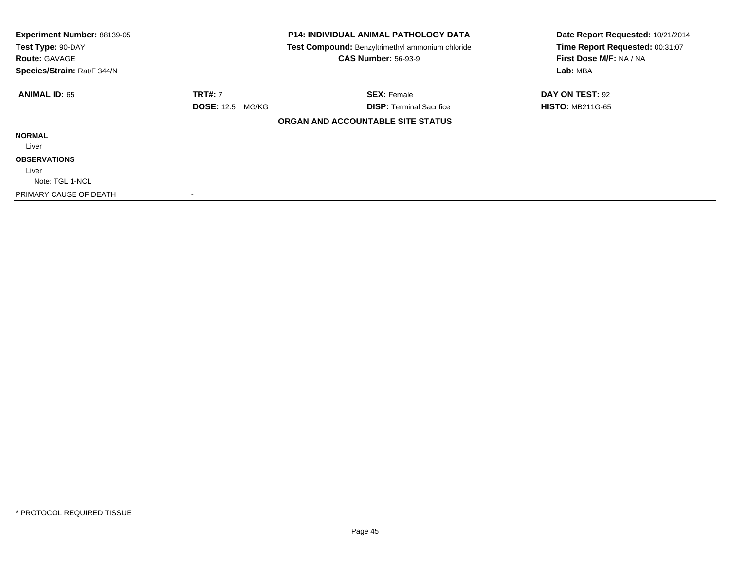| Experiment Number: 88139-05<br>Test Type: 90-DAY<br><b>Route: GAVAGE</b> | <b>P14: INDIVIDUAL ANIMAL PATHOLOGY DATA</b><br>Test Compound: Benzyltrimethyl ammonium chloride<br><b>CAS Number: 56-93-9</b> |                                   | Date Report Requested: 10/21/2014<br>Time Report Requested: 00:31:07<br>First Dose M/F: NA / NA |  |
|--------------------------------------------------------------------------|--------------------------------------------------------------------------------------------------------------------------------|-----------------------------------|-------------------------------------------------------------------------------------------------|--|
| Species/Strain: Rat/F 344/N                                              |                                                                                                                                |                                   | Lab: MBA                                                                                        |  |
| <b>ANIMAL ID: 65</b>                                                     | <b>TRT#: 7</b>                                                                                                                 | <b>SEX: Female</b>                | DAY ON TEST: 92                                                                                 |  |
|                                                                          | <b>DOSE: 12.5 MG/KG</b>                                                                                                        | <b>DISP: Terminal Sacrifice</b>   | <b>HISTO: MB211G-65</b>                                                                         |  |
|                                                                          |                                                                                                                                | ORGAN AND ACCOUNTABLE SITE STATUS |                                                                                                 |  |
| <b>NORMAL</b>                                                            |                                                                                                                                |                                   |                                                                                                 |  |
| Liver                                                                    |                                                                                                                                |                                   |                                                                                                 |  |
| <b>OBSERVATIONS</b>                                                      |                                                                                                                                |                                   |                                                                                                 |  |
| Liver                                                                    |                                                                                                                                |                                   |                                                                                                 |  |
| Note: TGL 1-NCL                                                          |                                                                                                                                |                                   |                                                                                                 |  |
| PRIMARY CAUSE OF DEATH                                                   |                                                                                                                                |                                   |                                                                                                 |  |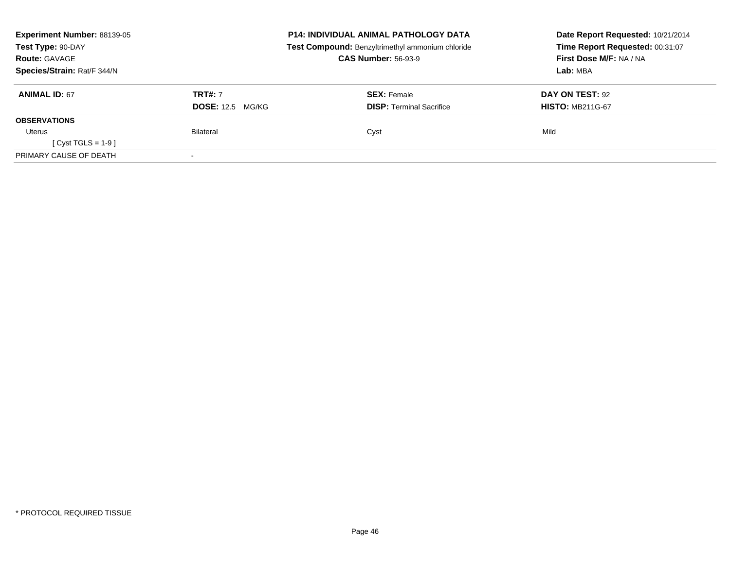| Experiment Number: 88139-05<br>Test Type: 90-DAY |                         | <b>P14: INDIVIDUAL ANIMAL PATHOLOGY DATA</b><br>Test Compound: Benzyltrimethyl ammonium chloride | Date Report Requested: 10/21/2014<br>Time Report Requested: 00:31:07 |
|--------------------------------------------------|-------------------------|--------------------------------------------------------------------------------------------------|----------------------------------------------------------------------|
| <b>Route: GAVAGE</b>                             |                         | <b>CAS Number: 56-93-9</b>                                                                       | First Dose M/F: NA / NA                                              |
| Species/Strain: Rat/F 344/N                      |                         |                                                                                                  | Lab: MBA                                                             |
| <b>ANIMAL ID: 67</b>                             | <b>TRT#: 7</b>          | <b>SEX: Female</b>                                                                               | DAY ON TEST: 92                                                      |
|                                                  | <b>DOSE: 12.5 MG/KG</b> | <b>DISP:</b> Terminal Sacrifice                                                                  | <b>HISTO: MB211G-67</b>                                              |
| <b>OBSERVATIONS</b>                              |                         |                                                                                                  |                                                                      |
| Uterus                                           | Bilateral               | Cyst                                                                                             | Mild                                                                 |
| $Cyst TGLS = 1-9$                                |                         |                                                                                                  |                                                                      |
| PRIMARY CAUSE OF DEATH                           |                         |                                                                                                  |                                                                      |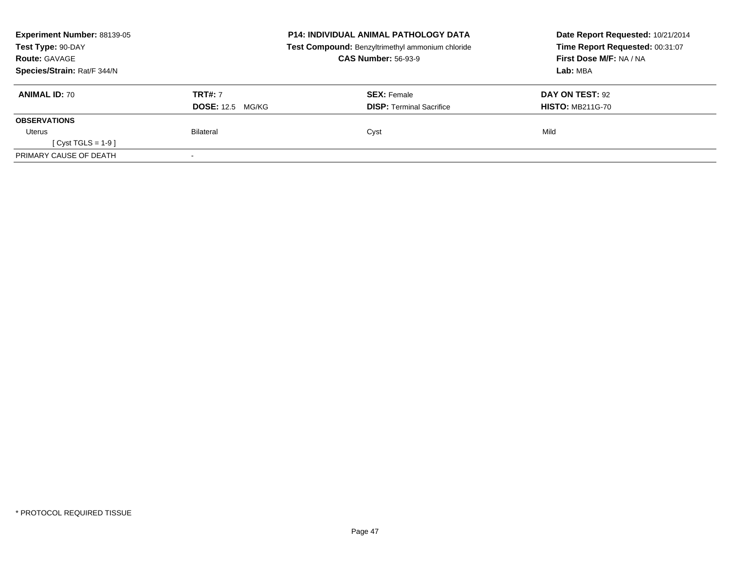| Experiment Number: 88139-05<br>Test Type: 90-DAY |                         | <b>P14: INDIVIDUAL ANIMAL PATHOLOGY DATA</b><br>Test Compound: Benzyltrimethyl ammonium chloride | Date Report Requested: 10/21/2014<br>Time Report Requested: 00:31:07 |
|--------------------------------------------------|-------------------------|--------------------------------------------------------------------------------------------------|----------------------------------------------------------------------|
| <b>Route: GAVAGE</b>                             |                         | <b>CAS Number: 56-93-9</b>                                                                       | First Dose M/F: NA / NA                                              |
| Species/Strain: Rat/F 344/N                      |                         |                                                                                                  | Lab: MBA                                                             |
| <b>ANIMAL ID: 70</b>                             | <b>TRT#: 7</b>          | <b>SEX: Female</b>                                                                               | DAY ON TEST: 92                                                      |
|                                                  | <b>DOSE: 12.5 MG/KG</b> | <b>DISP:</b> Terminal Sacrifice                                                                  | <b>HISTO: MB211G-70</b>                                              |
| <b>OBSERVATIONS</b>                              |                         |                                                                                                  |                                                                      |
| Uterus                                           | Bilateral               | Cyst                                                                                             | Mild                                                                 |
| $Cyst TGLS = 1-9$                                |                         |                                                                                                  |                                                                      |
| PRIMARY CAUSE OF DEATH                           |                         |                                                                                                  |                                                                      |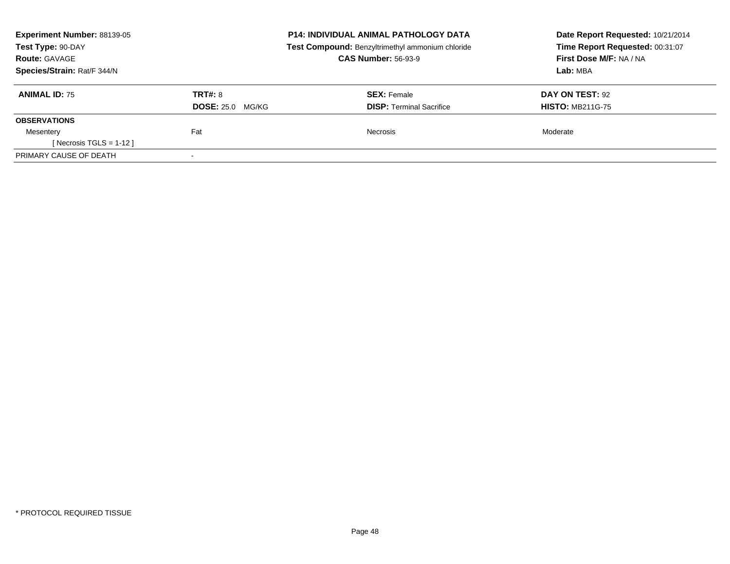| Experiment Number: 88139-05<br>Test Type: 90-DAY<br><b>Route: GAVAGE</b> | <b>P14: INDIVIDUAL ANIMAL PATHOLOGY DATA</b><br>Test Compound: Benzyltrimethyl ammonium chloride<br><b>CAS Number: 56-93-9</b> |                                 | Date Report Requested: 10/21/2014<br>Time Report Requested: 00:31:07<br>First Dose M/F: NA / NA<br>Lab: MBA |  |
|--------------------------------------------------------------------------|--------------------------------------------------------------------------------------------------------------------------------|---------------------------------|-------------------------------------------------------------------------------------------------------------|--|
| Species/Strain: Rat/F 344/N                                              |                                                                                                                                |                                 |                                                                                                             |  |
| <b>ANIMAL ID: 75</b>                                                     | <b>TRT#: 8</b>                                                                                                                 | <b>SEX: Female</b>              | DAY ON TEST: 92                                                                                             |  |
|                                                                          | <b>DOSE: 25.0 MG/KG</b>                                                                                                        | <b>DISP:</b> Terminal Sacrifice | <b>HISTO: MB211G-75</b>                                                                                     |  |
| <b>OBSERVATIONS</b>                                                      |                                                                                                                                |                                 |                                                                                                             |  |
| Mesentery                                                                | Fat                                                                                                                            | <b>Necrosis</b>                 | Moderate                                                                                                    |  |
| [ Necrosis TGLS = $1-12$ ]                                               |                                                                                                                                |                                 |                                                                                                             |  |
| PRIMARY CAUSE OF DEATH                                                   | $\overline{\phantom{a}}$                                                                                                       |                                 |                                                                                                             |  |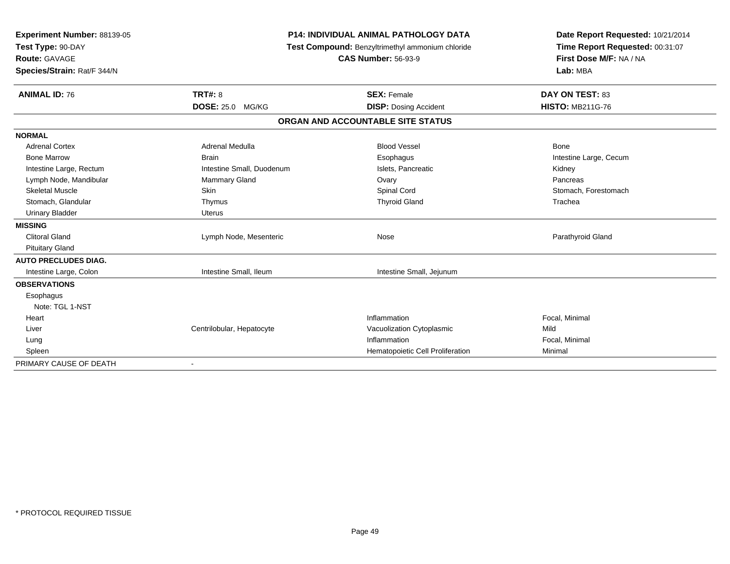| Experiment Number: 88139-05<br>Test Type: 90-DAY<br><b>Route: GAVAGE</b><br>Species/Strain: Rat/F 344/N |                           | <b>P14: INDIVIDUAL ANIMAL PATHOLOGY DATA</b><br>Test Compound: Benzyltrimethyl ammonium chloride<br><b>CAS Number: 56-93-9</b> | Date Report Requested: 10/21/2014<br>Time Report Requested: 00:31:07<br>First Dose M/F: NA / NA<br>Lab: MBA |
|---------------------------------------------------------------------------------------------------------|---------------------------|--------------------------------------------------------------------------------------------------------------------------------|-------------------------------------------------------------------------------------------------------------|
| <b>ANIMAL ID: 76</b>                                                                                    | <b>TRT#: 8</b>            | <b>SEX: Female</b>                                                                                                             | DAY ON TEST: 83                                                                                             |
|                                                                                                         | DOSE: 25.0 MG/KG          | <b>DISP: Dosing Accident</b>                                                                                                   | <b>HISTO: MB211G-76</b>                                                                                     |
|                                                                                                         |                           | ORGAN AND ACCOUNTABLE SITE STATUS                                                                                              |                                                                                                             |
| <b>NORMAL</b>                                                                                           |                           |                                                                                                                                |                                                                                                             |
| <b>Adrenal Cortex</b>                                                                                   | <b>Adrenal Medulla</b>    | <b>Blood Vessel</b>                                                                                                            | Bone                                                                                                        |
| <b>Bone Marrow</b>                                                                                      | <b>Brain</b>              | Esophagus                                                                                                                      | Intestine Large, Cecum                                                                                      |
| Intestine Large, Rectum                                                                                 | Intestine Small, Duodenum | Islets, Pancreatic                                                                                                             | Kidney                                                                                                      |
| Lymph Node, Mandibular                                                                                  | Mammary Gland             | Ovary                                                                                                                          | Pancreas                                                                                                    |
| <b>Skeletal Muscle</b>                                                                                  | Skin                      | Spinal Cord                                                                                                                    | Stomach, Forestomach                                                                                        |
| Stomach, Glandular                                                                                      | Thymus                    | <b>Thyroid Gland</b>                                                                                                           | Trachea                                                                                                     |
| <b>Urinary Bladder</b>                                                                                  | <b>Uterus</b>             |                                                                                                                                |                                                                                                             |
| <b>MISSING</b>                                                                                          |                           |                                                                                                                                |                                                                                                             |
| <b>Clitoral Gland</b>                                                                                   | Lymph Node, Mesenteric    | Nose                                                                                                                           | Parathyroid Gland                                                                                           |
| <b>Pituitary Gland</b>                                                                                  |                           |                                                                                                                                |                                                                                                             |
| <b>AUTO PRECLUDES DIAG.</b>                                                                             |                           |                                                                                                                                |                                                                                                             |
| Intestine Large, Colon                                                                                  | Intestine Small, Ileum    | Intestine Small, Jejunum                                                                                                       |                                                                                                             |
| <b>OBSERVATIONS</b>                                                                                     |                           |                                                                                                                                |                                                                                                             |
| Esophagus                                                                                               |                           |                                                                                                                                |                                                                                                             |
| Note: TGL 1-NST                                                                                         |                           |                                                                                                                                |                                                                                                             |
| Heart                                                                                                   |                           | Inflammation                                                                                                                   | Focal, Minimal                                                                                              |
| Liver                                                                                                   | Centrilobular, Hepatocyte | Vacuolization Cytoplasmic                                                                                                      | Mild                                                                                                        |
| Lung                                                                                                    |                           | Inflammation                                                                                                                   | Focal, Minimal                                                                                              |
| Spleen                                                                                                  |                           | Hematopoietic Cell Proliferation                                                                                               | Minimal                                                                                                     |
| PRIMARY CAUSE OF DEATH                                                                                  | $\blacksquare$            |                                                                                                                                |                                                                                                             |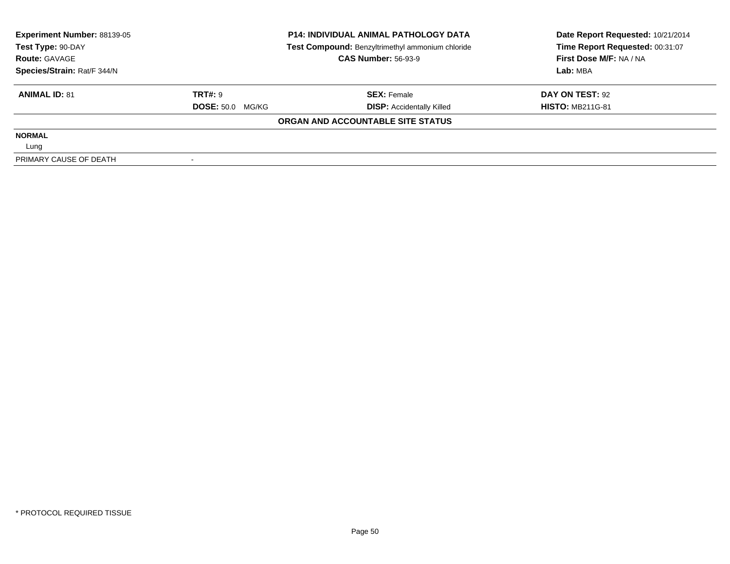| <b>Experiment Number: 88139-05</b> |                         | <b>P14: INDIVIDUAL ANIMAL PATHOLOGY DATA</b>     | Date Report Requested: 10/21/2014 |  |
|------------------------------------|-------------------------|--------------------------------------------------|-----------------------------------|--|
| Test Type: 90-DAY                  |                         | Test Compound: Benzyltrimethyl ammonium chloride | Time Report Requested: 00:31:07   |  |
| <b>Route: GAVAGE</b>               |                         | <b>CAS Number: 56-93-9</b>                       | First Dose M/F: NA / NA           |  |
| Species/Strain: Rat/F 344/N        |                         |                                                  | Lab: MBA                          |  |
| <b>ANIMAL ID: 81</b>               | TRT#: 9                 | <b>SEX: Female</b>                               | DAY ON TEST: 92                   |  |
|                                    | <b>DOSE: 50.0 MG/KG</b> | <b>DISP:</b> Accidentally Killed                 | <b>HISTO: MB211G-81</b>           |  |
|                                    |                         | ORGAN AND ACCOUNTABLE SITE STATUS                |                                   |  |
| <b>NORMAL</b>                      |                         |                                                  |                                   |  |
| Lung                               |                         |                                                  |                                   |  |
| PRIMARY CAUSE OF DEATH             |                         |                                                  |                                   |  |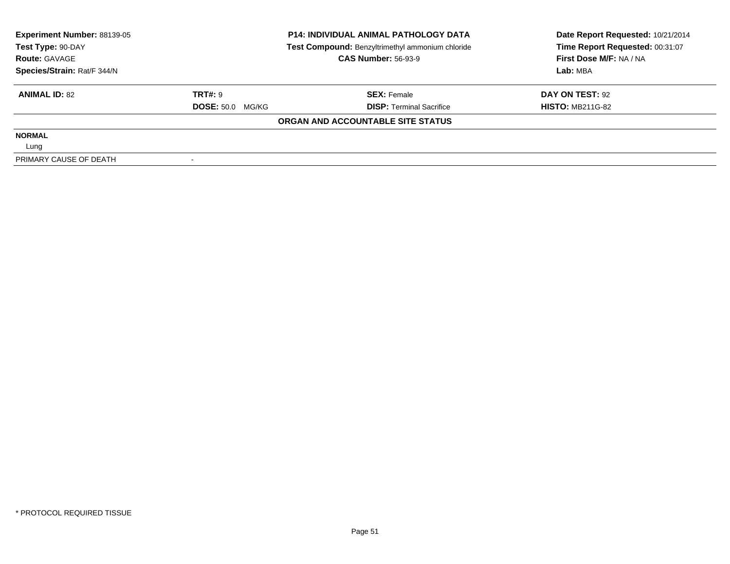| Experiment Number: 88139-05<br>Test Type: 90-DAY |                         | <b>P14: INDIVIDUAL ANIMAL PATHOLOGY DATA</b>     | Date Report Requested: 10/21/2014 |  |
|--------------------------------------------------|-------------------------|--------------------------------------------------|-----------------------------------|--|
|                                                  |                         | Test Compound: Benzyltrimethyl ammonium chloride | Time Report Requested: 00:31:07   |  |
| <b>Route: GAVAGE</b>                             |                         | <b>CAS Number: 56-93-9</b>                       | First Dose M/F: NA / NA           |  |
| Species/Strain: Rat/F 344/N                      |                         |                                                  | Lab: MBA                          |  |
| <b>ANIMAL ID: 82</b>                             | <b>TRT#: 9</b>          | <b>SEX: Female</b>                               | DAY ON TEST: 92                   |  |
|                                                  | <b>DOSE: 50.0 MG/KG</b> | <b>DISP: Terminal Sacrifice</b>                  | <b>HISTO: MB211G-82</b>           |  |
|                                                  |                         | ORGAN AND ACCOUNTABLE SITE STATUS                |                                   |  |
| <b>NORMAL</b>                                    |                         |                                                  |                                   |  |
| Lung                                             |                         |                                                  |                                   |  |
| PRIMARY CAUSE OF DEATH                           |                         |                                                  |                                   |  |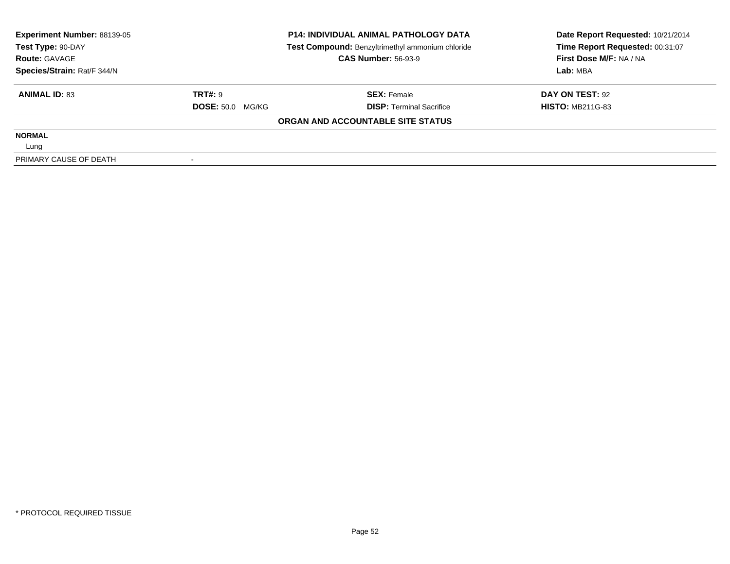| Experiment Number: 88139-05 |                         | <b>P14: INDIVIDUAL ANIMAL PATHOLOGY DATA</b>     | Date Report Requested: 10/21/2014 |  |
|-----------------------------|-------------------------|--------------------------------------------------|-----------------------------------|--|
| Test Type: 90-DAY           |                         | Test Compound: Benzyltrimethyl ammonium chloride | Time Report Requested: 00:31:07   |  |
| <b>Route: GAVAGE</b>        |                         | <b>CAS Number: 56-93-9</b>                       | First Dose M/F: NA / NA           |  |
| Species/Strain: Rat/F 344/N |                         |                                                  | Lab: MBA                          |  |
| <b>ANIMAL ID: 83</b>        | <b>TRT#: 9</b>          | <b>SEX: Female</b>                               | DAY ON TEST: 92                   |  |
|                             | <b>DOSE: 50.0 MG/KG</b> | <b>DISP: Terminal Sacrifice</b>                  | <b>HISTO: MB211G-83</b>           |  |
|                             |                         | ORGAN AND ACCOUNTABLE SITE STATUS                |                                   |  |
| <b>NORMAL</b>               |                         |                                                  |                                   |  |
| Lung                        |                         |                                                  |                                   |  |
| PRIMARY CAUSE OF DEATH      |                         |                                                  |                                   |  |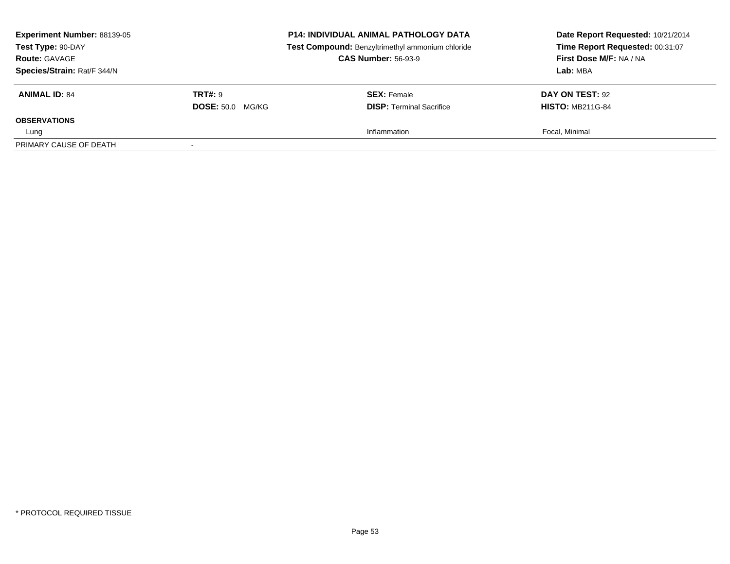| Experiment Number: 88139-05<br>Test Type: 90-DAY<br><b>Route: GAVAGE</b><br>Species/Strain: Rat/F 344/N |                         | <b>P14: INDIVIDUAL ANIMAL PATHOLOGY DATA</b><br>Test Compound: Benzyltrimethyl ammonium chloride<br><b>CAS Number: 56-93-9</b> | Date Report Requested: 10/21/2014<br>Time Report Requested: 00:31:07<br>First Dose M/F: NA / NA<br>Lab: MBA |
|---------------------------------------------------------------------------------------------------------|-------------------------|--------------------------------------------------------------------------------------------------------------------------------|-------------------------------------------------------------------------------------------------------------|
| <b>ANIMAL ID: 84</b>                                                                                    | <b>TRT#:</b> 9          | <b>SEX:</b> Female                                                                                                             | <b>DAY ON TEST: 92</b>                                                                                      |
|                                                                                                         | <b>DOSE: 50.0 MG/KG</b> | <b>DISP: Terminal Sacrifice</b>                                                                                                | <b>HISTO: MB211G-84</b>                                                                                     |
| <b>OBSERVATIONS</b>                                                                                     |                         |                                                                                                                                |                                                                                                             |
| Lung                                                                                                    |                         | Inflammation                                                                                                                   | Focal, Minimal                                                                                              |
| PRIMARY CAUSE OF DEATH                                                                                  |                         |                                                                                                                                |                                                                                                             |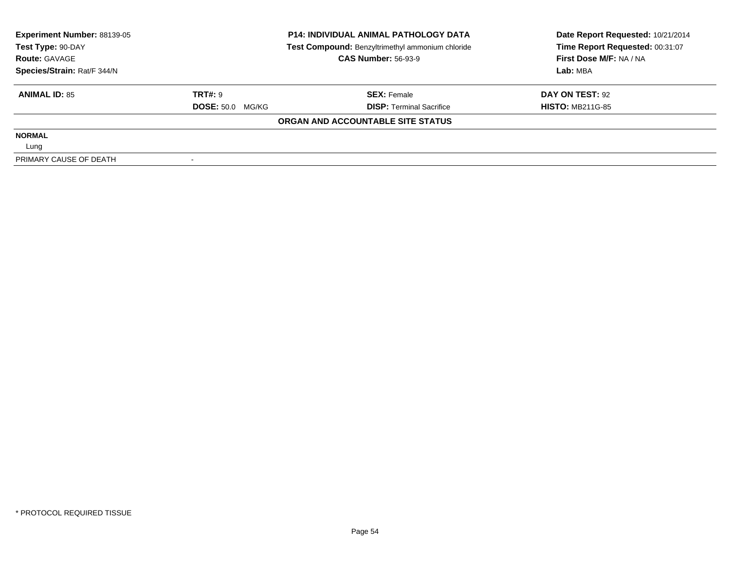| Experiment Number: 88139-05<br>Test Type: 90-DAY |                         | <b>P14: INDIVIDUAL ANIMAL PATHOLOGY DATA</b>     | Date Report Requested: 10/21/2014 |  |
|--------------------------------------------------|-------------------------|--------------------------------------------------|-----------------------------------|--|
|                                                  |                         | Test Compound: Benzyltrimethyl ammonium chloride | Time Report Requested: 00:31:07   |  |
| <b>Route: GAVAGE</b>                             |                         | <b>CAS Number: 56-93-9</b>                       | First Dose M/F: NA / NA           |  |
| Species/Strain: Rat/F 344/N                      |                         |                                                  | Lab: MBA                          |  |
| <b>ANIMAL ID: 85</b>                             | <b>TRT#: 9</b>          | <b>SEX: Female</b>                               | DAY ON TEST: 92                   |  |
|                                                  | <b>DOSE: 50.0 MG/KG</b> | <b>DISP: Terminal Sacrifice</b>                  | <b>HISTO: MB211G-85</b>           |  |
|                                                  |                         | ORGAN AND ACCOUNTABLE SITE STATUS                |                                   |  |
| <b>NORMAL</b>                                    |                         |                                                  |                                   |  |
| Lung                                             |                         |                                                  |                                   |  |
| PRIMARY CAUSE OF DEATH                           |                         |                                                  |                                   |  |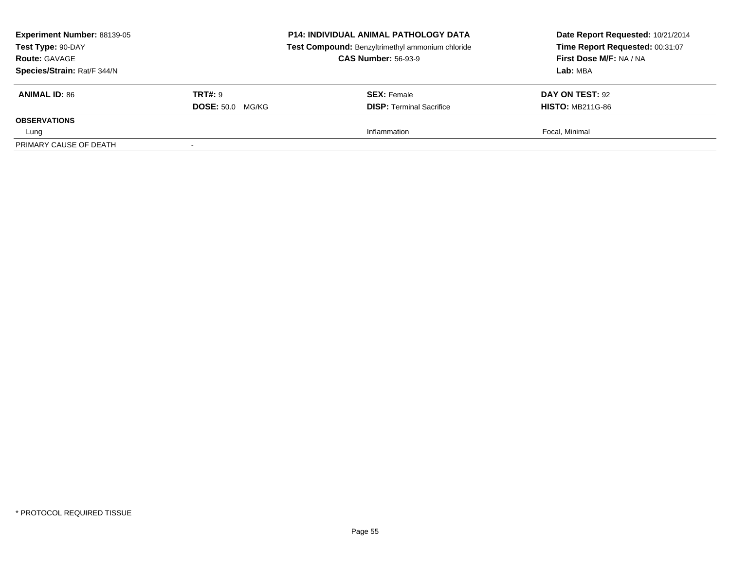| Experiment Number: 88139-05<br>Test Type: 90-DAY<br><b>Route: GAVAGE</b><br>Species/Strain: Rat/F 344/N |                         | <b>P14: INDIVIDUAL ANIMAL PATHOLOGY DATA</b><br>Test Compound: Benzyltrimethyl ammonium chloride<br><b>CAS Number: 56-93-9</b> | Date Report Requested: 10/21/2014<br>Time Report Requested: 00:31:07<br>First Dose M/F: NA / NA<br>Lab: MBA |
|---------------------------------------------------------------------------------------------------------|-------------------------|--------------------------------------------------------------------------------------------------------------------------------|-------------------------------------------------------------------------------------------------------------|
| <b>ANIMAL ID: 86</b>                                                                                    | <b>TRT#:</b> 9          | <b>SEX: Female</b>                                                                                                             | <b>DAY ON TEST: 92</b>                                                                                      |
|                                                                                                         | <b>DOSE: 50.0 MG/KG</b> | <b>DISP: Terminal Sacrifice</b>                                                                                                | <b>HISTO: MB211G-86</b>                                                                                     |
| <b>OBSERVATIONS</b>                                                                                     |                         |                                                                                                                                |                                                                                                             |
| Lung                                                                                                    |                         | Inflammation                                                                                                                   | Focal, Minimal                                                                                              |
| PRIMARY CAUSE OF DEATH                                                                                  | $\sim$                  |                                                                                                                                |                                                                                                             |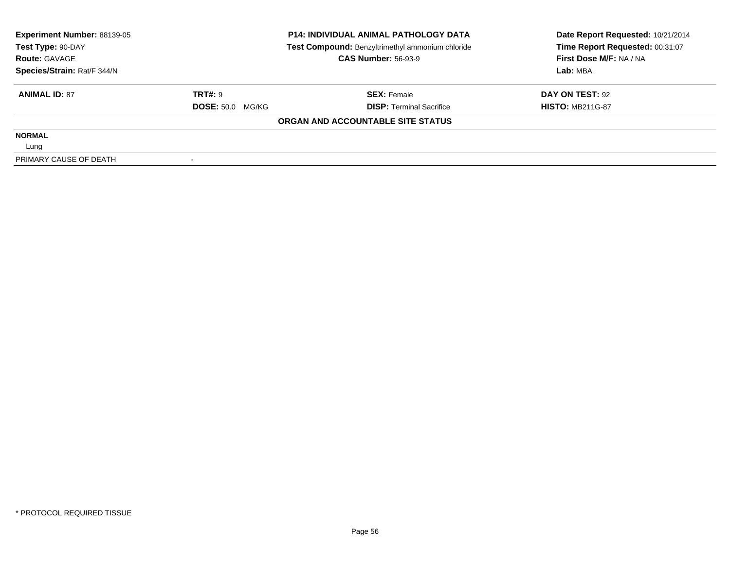| Experiment Number: 88139-05<br>Test Type: 90-DAY |                         | <b>P14: INDIVIDUAL ANIMAL PATHOLOGY DATA</b>     | Date Report Requested: 10/21/2014 |  |
|--------------------------------------------------|-------------------------|--------------------------------------------------|-----------------------------------|--|
|                                                  |                         | Test Compound: Benzyltrimethyl ammonium chloride | Time Report Requested: 00:31:07   |  |
| <b>Route: GAVAGE</b>                             |                         | <b>CAS Number: 56-93-9</b>                       | First Dose M/F: NA / NA           |  |
| Species/Strain: Rat/F 344/N                      |                         |                                                  | Lab: MBA                          |  |
| <b>ANIMAL ID: 87</b>                             | <b>TRT#: 9</b>          | <b>SEX: Female</b>                               | DAY ON TEST: 92                   |  |
|                                                  | <b>DOSE: 50.0 MG/KG</b> | <b>DISP: Terminal Sacrifice</b>                  | <b>HISTO: MB211G-87</b>           |  |
|                                                  |                         | ORGAN AND ACCOUNTABLE SITE STATUS                |                                   |  |
| <b>NORMAL</b>                                    |                         |                                                  |                                   |  |
| Lung                                             |                         |                                                  |                                   |  |
| PRIMARY CAUSE OF DEATH                           |                         |                                                  |                                   |  |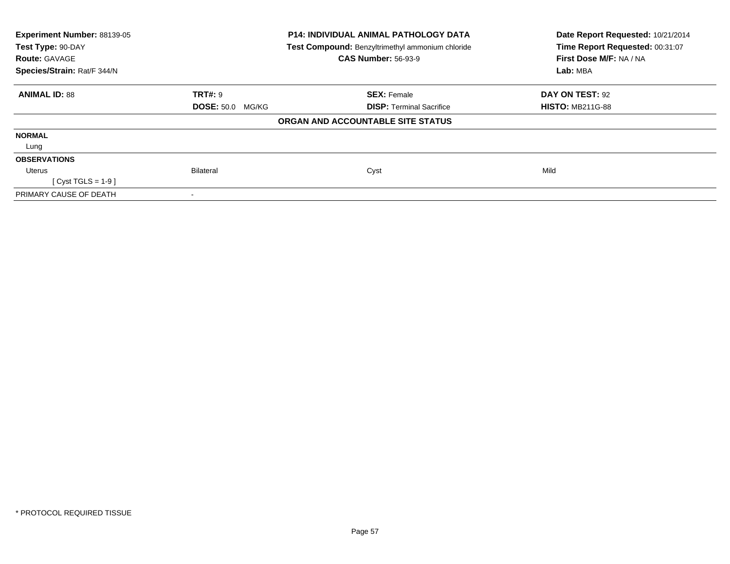| Experiment Number: 88139-05 |                         | <b>P14: INDIVIDUAL ANIMAL PATHOLOGY DATA</b>     | Date Report Requested: 10/21/2014 |
|-----------------------------|-------------------------|--------------------------------------------------|-----------------------------------|
| Test Type: 90-DAY           |                         | Test Compound: Benzyltrimethyl ammonium chloride | Time Report Requested: 00:31:07   |
| <b>Route: GAVAGE</b>        |                         | <b>CAS Number: 56-93-9</b>                       | First Dose M/F: NA / NA           |
| Species/Strain: Rat/F 344/N |                         |                                                  | Lab: MBA                          |
| <b>ANIMAL ID: 88</b>        | <b>TRT#: 9</b>          | <b>SEX: Female</b>                               | <b>DAY ON TEST: 92</b>            |
|                             | <b>DOSE: 50.0 MG/KG</b> | <b>DISP:</b> Terminal Sacrifice                  | <b>HISTO: MB211G-88</b>           |
|                             |                         | ORGAN AND ACCOUNTABLE SITE STATUS                |                                   |
| <b>NORMAL</b>               |                         |                                                  |                                   |
| Lung                        |                         |                                                  |                                   |
| <b>OBSERVATIONS</b>         |                         |                                                  |                                   |
| Uterus                      | <b>Bilateral</b>        | Cyst                                             | Mild                              |
| [Cyst TGLS = $1-9$ ]        |                         |                                                  |                                   |
| PRIMARY CAUSE OF DEATH      |                         |                                                  |                                   |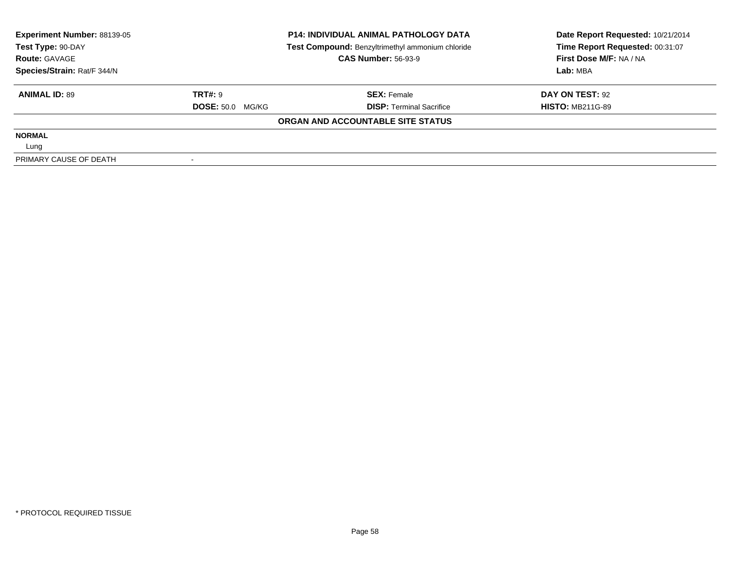| Experiment Number: 88139-05 |                         | <b>P14: INDIVIDUAL ANIMAL PATHOLOGY DATA</b>     | Date Report Requested: 10/21/2014 |  |
|-----------------------------|-------------------------|--------------------------------------------------|-----------------------------------|--|
| Test Type: 90-DAY           |                         | Test Compound: Benzyltrimethyl ammonium chloride | Time Report Requested: 00:31:07   |  |
| <b>Route: GAVAGE</b>        |                         | <b>CAS Number: 56-93-9</b>                       | First Dose M/F: NA / NA           |  |
| Species/Strain: Rat/F 344/N |                         |                                                  | Lab: MBA                          |  |
| <b>ANIMAL ID: 89</b>        | <b>TRT#: 9</b>          | <b>SEX: Female</b>                               | DAY ON TEST: 92                   |  |
|                             | <b>DOSE: 50.0 MG/KG</b> | <b>DISP: Terminal Sacrifice</b>                  | <b>HISTO: MB211G-89</b>           |  |
|                             |                         | ORGAN AND ACCOUNTABLE SITE STATUS                |                                   |  |
| <b>NORMAL</b>               |                         |                                                  |                                   |  |
| Lung                        |                         |                                                  |                                   |  |
| PRIMARY CAUSE OF DEATH      |                         |                                                  |                                   |  |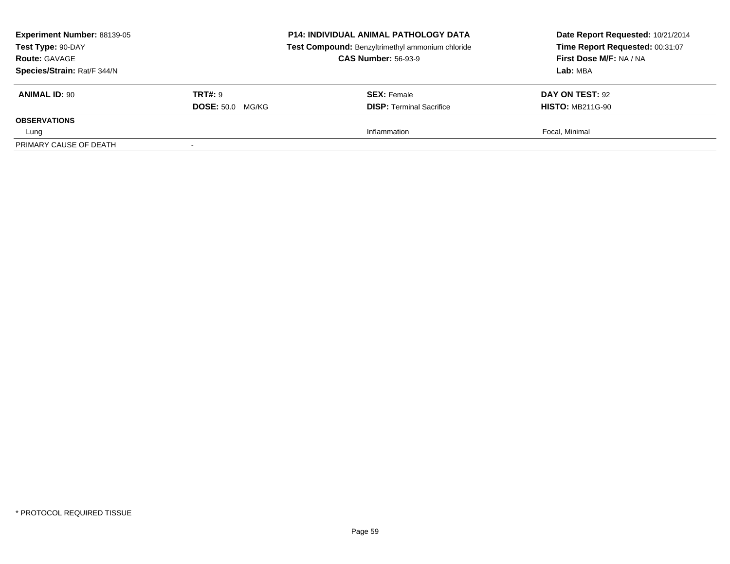| Experiment Number: 88139-05<br>Test Type: 90-DAY<br><b>Route: GAVAGE</b><br>Species/Strain: Rat/F 344/N |                         | <b>P14: INDIVIDUAL ANIMAL PATHOLOGY DATA</b><br>Test Compound: Benzyltrimethyl ammonium chloride<br><b>CAS Number: 56-93-9</b> | Date Report Requested: 10/21/2014<br>Time Report Requested: 00:31:07<br>First Dose M/F: NA / NA<br>Lab: MBA |
|---------------------------------------------------------------------------------------------------------|-------------------------|--------------------------------------------------------------------------------------------------------------------------------|-------------------------------------------------------------------------------------------------------------|
| <b>ANIMAL ID: 90</b>                                                                                    | <b>TRT#:</b> 9          | <b>SEX:</b> Female                                                                                                             | <b>DAY ON TEST: 92</b>                                                                                      |
|                                                                                                         | <b>DOSE: 50.0 MG/KG</b> | <b>DISP: Terminal Sacrifice</b>                                                                                                | <b>HISTO: MB211G-90</b>                                                                                     |
| <b>OBSERVATIONS</b>                                                                                     |                         |                                                                                                                                |                                                                                                             |
| Lung                                                                                                    |                         | Inflammation                                                                                                                   | Focal, Minimal                                                                                              |
| PRIMARY CAUSE OF DEATH                                                                                  |                         |                                                                                                                                |                                                                                                             |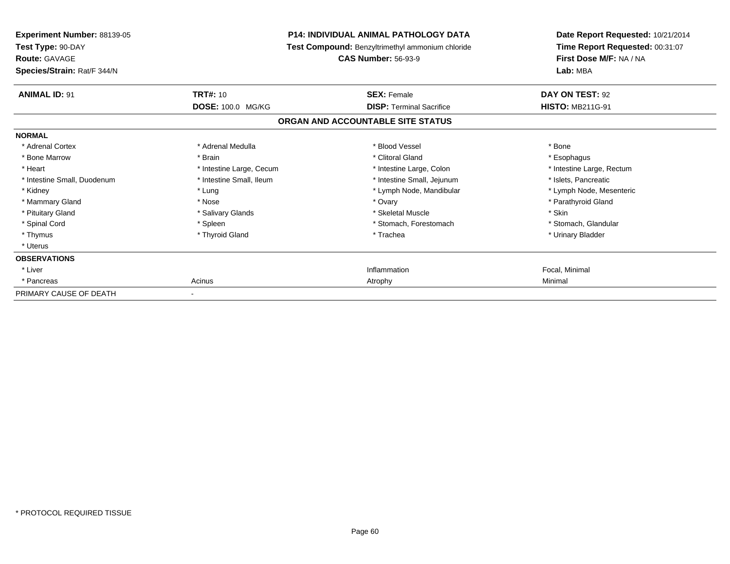| Experiment Number: 88139-05<br>Test Type: 90-DAY<br><b>Route: GAVAGE</b><br>Species/Strain: Rat/F 344/N |                          | <b>P14: INDIVIDUAL ANIMAL PATHOLOGY DATA</b><br>Test Compound: Benzyltrimethyl ammonium chloride<br><b>CAS Number: 56-93-9</b> | Date Report Requested: 10/21/2014<br>Time Report Requested: 00:31:07<br>First Dose M/F: NA / NA<br>Lab: MBA |
|---------------------------------------------------------------------------------------------------------|--------------------------|--------------------------------------------------------------------------------------------------------------------------------|-------------------------------------------------------------------------------------------------------------|
| <b>ANIMAL ID: 91</b>                                                                                    | <b>TRT#: 10</b>          | <b>SEX: Female</b>                                                                                                             | DAY ON TEST: 92                                                                                             |
|                                                                                                         | DOSE: 100.0 MG/KG        | <b>DISP: Terminal Sacrifice</b>                                                                                                | <b>HISTO: MB211G-91</b>                                                                                     |
|                                                                                                         |                          | ORGAN AND ACCOUNTABLE SITE STATUS                                                                                              |                                                                                                             |
| <b>NORMAL</b>                                                                                           |                          |                                                                                                                                |                                                                                                             |
| * Adrenal Cortex                                                                                        | * Adrenal Medulla        | * Blood Vessel                                                                                                                 | * Bone                                                                                                      |
| * Bone Marrow                                                                                           | * Brain                  | * Clitoral Gland                                                                                                               | * Esophagus                                                                                                 |
| * Heart                                                                                                 | * Intestine Large, Cecum | * Intestine Large, Colon                                                                                                       | * Intestine Large, Rectum                                                                                   |
| * Intestine Small, Duodenum                                                                             | * Intestine Small. Ileum | * Intestine Small, Jejunum                                                                                                     | * Islets. Pancreatic                                                                                        |
| * Kidney                                                                                                | * Lung                   | * Lymph Node, Mandibular                                                                                                       | * Lymph Node, Mesenteric                                                                                    |
| * Mammary Gland                                                                                         | * Nose                   | * Ovary                                                                                                                        | * Parathyroid Gland                                                                                         |
| * Pituitary Gland                                                                                       | * Salivary Glands        | * Skeletal Muscle                                                                                                              | * Skin                                                                                                      |
| * Spinal Cord                                                                                           | * Spleen                 | * Stomach, Forestomach                                                                                                         | * Stomach, Glandular                                                                                        |
| * Thymus                                                                                                | * Thyroid Gland          | * Trachea                                                                                                                      | * Urinary Bladder                                                                                           |
| * Uterus                                                                                                |                          |                                                                                                                                |                                                                                                             |
| <b>OBSERVATIONS</b>                                                                                     |                          |                                                                                                                                |                                                                                                             |
| * Liver                                                                                                 |                          | Inflammation                                                                                                                   | Focal, Minimal                                                                                              |
| * Pancreas                                                                                              | Acinus                   | Atrophy                                                                                                                        | Minimal                                                                                                     |
| PRIMARY CAUSE OF DEATH                                                                                  |                          |                                                                                                                                |                                                                                                             |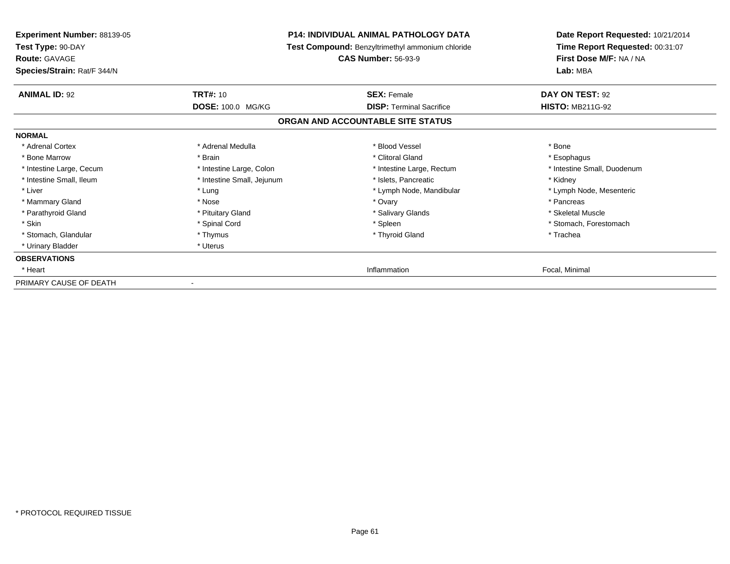| Experiment Number: 88139-05<br>Test Type: 90-DAY<br><b>Route: GAVAGE</b><br>Species/Strain: Rat/F 344/N | <b>P14: INDIVIDUAL ANIMAL PATHOLOGY DATA</b><br>Test Compound: Benzyltrimethyl ammonium chloride<br><b>CAS Number: 56-93-9</b> |                                   | Date Report Requested: 10/21/2014<br>Time Report Requested: 00:31:07<br>First Dose M/F: NA / NA<br>Lab: MBA |  |
|---------------------------------------------------------------------------------------------------------|--------------------------------------------------------------------------------------------------------------------------------|-----------------------------------|-------------------------------------------------------------------------------------------------------------|--|
|                                                                                                         |                                                                                                                                |                                   |                                                                                                             |  |
| <b>ANIMAL ID: 92</b>                                                                                    | <b>TRT#: 10</b>                                                                                                                | <b>SEX: Female</b>                | DAY ON TEST: 92                                                                                             |  |
|                                                                                                         | <b>DOSE: 100.0 MG/KG</b>                                                                                                       | <b>DISP:</b> Terminal Sacrifice   | <b>HISTO: MB211G-92</b>                                                                                     |  |
|                                                                                                         |                                                                                                                                | ORGAN AND ACCOUNTABLE SITE STATUS |                                                                                                             |  |
| <b>NORMAL</b>                                                                                           |                                                                                                                                |                                   |                                                                                                             |  |
| * Adrenal Cortex                                                                                        | * Adrenal Medulla                                                                                                              | * Blood Vessel                    | * Bone                                                                                                      |  |
| * Bone Marrow                                                                                           | * Brain                                                                                                                        | * Clitoral Gland                  | * Esophagus                                                                                                 |  |
| * Intestine Large, Cecum                                                                                | * Intestine Large, Colon                                                                                                       | * Intestine Large, Rectum         | * Intestine Small, Duodenum                                                                                 |  |
| * Intestine Small, Ileum                                                                                | * Intestine Small, Jejunum                                                                                                     | * Islets, Pancreatic              | * Kidney                                                                                                    |  |
| * Liver                                                                                                 | * Lung                                                                                                                         | * Lymph Node, Mandibular          | * Lymph Node, Mesenteric                                                                                    |  |
| * Mammary Gland                                                                                         | * Nose                                                                                                                         | * Ovary                           | * Pancreas                                                                                                  |  |
| * Parathyroid Gland                                                                                     | * Pituitary Gland                                                                                                              | * Salivary Glands                 | * Skeletal Muscle                                                                                           |  |
| * Skin                                                                                                  | * Spinal Cord                                                                                                                  | * Spleen                          | * Stomach, Forestomach                                                                                      |  |
| * Stomach, Glandular                                                                                    | * Thymus                                                                                                                       | * Thyroid Gland                   | * Trachea                                                                                                   |  |
| * Urinary Bladder                                                                                       | * Uterus                                                                                                                       |                                   |                                                                                                             |  |
| <b>OBSERVATIONS</b>                                                                                     |                                                                                                                                |                                   |                                                                                                             |  |
| * Heart                                                                                                 |                                                                                                                                | Inflammation                      | Focal, Minimal                                                                                              |  |
| PRIMARY CAUSE OF DEATH                                                                                  |                                                                                                                                |                                   |                                                                                                             |  |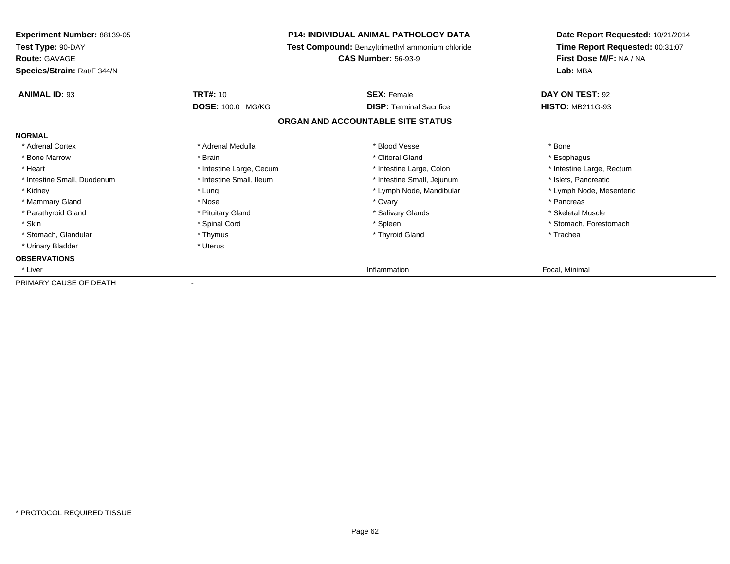| <b>Experiment Number: 88139-05</b><br>Test Type: 90-DAY<br><b>Route: GAVAGE</b> |                          | <b>P14: INDIVIDUAL ANIMAL PATHOLOGY DATA</b><br>Test Compound: Benzyltrimethyl ammonium chloride<br><b>CAS Number: 56-93-9</b> | Date Report Requested: 10/21/2014<br>Time Report Requested: 00:31:07<br>First Dose M/F: NA / NA |
|---------------------------------------------------------------------------------|--------------------------|--------------------------------------------------------------------------------------------------------------------------------|-------------------------------------------------------------------------------------------------|
| Species/Strain: Rat/F 344/N                                                     |                          |                                                                                                                                | Lab: MBA                                                                                        |
| <b>ANIMAL ID: 93</b>                                                            | <b>TRT#: 10</b>          | <b>SEX: Female</b>                                                                                                             | DAY ON TEST: 92                                                                                 |
|                                                                                 | DOSE: 100.0 MG/KG        | <b>DISP: Terminal Sacrifice</b>                                                                                                | <b>HISTO: MB211G-93</b>                                                                         |
|                                                                                 |                          | ORGAN AND ACCOUNTABLE SITE STATUS                                                                                              |                                                                                                 |
| <b>NORMAL</b>                                                                   |                          |                                                                                                                                |                                                                                                 |
| * Adrenal Cortex                                                                | * Adrenal Medulla        | * Blood Vessel                                                                                                                 | * Bone                                                                                          |
| * Bone Marrow                                                                   | * Brain                  | * Clitoral Gland                                                                                                               | * Esophagus                                                                                     |
| * Heart                                                                         | * Intestine Large, Cecum | * Intestine Large, Colon                                                                                                       | * Intestine Large, Rectum                                                                       |
| * Intestine Small, Duodenum                                                     | * Intestine Small, Ileum | * Intestine Small, Jejunum                                                                                                     | * Islets, Pancreatic                                                                            |
| * Kidney                                                                        | * Lung                   | * Lymph Node, Mandibular                                                                                                       | * Lymph Node, Mesenteric                                                                        |
| * Mammary Gland                                                                 | * Nose                   | * Ovary                                                                                                                        | * Pancreas                                                                                      |
| * Parathyroid Gland                                                             | * Pituitary Gland        | * Salivary Glands                                                                                                              | * Skeletal Muscle                                                                               |
| * Skin                                                                          | * Spinal Cord            | * Spleen                                                                                                                       | * Stomach. Forestomach                                                                          |
| * Stomach, Glandular                                                            | * Thymus                 | * Thyroid Gland                                                                                                                | * Trachea                                                                                       |
| * Urinary Bladder                                                               | * Uterus                 |                                                                                                                                |                                                                                                 |
| <b>OBSERVATIONS</b>                                                             |                          |                                                                                                                                |                                                                                                 |
| * Liver                                                                         |                          | Inflammation                                                                                                                   | Focal, Minimal                                                                                  |
| PRIMARY CAUSE OF DEATH                                                          |                          |                                                                                                                                |                                                                                                 |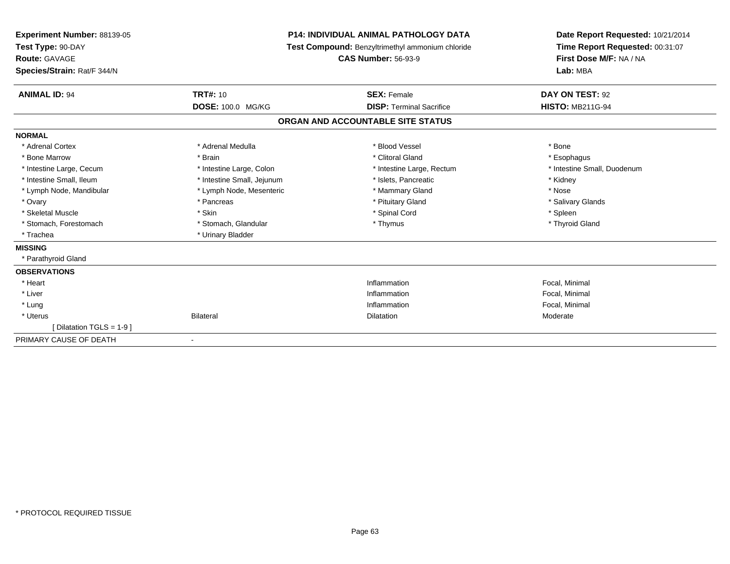| <b>Experiment Number: 88139-05</b><br>Test Type: 90-DAY<br><b>Route: GAVAGE</b><br>Species/Strain: Rat/F 344/N |                            | <b>P14: INDIVIDUAL ANIMAL PATHOLOGY DATA</b><br>Test Compound: Benzyltrimethyl ammonium chloride<br><b>CAS Number: 56-93-9</b> | Date Report Requested: 10/21/2014<br>Time Report Requested: 00:31:07<br>First Dose M/F: NA / NA<br>Lab: MBA |
|----------------------------------------------------------------------------------------------------------------|----------------------------|--------------------------------------------------------------------------------------------------------------------------------|-------------------------------------------------------------------------------------------------------------|
| <b>ANIMAL ID: 94</b>                                                                                           | <b>TRT#: 10</b>            | <b>SEX: Female</b>                                                                                                             | DAY ON TEST: 92                                                                                             |
|                                                                                                                | DOSE: 100.0 MG/KG          | <b>DISP: Terminal Sacrifice</b>                                                                                                | <b>HISTO: MB211G-94</b>                                                                                     |
|                                                                                                                |                            | ORGAN AND ACCOUNTABLE SITE STATUS                                                                                              |                                                                                                             |
| <b>NORMAL</b>                                                                                                  |                            |                                                                                                                                |                                                                                                             |
| * Adrenal Cortex                                                                                               | * Adrenal Medulla          | * Blood Vessel                                                                                                                 | * Bone                                                                                                      |
| * Bone Marrow                                                                                                  | * Brain                    | * Clitoral Gland                                                                                                               | * Esophagus                                                                                                 |
| * Intestine Large, Cecum                                                                                       | * Intestine Large, Colon   | * Intestine Large, Rectum                                                                                                      | * Intestine Small, Duodenum                                                                                 |
| * Intestine Small, Ileum                                                                                       | * Intestine Small, Jejunum | * Islets, Pancreatic                                                                                                           | * Kidney                                                                                                    |
| * Lymph Node, Mandibular                                                                                       | * Lymph Node, Mesenteric   | * Mammary Gland                                                                                                                | * Nose                                                                                                      |
| * Ovary                                                                                                        | * Pancreas                 | * Pituitary Gland                                                                                                              | * Salivary Glands                                                                                           |
| * Skeletal Muscle                                                                                              | * Skin                     | * Spinal Cord                                                                                                                  | * Spleen                                                                                                    |
| * Stomach, Forestomach                                                                                         | * Stomach, Glandular       | * Thymus                                                                                                                       | * Thyroid Gland                                                                                             |
| * Trachea                                                                                                      | * Urinary Bladder          |                                                                                                                                |                                                                                                             |
| <b>MISSING</b>                                                                                                 |                            |                                                                                                                                |                                                                                                             |
| * Parathyroid Gland                                                                                            |                            |                                                                                                                                |                                                                                                             |
| <b>OBSERVATIONS</b>                                                                                            |                            |                                                                                                                                |                                                                                                             |
| * Heart                                                                                                        |                            | Inflammation                                                                                                                   | Focal, Minimal                                                                                              |
| * Liver                                                                                                        |                            | Inflammation                                                                                                                   | Focal, Minimal                                                                                              |
| * Lung                                                                                                         |                            | Inflammation                                                                                                                   | Focal, Minimal                                                                                              |
| * Uterus                                                                                                       | Bilateral                  | <b>Dilatation</b>                                                                                                              | Moderate                                                                                                    |
| [Dilatation TGLS = 1-9 ]                                                                                       |                            |                                                                                                                                |                                                                                                             |
| PRIMARY CAUSE OF DEATH                                                                                         |                            |                                                                                                                                |                                                                                                             |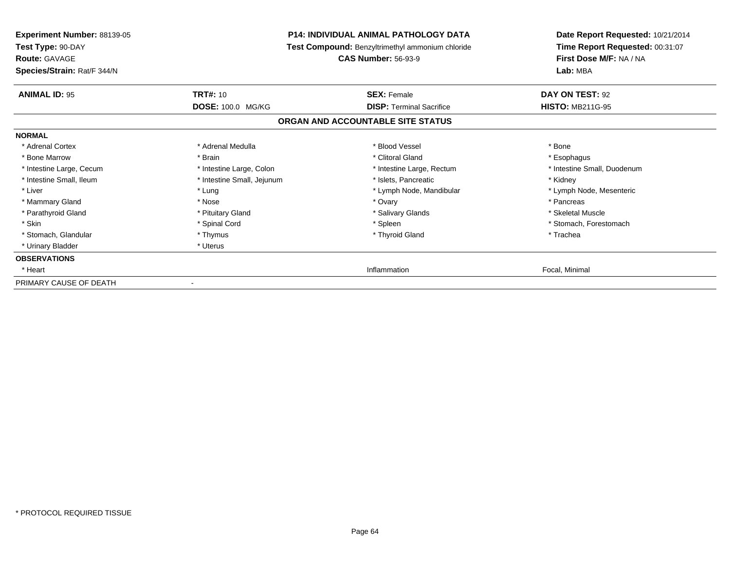| <b>Experiment Number: 88139-05</b><br>Test Type: 90-DAY<br><b>Route: GAVAGE</b><br>Species/Strain: Rat/F 344/N | <b>P14: INDIVIDUAL ANIMAL PATHOLOGY DATA</b><br>Test Compound: Benzyltrimethyl ammonium chloride<br><b>CAS Number: 56-93-9</b> |                                   | Date Report Requested: 10/21/2014<br>Time Report Requested: 00:31:07<br>First Dose M/F: NA / NA<br>Lab: MBA |
|----------------------------------------------------------------------------------------------------------------|--------------------------------------------------------------------------------------------------------------------------------|-----------------------------------|-------------------------------------------------------------------------------------------------------------|
| <b>ANIMAL ID: 95</b>                                                                                           | <b>TRT#: 10</b>                                                                                                                | <b>SEX: Female</b>                | DAY ON TEST: 92                                                                                             |
|                                                                                                                | DOSE: 100.0 MG/KG                                                                                                              | <b>DISP: Terminal Sacrifice</b>   | <b>HISTO: MB211G-95</b>                                                                                     |
|                                                                                                                |                                                                                                                                | ORGAN AND ACCOUNTABLE SITE STATUS |                                                                                                             |
| <b>NORMAL</b>                                                                                                  |                                                                                                                                |                                   |                                                                                                             |
| * Adrenal Cortex                                                                                               | * Adrenal Medulla                                                                                                              | * Blood Vessel                    | * Bone                                                                                                      |
| * Bone Marrow                                                                                                  | * Brain                                                                                                                        | * Clitoral Gland                  | * Esophagus                                                                                                 |
| * Intestine Large, Cecum                                                                                       | * Intestine Large, Colon                                                                                                       | * Intestine Large, Rectum         | * Intestine Small, Duodenum                                                                                 |
| * Intestine Small, Ileum                                                                                       | * Intestine Small, Jejunum                                                                                                     | * Islets, Pancreatic              | * Kidney                                                                                                    |
| * Liver                                                                                                        | * Lung                                                                                                                         | * Lymph Node, Mandibular          | * Lymph Node, Mesenteric                                                                                    |
| * Mammary Gland                                                                                                | * Nose                                                                                                                         | * Ovary                           | * Pancreas                                                                                                  |
| * Parathyroid Gland                                                                                            | * Pituitary Gland                                                                                                              | * Salivary Glands                 | * Skeletal Muscle                                                                                           |
| * Skin                                                                                                         | * Spinal Cord                                                                                                                  | * Spleen                          | * Stomach, Forestomach                                                                                      |
| * Stomach, Glandular                                                                                           | * Thymus                                                                                                                       | * Thyroid Gland                   | * Trachea                                                                                                   |
| * Urinary Bladder                                                                                              | * Uterus                                                                                                                       |                                   |                                                                                                             |
| <b>OBSERVATIONS</b>                                                                                            |                                                                                                                                |                                   |                                                                                                             |
| * Heart                                                                                                        |                                                                                                                                | Inflammation                      | Focal, Minimal                                                                                              |
| PRIMARY CAUSE OF DEATH                                                                                         |                                                                                                                                |                                   |                                                                                                             |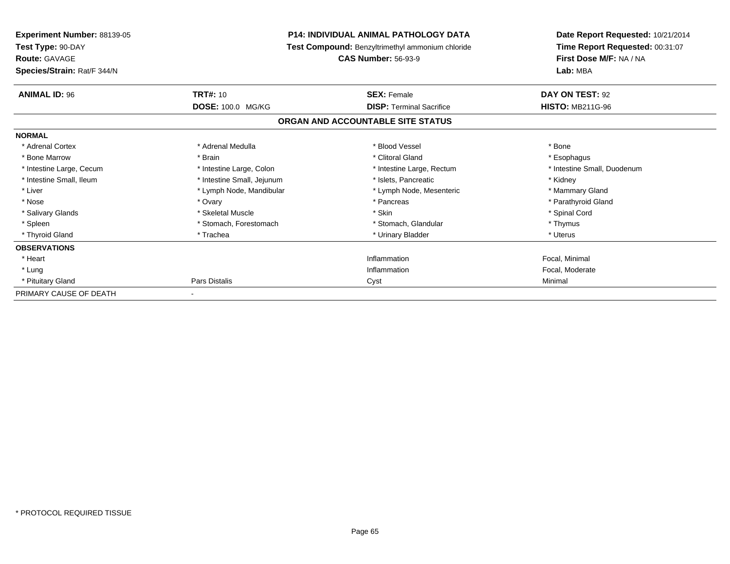| Experiment Number: 88139-05<br>Test Type: 90-DAY<br><b>Route: GAVAGE</b><br>Species/Strain: Rat/F 344/N | <b>P14: INDIVIDUAL ANIMAL PATHOLOGY DATA</b><br>Test Compound: Benzyltrimethyl ammonium chloride<br><b>CAS Number: 56-93-9</b> |                                   | Date Report Requested: 10/21/2014<br>Time Report Requested: 00:31:07<br>First Dose M/F: NA / NA<br>Lab: MBA |
|---------------------------------------------------------------------------------------------------------|--------------------------------------------------------------------------------------------------------------------------------|-----------------------------------|-------------------------------------------------------------------------------------------------------------|
| <b>ANIMAL ID: 96</b>                                                                                    | <b>TRT#: 10</b>                                                                                                                | <b>SEX: Female</b>                | DAY ON TEST: 92                                                                                             |
|                                                                                                         | DOSE: 100.0 MG/KG                                                                                                              | <b>DISP: Terminal Sacrifice</b>   | <b>HISTO: MB211G-96</b>                                                                                     |
|                                                                                                         |                                                                                                                                | ORGAN AND ACCOUNTABLE SITE STATUS |                                                                                                             |
| <b>NORMAL</b>                                                                                           |                                                                                                                                |                                   |                                                                                                             |
| * Adrenal Cortex                                                                                        | * Adrenal Medulla                                                                                                              | * Blood Vessel                    | * Bone                                                                                                      |
| * Bone Marrow                                                                                           | * Brain                                                                                                                        | * Clitoral Gland                  | * Esophagus                                                                                                 |
| * Intestine Large, Cecum                                                                                | * Intestine Large, Colon                                                                                                       | * Intestine Large, Rectum         | * Intestine Small, Duodenum                                                                                 |
| * Intestine Small, Ileum                                                                                | * Intestine Small, Jejunum                                                                                                     | * Islets, Pancreatic              | * Kidney                                                                                                    |
| * Liver                                                                                                 | * Lymph Node, Mandibular                                                                                                       | * Lymph Node, Mesenteric          | * Mammary Gland                                                                                             |
| * Nose                                                                                                  | * Ovary                                                                                                                        | * Pancreas                        | * Parathyroid Gland                                                                                         |
| * Salivary Glands                                                                                       | * Skeletal Muscle                                                                                                              | * Skin                            | * Spinal Cord                                                                                               |
| * Spleen                                                                                                | * Stomach, Forestomach                                                                                                         | * Stomach, Glandular              | * Thymus                                                                                                    |
| * Thyroid Gland                                                                                         | * Trachea                                                                                                                      | * Urinary Bladder                 | * Uterus                                                                                                    |
| <b>OBSERVATIONS</b>                                                                                     |                                                                                                                                |                                   |                                                                                                             |
| * Heart                                                                                                 |                                                                                                                                | Inflammation                      | Focal, Minimal                                                                                              |
| * Lung                                                                                                  |                                                                                                                                | Inflammation                      | Focal, Moderate                                                                                             |
| * Pituitary Gland                                                                                       | Pars Distalis                                                                                                                  | Cyst                              | Minimal                                                                                                     |
| PRIMARY CAUSE OF DEATH                                                                                  |                                                                                                                                |                                   |                                                                                                             |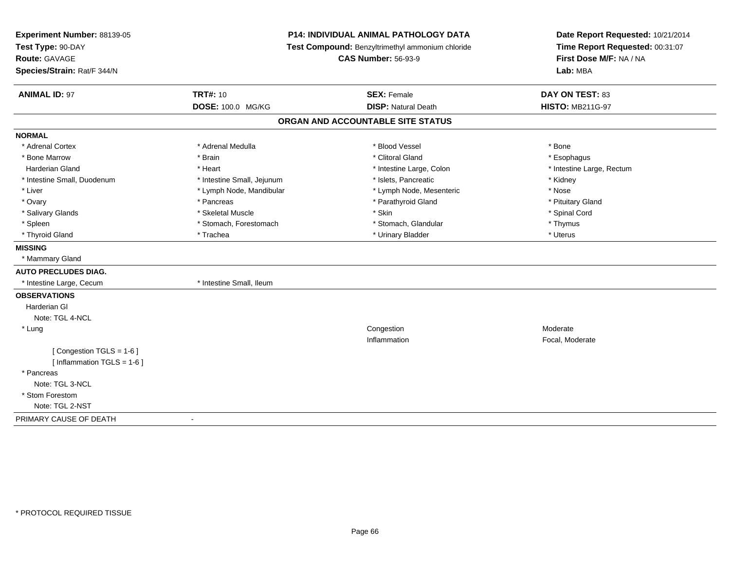| Experiment Number: 88139-05<br>Test Type: 90-DAY<br>Route: GAVAGE<br>Species/Strain: Rat/F 344/N | P14: INDIVIDUAL ANIMAL PATHOLOGY DATA<br>Test Compound: Benzyltrimethyl ammonium chloride<br><b>CAS Number: 56-93-9</b> |                                                  | Date Report Requested: 10/21/2014<br>Time Report Requested: 00:31:07<br>First Dose M/F: NA / NA<br>Lab: MBA |
|--------------------------------------------------------------------------------------------------|-------------------------------------------------------------------------------------------------------------------------|--------------------------------------------------|-------------------------------------------------------------------------------------------------------------|
| <b>ANIMAL ID: 97</b>                                                                             | <b>TRT#: 10</b><br>DOSE: 100.0 MG/KG                                                                                    | <b>SEX: Female</b><br><b>DISP: Natural Death</b> | DAY ON TEST: 83<br><b>HISTO: MB211G-97</b>                                                                  |
|                                                                                                  |                                                                                                                         |                                                  |                                                                                                             |
|                                                                                                  |                                                                                                                         | ORGAN AND ACCOUNTABLE SITE STATUS                |                                                                                                             |
| <b>NORMAL</b>                                                                                    |                                                                                                                         |                                                  |                                                                                                             |
| * Adrenal Cortex                                                                                 | * Adrenal Medulla                                                                                                       | * Blood Vessel                                   | * Bone                                                                                                      |
| * Bone Marrow                                                                                    | * Brain                                                                                                                 | * Clitoral Gland                                 | * Esophagus                                                                                                 |
| <b>Harderian Gland</b>                                                                           | * Heart                                                                                                                 | * Intestine Large, Colon                         | * Intestine Large, Rectum                                                                                   |
| * Intestine Small, Duodenum                                                                      | * Intestine Small, Jejunum                                                                                              | * Islets, Pancreatic                             | * Kidney                                                                                                    |
| * Liver                                                                                          | * Lymph Node, Mandibular                                                                                                | * Lymph Node, Mesenteric                         | * Nose                                                                                                      |
| * Ovary                                                                                          | * Pancreas                                                                                                              | * Parathyroid Gland                              | * Pituitary Gland                                                                                           |
| * Salivary Glands                                                                                | * Skeletal Muscle                                                                                                       | * Skin                                           | * Spinal Cord                                                                                               |
| * Spleen                                                                                         | * Stomach, Forestomach                                                                                                  | * Stomach, Glandular                             | * Thymus                                                                                                    |
| * Thyroid Gland                                                                                  | * Trachea                                                                                                               | * Urinary Bladder                                | * Uterus                                                                                                    |
| <b>MISSING</b>                                                                                   |                                                                                                                         |                                                  |                                                                                                             |
| * Mammary Gland                                                                                  |                                                                                                                         |                                                  |                                                                                                             |
| <b>AUTO PRECLUDES DIAG.</b>                                                                      |                                                                                                                         |                                                  |                                                                                                             |
| * Intestine Large, Cecum                                                                         | * Intestine Small, Ileum                                                                                                |                                                  |                                                                                                             |
| <b>OBSERVATIONS</b>                                                                              |                                                                                                                         |                                                  |                                                                                                             |
| Harderian GI                                                                                     |                                                                                                                         |                                                  |                                                                                                             |
| Note: TGL 4-NCL                                                                                  |                                                                                                                         |                                                  |                                                                                                             |
| * Lung                                                                                           |                                                                                                                         | Congestion                                       | Moderate                                                                                                    |
|                                                                                                  |                                                                                                                         | Inflammation                                     | Focal, Moderate                                                                                             |
| [Congestion TGLS = 1-6]                                                                          |                                                                                                                         |                                                  |                                                                                                             |
| [ Inflammation TGLS = 1-6 ]                                                                      |                                                                                                                         |                                                  |                                                                                                             |
| * Pancreas                                                                                       |                                                                                                                         |                                                  |                                                                                                             |
| Note: TGL 3-NCL                                                                                  |                                                                                                                         |                                                  |                                                                                                             |
| * Stom Forestom                                                                                  |                                                                                                                         |                                                  |                                                                                                             |
| Note: TGL 2-NST                                                                                  |                                                                                                                         |                                                  |                                                                                                             |
| PRIMARY CAUSE OF DEATH                                                                           |                                                                                                                         |                                                  |                                                                                                             |
|                                                                                                  |                                                                                                                         |                                                  |                                                                                                             |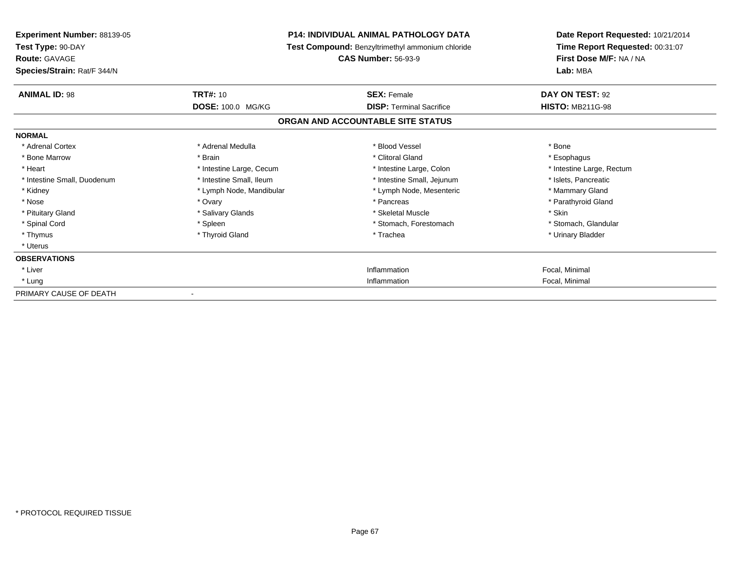| Experiment Number: 88139-05<br>Test Type: 90-DAY<br><b>Route: GAVAGE</b><br>Species/Strain: Rat/F 344/N | <b>P14: INDIVIDUAL ANIMAL PATHOLOGY DATA</b><br>Test Compound: Benzyltrimethyl ammonium chloride<br><b>CAS Number: 56-93-9</b> |                                   | Date Report Requested: 10/21/2014<br>Time Report Requested: 00:31:07<br>First Dose M/F: NA / NA<br>Lab: MBA |
|---------------------------------------------------------------------------------------------------------|--------------------------------------------------------------------------------------------------------------------------------|-----------------------------------|-------------------------------------------------------------------------------------------------------------|
| <b>ANIMAL ID: 98</b>                                                                                    | <b>TRT#: 10</b>                                                                                                                | <b>SEX: Female</b>                | DAY ON TEST: 92                                                                                             |
|                                                                                                         | DOSE: 100.0 MG/KG                                                                                                              | <b>DISP:</b> Terminal Sacrifice   | <b>HISTO: MB211G-98</b>                                                                                     |
|                                                                                                         |                                                                                                                                | ORGAN AND ACCOUNTABLE SITE STATUS |                                                                                                             |
| <b>NORMAL</b>                                                                                           |                                                                                                                                |                                   |                                                                                                             |
| * Adrenal Cortex                                                                                        | * Adrenal Medulla                                                                                                              | * Blood Vessel                    | * Bone                                                                                                      |
| * Bone Marrow                                                                                           | * Brain                                                                                                                        | * Clitoral Gland                  | * Esophagus                                                                                                 |
| * Heart                                                                                                 | * Intestine Large, Cecum                                                                                                       | * Intestine Large, Colon          | * Intestine Large, Rectum                                                                                   |
| * Intestine Small, Duodenum                                                                             | * Intestine Small. Ileum                                                                                                       | * Intestine Small, Jejunum        | * Islets, Pancreatic                                                                                        |
| * Kidney                                                                                                | * Lymph Node, Mandibular                                                                                                       | * Lymph Node, Mesenteric          | * Mammary Gland                                                                                             |
| * Nose                                                                                                  | * Ovary                                                                                                                        | * Pancreas                        | * Parathyroid Gland                                                                                         |
| * Pituitary Gland                                                                                       | * Salivary Glands                                                                                                              | * Skeletal Muscle                 | * Skin                                                                                                      |
| * Spinal Cord                                                                                           | * Spleen                                                                                                                       | * Stomach, Forestomach            | * Stomach, Glandular                                                                                        |
| * Thymus                                                                                                | * Thyroid Gland                                                                                                                | * Trachea                         | * Urinary Bladder                                                                                           |
| * Uterus                                                                                                |                                                                                                                                |                                   |                                                                                                             |
| <b>OBSERVATIONS</b>                                                                                     |                                                                                                                                |                                   |                                                                                                             |
| * Liver                                                                                                 |                                                                                                                                | Inflammation                      | Focal, Minimal                                                                                              |
| * Lung                                                                                                  |                                                                                                                                | Inflammation                      | Focal, Minimal                                                                                              |
| PRIMARY CAUSE OF DEATH                                                                                  |                                                                                                                                |                                   |                                                                                                             |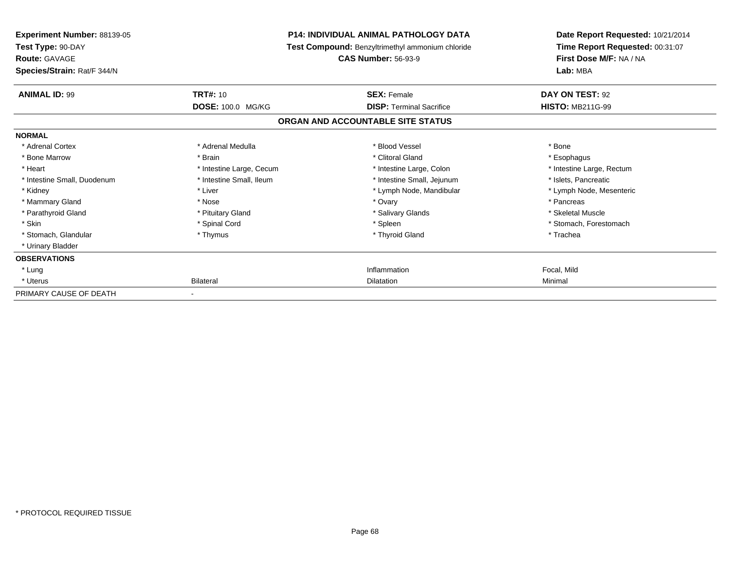| <b>Experiment Number: 88139-05</b><br>Test Type: 90-DAY<br><b>Route: GAVAGE</b><br>Species/Strain: Rat/F 344/N | <b>P14: INDIVIDUAL ANIMAL PATHOLOGY DATA</b><br>Test Compound: Benzyltrimethyl ammonium chloride<br><b>CAS Number: 56-93-9</b> |                                                                      | Date Report Requested: 10/21/2014<br>Time Report Requested: 00:31:07<br>First Dose M/F: NA / NA<br>Lab: MBA |
|----------------------------------------------------------------------------------------------------------------|--------------------------------------------------------------------------------------------------------------------------------|----------------------------------------------------------------------|-------------------------------------------------------------------------------------------------------------|
| <b>ANIMAL ID: 99</b>                                                                                           | <b>TRT#: 10</b>                                                                                                                | <b>SEX: Female</b>                                                   | DAY ON TEST: 92                                                                                             |
|                                                                                                                | DOSE: 100.0 MG/KG                                                                                                              | <b>DISP: Terminal Sacrifice</b><br>ORGAN AND ACCOUNTABLE SITE STATUS | <b>HISTO: MB211G-99</b>                                                                                     |
| <b>NORMAL</b>                                                                                                  |                                                                                                                                |                                                                      |                                                                                                             |
| * Adrenal Cortex<br>* Bone Marrow<br>* Heart                                                                   | * Adrenal Medulla<br>* Brain<br>* Intestine Large, Cecum                                                                       | * Blood Vessel<br>* Clitoral Gland<br>* Intestine Large, Colon       | * Bone<br>* Esophagus<br>* Intestine Large, Rectum                                                          |
| * Intestine Small, Duodenum<br>* Kidney                                                                        | * Intestine Small. Ileum<br>* Liver                                                                                            | * Intestine Small, Jejunum<br>* Lymph Node, Mandibular               | * Islets, Pancreatic<br>* Lymph Node, Mesenteric                                                            |
| * Mammary Gland<br>* Parathyroid Gland                                                                         | * Nose<br>* Pituitary Gland                                                                                                    | * Ovary<br>* Salivary Glands                                         | * Pancreas<br>* Skeletal Muscle                                                                             |
| * Skin<br>* Stomach, Glandular<br>* Urinary Bladder                                                            | * Spinal Cord<br>* Thymus                                                                                                      | * Spleen<br>* Thyroid Gland                                          | * Stomach, Forestomach<br>* Trachea                                                                         |
| <b>OBSERVATIONS</b>                                                                                            |                                                                                                                                |                                                                      |                                                                                                             |
| * Lung<br>* Uterus                                                                                             | <b>Bilateral</b>                                                                                                               | Inflammation<br>Dilatation                                           | Focal, Mild<br>Minimal                                                                                      |
| PRIMARY CAUSE OF DEATH                                                                                         |                                                                                                                                |                                                                      |                                                                                                             |